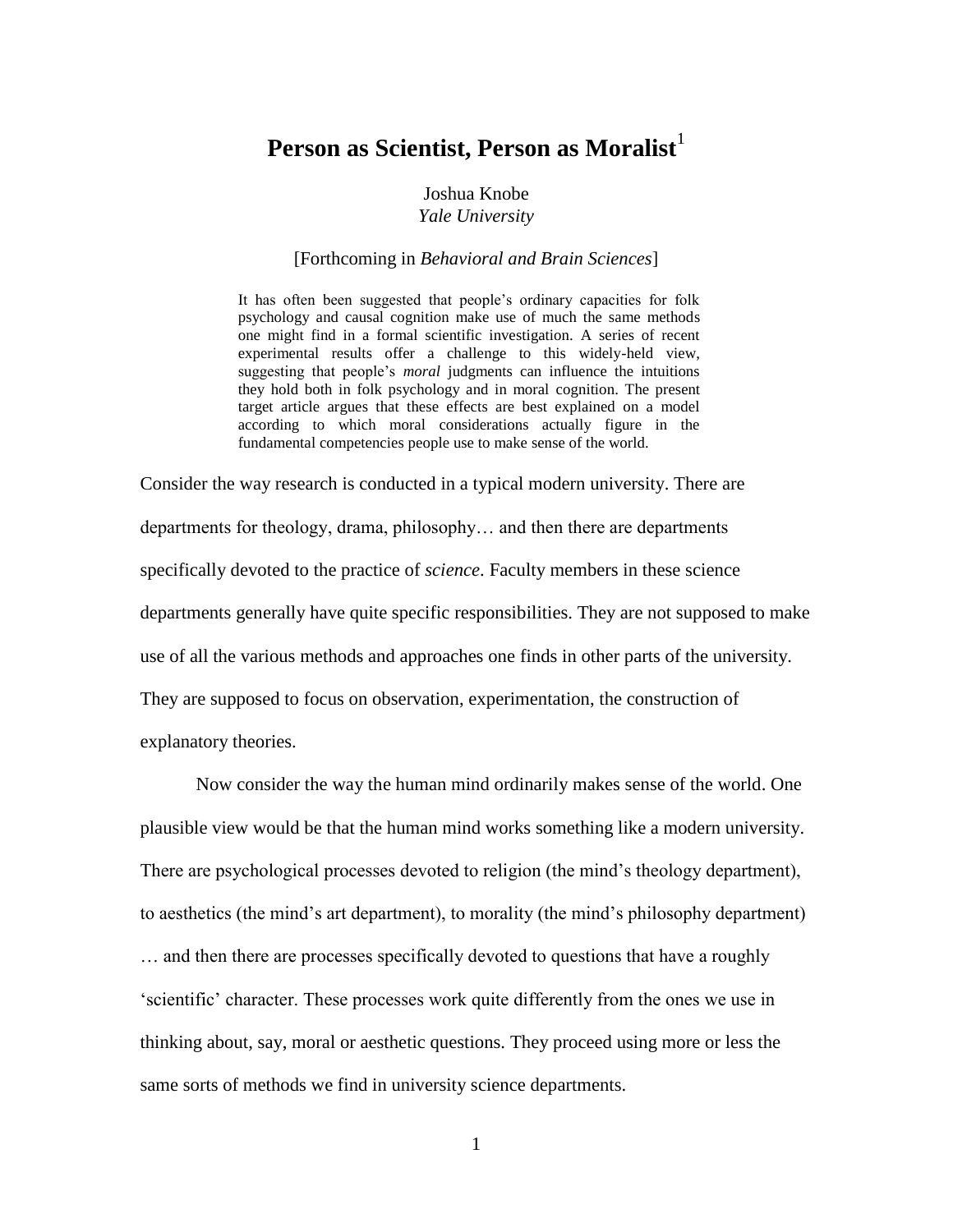# **Person as Scientist, Person as Moralist**

Joshua Knobe *Yale University*

#### [Forthcoming in *Behavioral and Brain Sciences*]

It has often been suggested that people's ordinary capacities for folk psychology and causal cognition make use of much the same methods one might find in a formal scientific investigation. A series of recent experimental results offer a challenge to this widely-held view, suggesting that people's *moral* judgments can influence the intuitions they hold both in folk psychology and in moral cognition. The present target article argues that these effects are best explained on a model according to which moral considerations actually figure in the fundamental competencies people use to make sense of the world.

Consider the way research is conducted in a typical modern university. There are departments for theology, drama, philosophy… and then there are departments specifically devoted to the practice of *science*. Faculty members in these science departments generally have quite specific responsibilities. They are not supposed to make use of all the various methods and approaches one finds in other parts of the university. They are supposed to focus on observation, experimentation, the construction of explanatory theories.

Now consider the way the human mind ordinarily makes sense of the world. One plausible view would be that the human mind works something like a modern university. There are psychological processes devoted to religion (the mind's theology department), to aesthetics (the mind's art department), to morality (the mind's philosophy department) … and then there are processes specifically devoted to questions that have a roughly 'scientific' character. These processes work quite differently from the ones we use in thinking about, say, moral or aesthetic questions. They proceed using more or less the same sorts of methods we find in university science departments.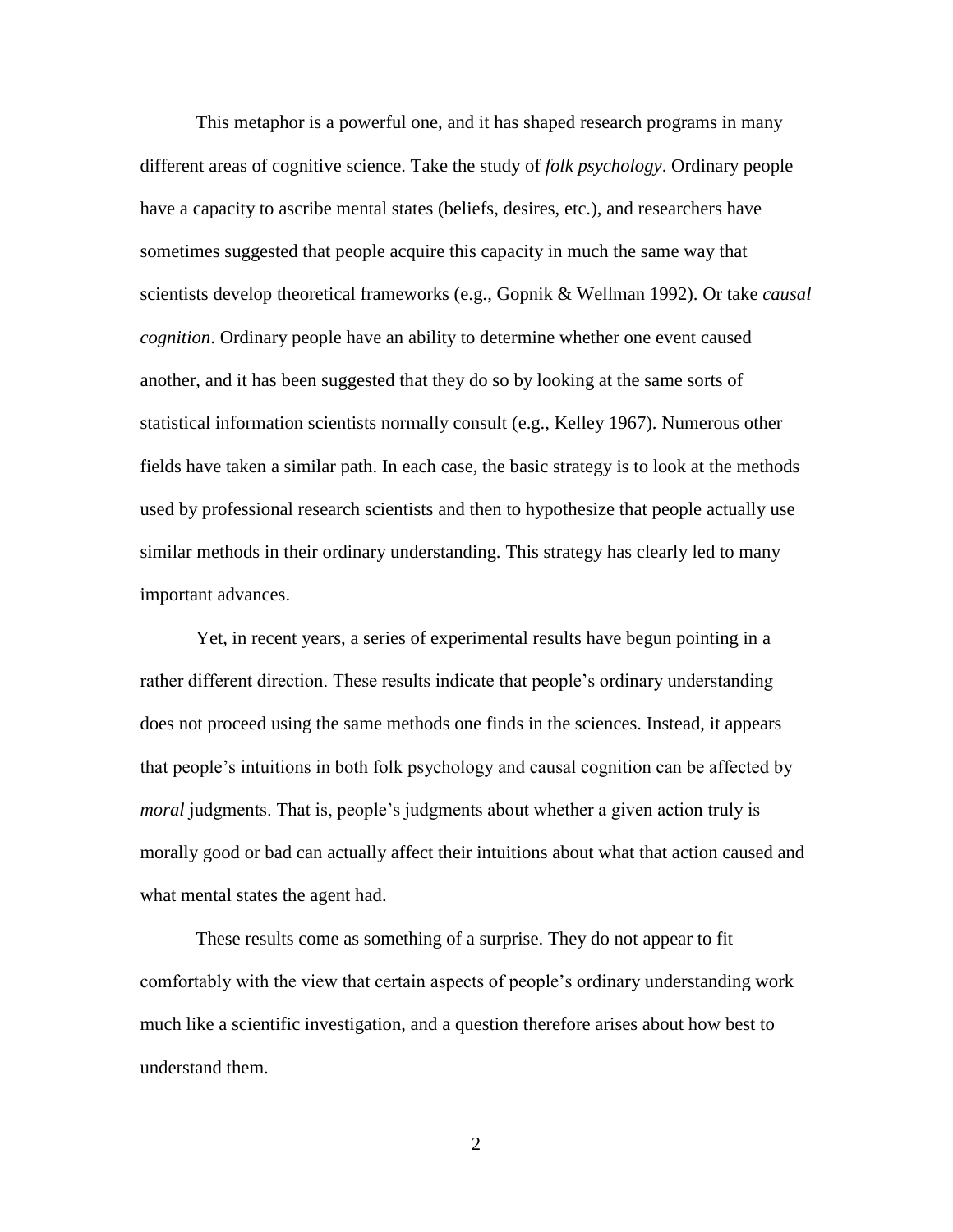This metaphor is a powerful one, and it has shaped research programs in many different areas of cognitive science. Take the study of *folk psychology*. Ordinary people have a capacity to ascribe mental states (beliefs, desires, etc.), and researchers have sometimes suggested that people acquire this capacity in much the same way that scientists develop theoretical frameworks (e.g., Gopnik & Wellman 1992). Or take *causal cognition*. Ordinary people have an ability to determine whether one event caused another, and it has been suggested that they do so by looking at the same sorts of statistical information scientists normally consult (e.g., Kelley 1967). Numerous other fields have taken a similar path. In each case, the basic strategy is to look at the methods used by professional research scientists and then to hypothesize that people actually use similar methods in their ordinary understanding. This strategy has clearly led to many important advances.

Yet, in recent years, a series of experimental results have begun pointing in a rather different direction. These results indicate that people's ordinary understanding does not proceed using the same methods one finds in the sciences. Instead, it appears that people's intuitions in both folk psychology and causal cognition can be affected by *moral* judgments. That is, people's judgments about whether a given action truly is morally good or bad can actually affect their intuitions about what that action caused and what mental states the agent had.

These results come as something of a surprise. They do not appear to fit comfortably with the view that certain aspects of people's ordinary understanding work much like a scientific investigation, and a question therefore arises about how best to understand them.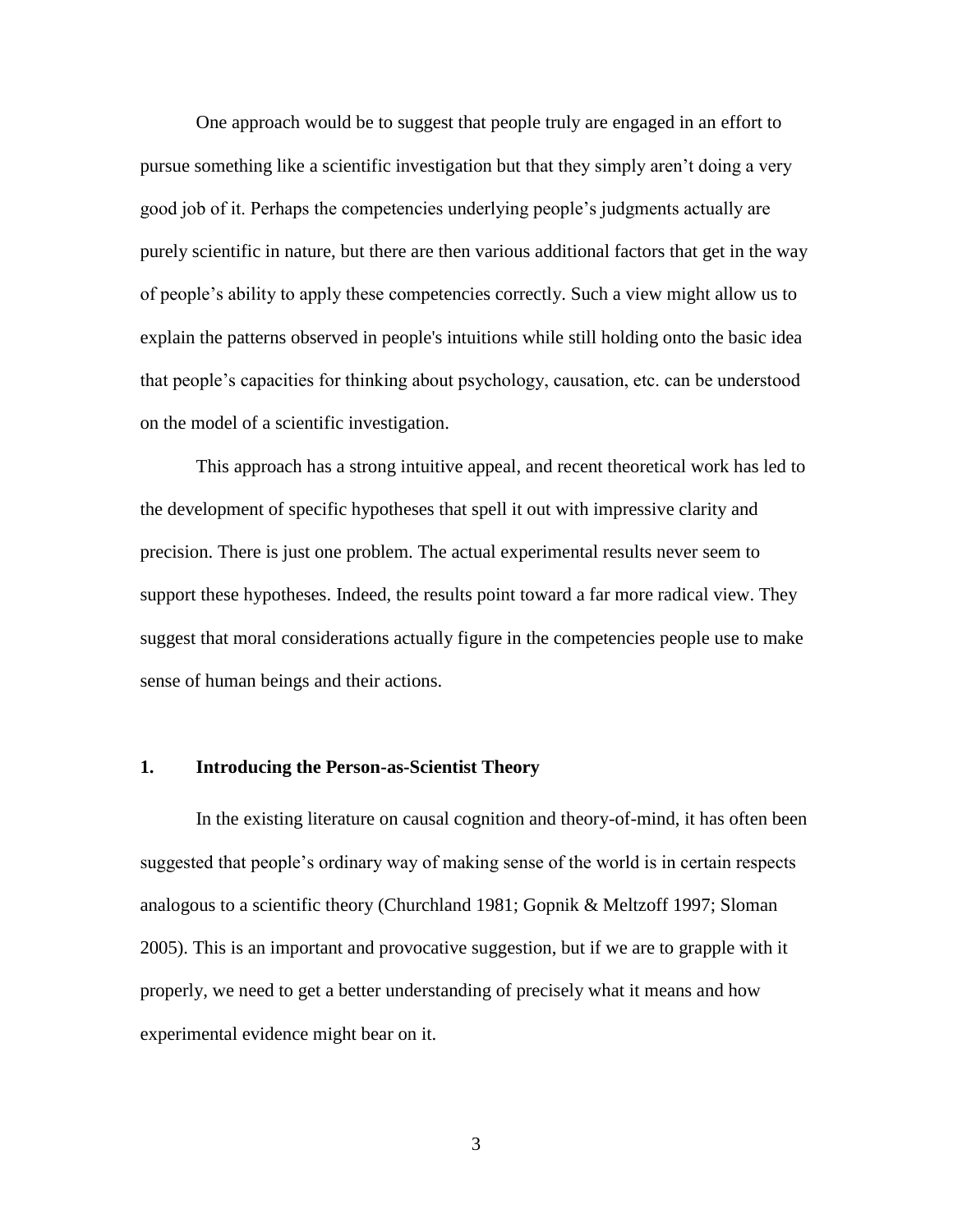One approach would be to suggest that people truly are engaged in an effort to pursue something like a scientific investigation but that they simply aren't doing a very good job of it. Perhaps the competencies underlying people's judgments actually are purely scientific in nature, but there are then various additional factors that get in the way of people's ability to apply these competencies correctly. Such a view might allow us to explain the patterns observed in people's intuitions while still holding onto the basic idea that people's capacities for thinking about psychology, causation, etc. can be understood on the model of a scientific investigation.

This approach has a strong intuitive appeal, and recent theoretical work has led to the development of specific hypotheses that spell it out with impressive clarity and precision. There is just one problem. The actual experimental results never seem to support these hypotheses. Indeed, the results point toward a far more radical view. They suggest that moral considerations actually figure in the competencies people use to make sense of human beings and their actions.

### **1. Introducing the Person-as-Scientist Theory**

In the existing literature on causal cognition and theory-of-mind, it has often been suggested that people's ordinary way of making sense of the world is in certain respects analogous to a scientific theory (Churchland 1981; Gopnik & Meltzoff 1997; Sloman 2005). This is an important and provocative suggestion, but if we are to grapple with it properly, we need to get a better understanding of precisely what it means and how experimental evidence might bear on it.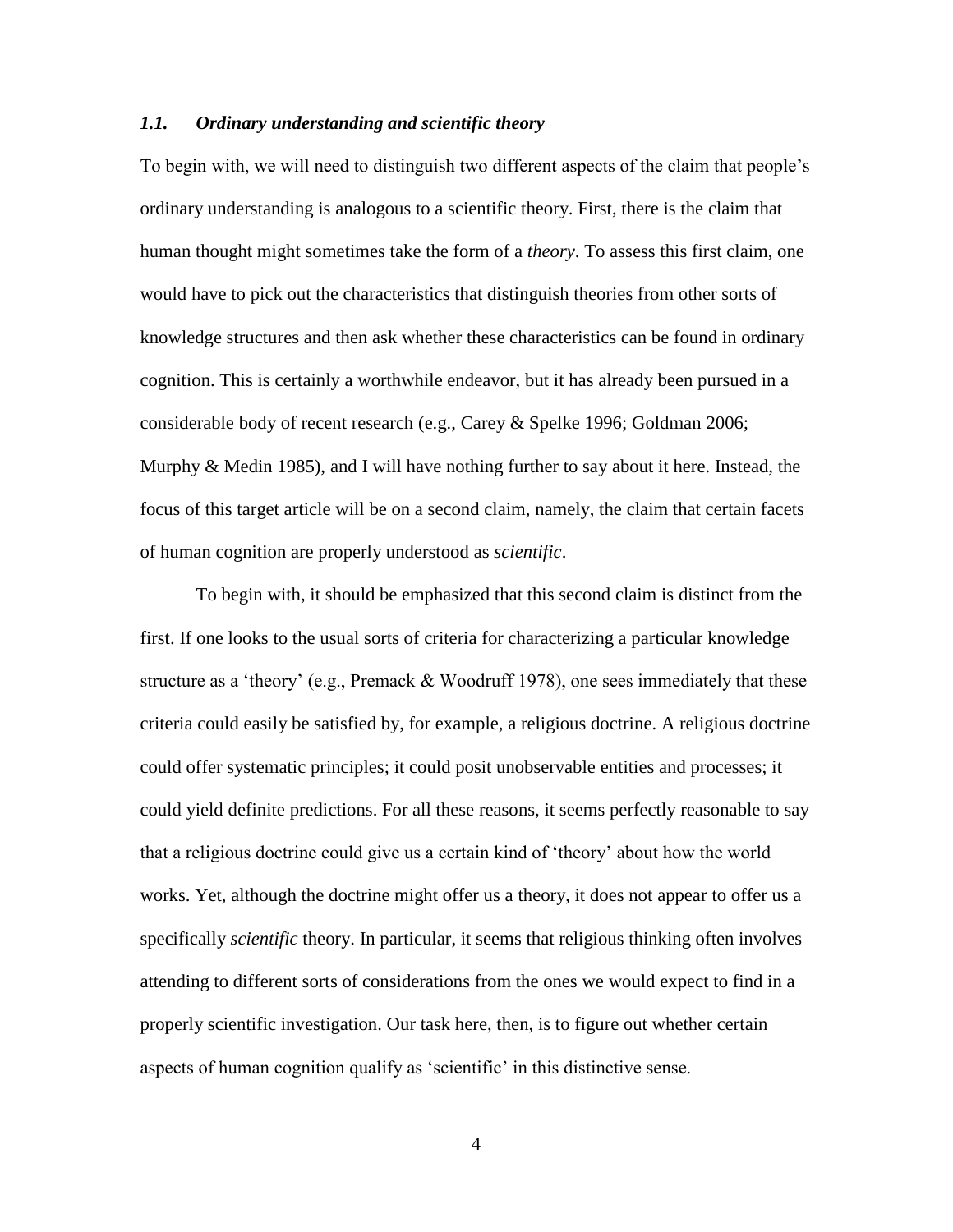### *1.1. Ordinary understanding and scientific theory*

To begin with, we will need to distinguish two different aspects of the claim that people's ordinary understanding is analogous to a scientific theory. First, there is the claim that human thought might sometimes take the form of a *theory*. To assess this first claim, one would have to pick out the characteristics that distinguish theories from other sorts of knowledge structures and then ask whether these characteristics can be found in ordinary cognition. This is certainly a worthwhile endeavor, but it has already been pursued in a considerable body of recent research (e.g., Carey & Spelke 1996; Goldman 2006; Murphy & Medin 1985), and I will have nothing further to say about it here. Instead, the focus of this target article will be on a second claim, namely, the claim that certain facets of human cognition are properly understood as *scientific*.

To begin with, it should be emphasized that this second claim is distinct from the first. If one looks to the usual sorts of criteria for characterizing a particular knowledge structure as a 'theory' (e.g., Premack & Woodruff 1978), one sees immediately that these criteria could easily be satisfied by, for example, a religious doctrine. A religious doctrine could offer systematic principles; it could posit unobservable entities and processes; it could yield definite predictions. For all these reasons, it seems perfectly reasonable to say that a religious doctrine could give us a certain kind of 'theory' about how the world works. Yet, although the doctrine might offer us a theory, it does not appear to offer us a specifically *scientific* theory. In particular, it seems that religious thinking often involves attending to different sorts of considerations from the ones we would expect to find in a properly scientific investigation. Our task here, then, is to figure out whether certain aspects of human cognition qualify as 'scientific' in this distinctive sense.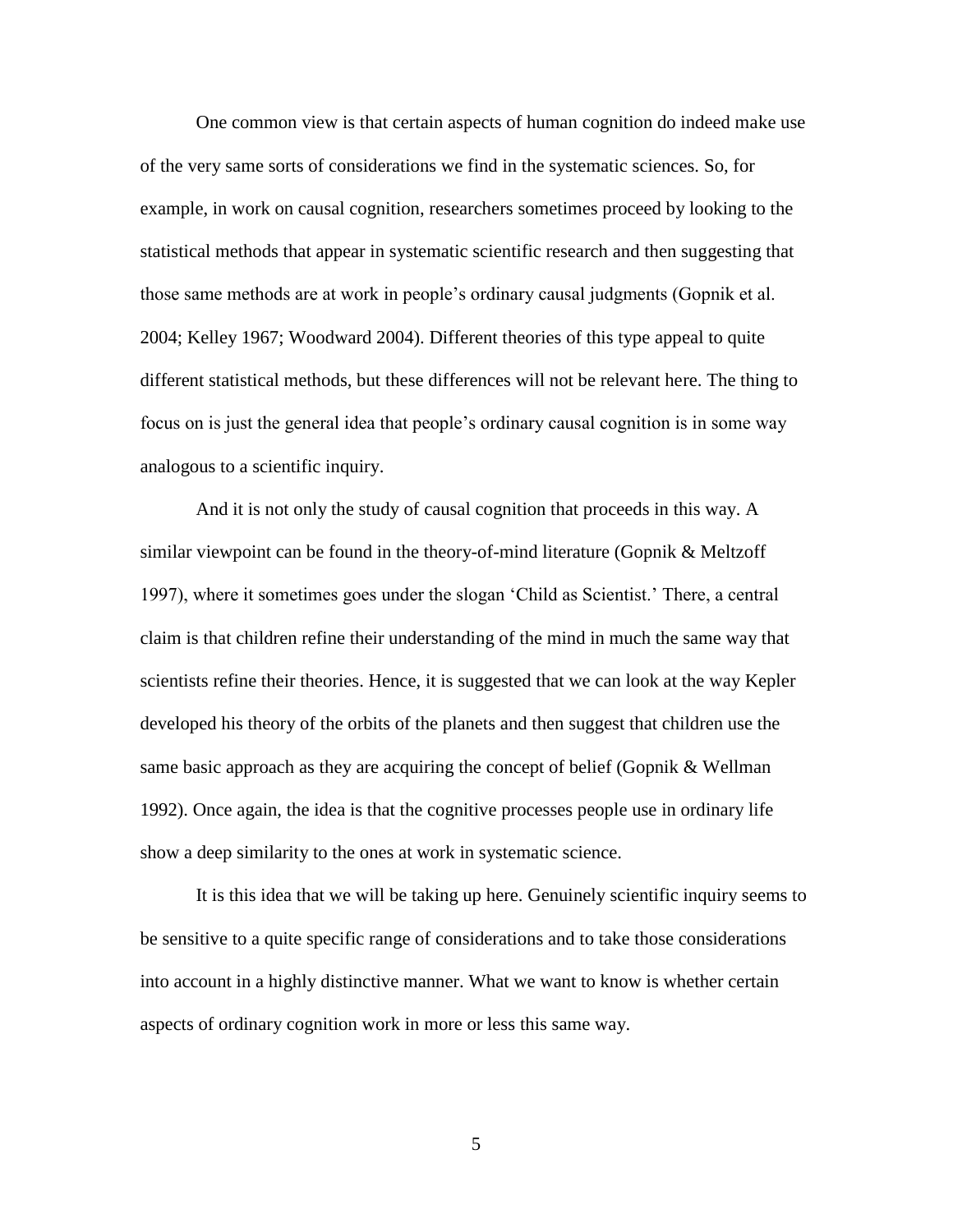One common view is that certain aspects of human cognition do indeed make use of the very same sorts of considerations we find in the systematic sciences. So, for example, in work on causal cognition, researchers sometimes proceed by looking to the statistical methods that appear in systematic scientific research and then suggesting that those same methods are at work in people's ordinary causal judgments (Gopnik et al. 2004; Kelley 1967; Woodward 2004). Different theories of this type appeal to quite different statistical methods, but these differences will not be relevant here. The thing to focus on is just the general idea that people's ordinary causal cognition is in some way analogous to a scientific inquiry.

And it is not only the study of causal cognition that proceeds in this way. A similar viewpoint can be found in the theory-of-mind literature (Gopnik & Meltzoff 1997), where it sometimes goes under the slogan 'Child as Scientist.' There, a central claim is that children refine their understanding of the mind in much the same way that scientists refine their theories. Hence, it is suggested that we can look at the way Kepler developed his theory of the orbits of the planets and then suggest that children use the same basic approach as they are acquiring the concept of belief (Gopnik & Wellman 1992). Once again, the idea is that the cognitive processes people use in ordinary life show a deep similarity to the ones at work in systematic science.

It is this idea that we will be taking up here. Genuinely scientific inquiry seems to be sensitive to a quite specific range of considerations and to take those considerations into account in a highly distinctive manner. What we want to know is whether certain aspects of ordinary cognition work in more or less this same way.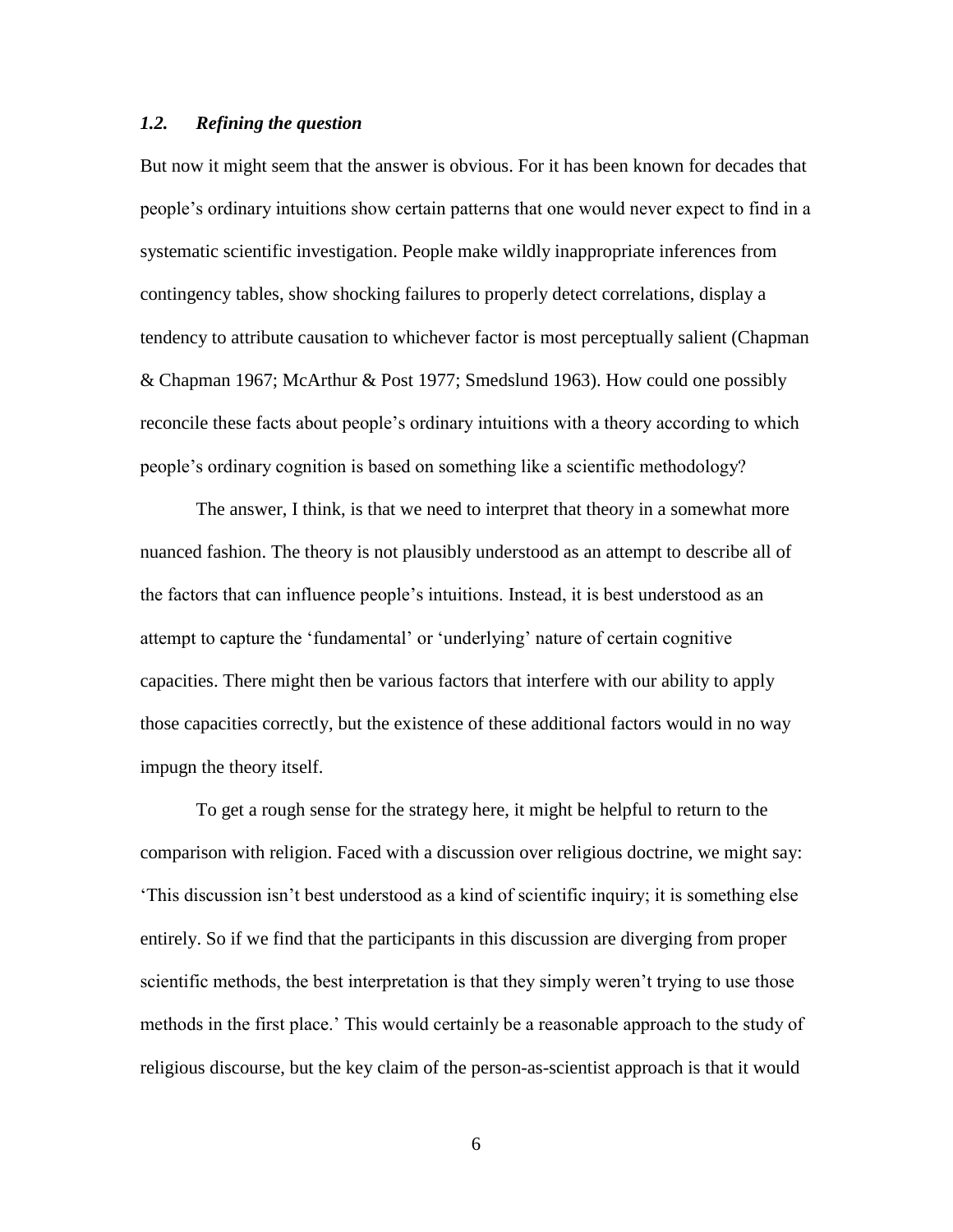# *1.2. Refining the question*

But now it might seem that the answer is obvious. For it has been known for decades that people's ordinary intuitions show certain patterns that one would never expect to find in a systematic scientific investigation. People make wildly inappropriate inferences from contingency tables, show shocking failures to properly detect correlations, display a tendency to attribute causation to whichever factor is most perceptually salient (Chapman & Chapman 1967; McArthur & Post 1977; Smedslund 1963). How could one possibly reconcile these facts about people's ordinary intuitions with a theory according to which people's ordinary cognition is based on something like a scientific methodology?

The answer, I think, is that we need to interpret that theory in a somewhat more nuanced fashion. The theory is not plausibly understood as an attempt to describe all of the factors that can influence people's intuitions. Instead, it is best understood as an attempt to capture the 'fundamental' or 'underlying' nature of certain cognitive capacities. There might then be various factors that interfere with our ability to apply those capacities correctly, but the existence of these additional factors would in no way impugn the theory itself.

To get a rough sense for the strategy here, it might be helpful to return to the comparison with religion. Faced with a discussion over religious doctrine, we might say: 'This discussion isn't best understood as a kind of scientific inquiry; it is something else entirely. So if we find that the participants in this discussion are diverging from proper scientific methods, the best interpretation is that they simply weren't trying to use those methods in the first place.' This would certainly be a reasonable approach to the study of religious discourse, but the key claim of the person-as-scientist approach is that it would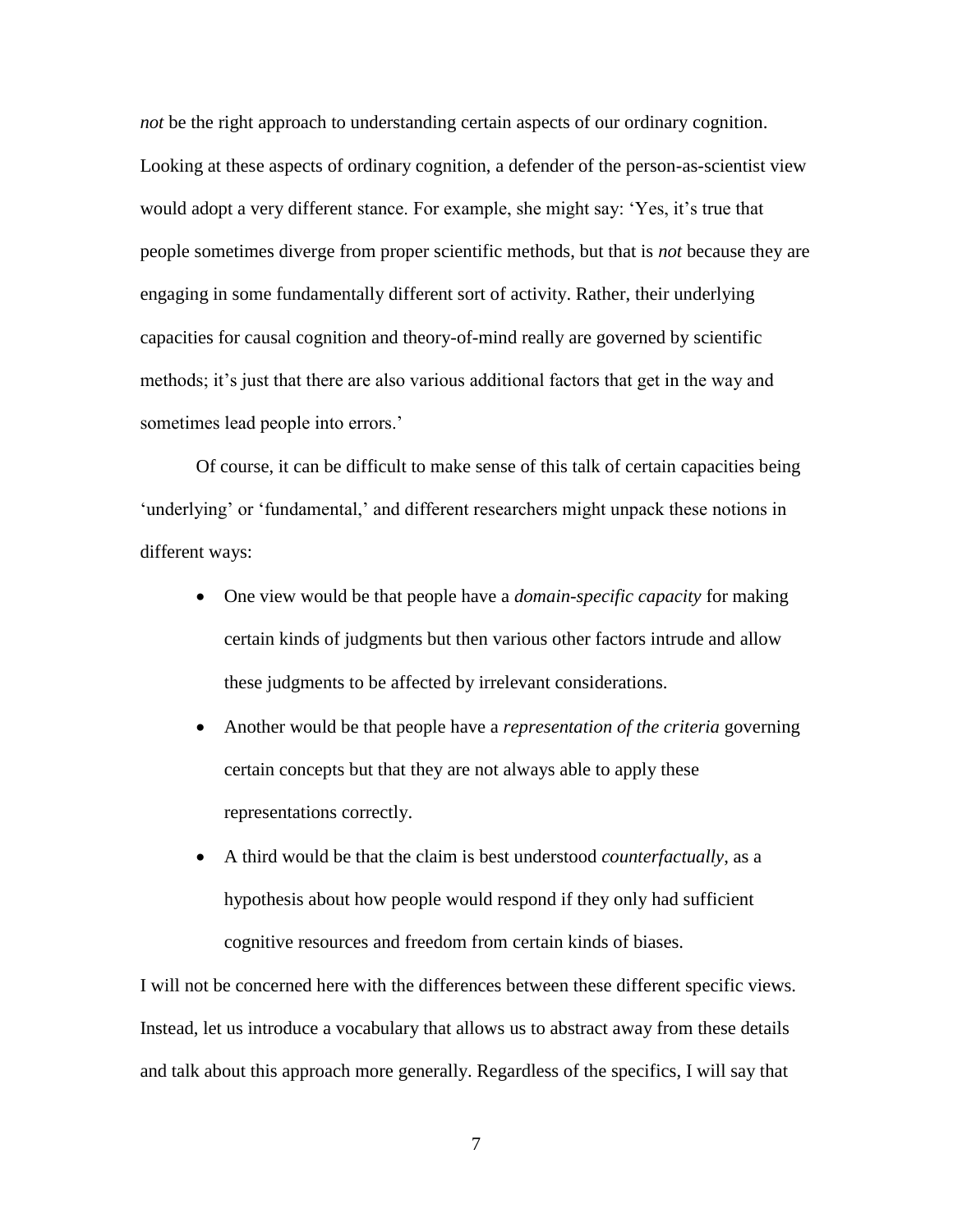*not* be the right approach to understanding certain aspects of our ordinary cognition. Looking at these aspects of ordinary cognition, a defender of the person-as-scientist view would adopt a very different stance. For example, she might say: 'Yes, it's true that people sometimes diverge from proper scientific methods, but that is *not* because they are engaging in some fundamentally different sort of activity. Rather, their underlying capacities for causal cognition and theory-of-mind really are governed by scientific methods; it's just that there are also various additional factors that get in the way and sometimes lead people into errors.'

Of course, it can be difficult to make sense of this talk of certain capacities being 'underlying' or 'fundamental,' and different researchers might unpack these notions in different ways:

- One view would be that people have a *domain-specific capacity* for making certain kinds of judgments but then various other factors intrude and allow these judgments to be affected by irrelevant considerations.
- Another would be that people have a *representation of the criteria* governing certain concepts but that they are not always able to apply these representations correctly.
- A third would be that the claim is best understood *counterfactually*, as a hypothesis about how people would respond if they only had sufficient cognitive resources and freedom from certain kinds of biases.

I will not be concerned here with the differences between these different specific views. Instead, let us introduce a vocabulary that allows us to abstract away from these details and talk about this approach more generally. Regardless of the specifics, I will say that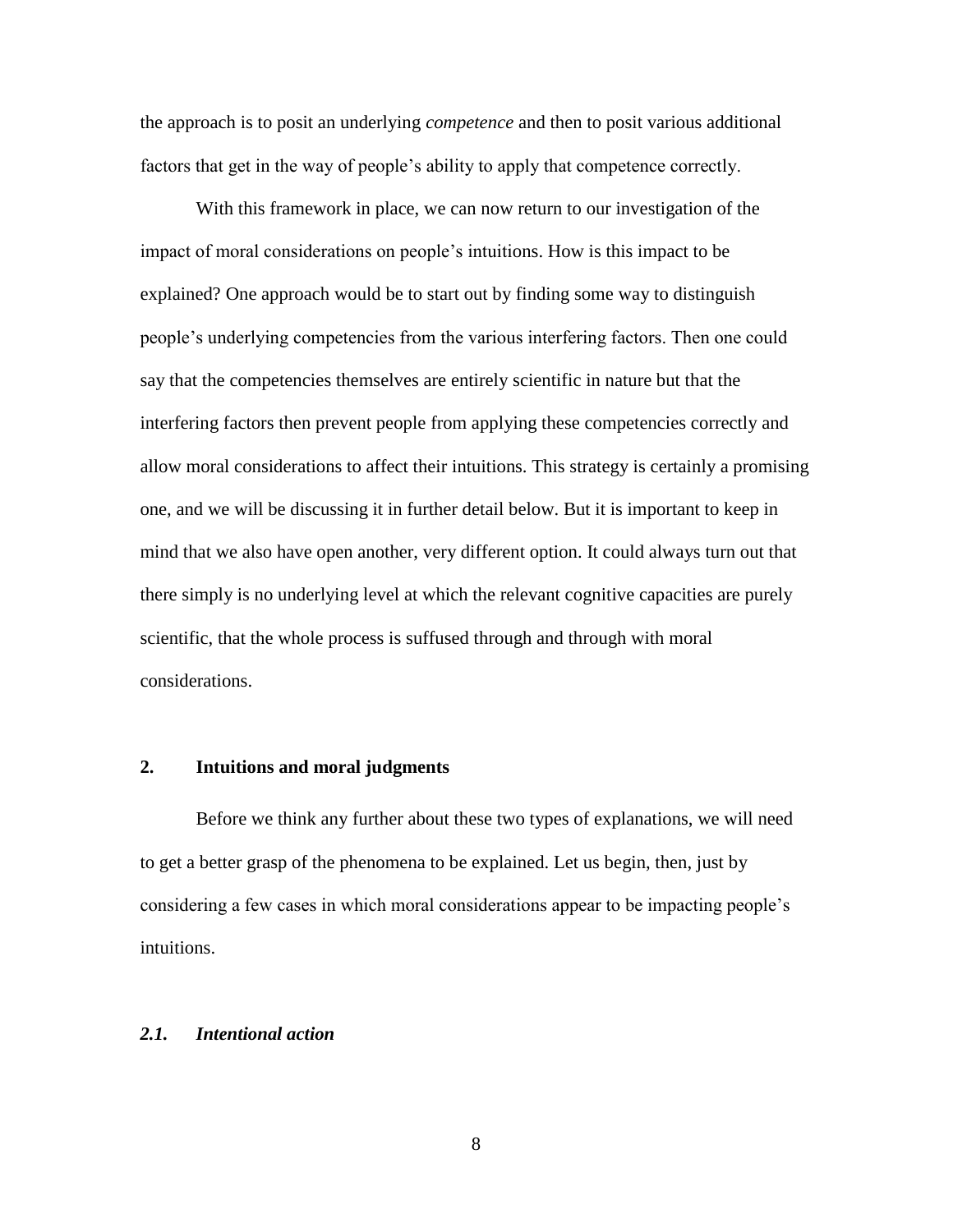the approach is to posit an underlying *competence* and then to posit various additional factors that get in the way of people's ability to apply that competence correctly.

With this framework in place, we can now return to our investigation of the impact of moral considerations on people's intuitions. How is this impact to be explained? One approach would be to start out by finding some way to distinguish people's underlying competencies from the various interfering factors. Then one could say that the competencies themselves are entirely scientific in nature but that the interfering factors then prevent people from applying these competencies correctly and allow moral considerations to affect their intuitions. This strategy is certainly a promising one, and we will be discussing it in further detail below. But it is important to keep in mind that we also have open another, very different option. It could always turn out that there simply is no underlying level at which the relevant cognitive capacities are purely scientific, that the whole process is suffused through and through with moral considerations.

### **2. Intuitions and moral judgments**

Before we think any further about these two types of explanations, we will need to get a better grasp of the phenomena to be explained. Let us begin, then, just by considering a few cases in which moral considerations appear to be impacting people's intuitions.

### *2.1. Intentional action*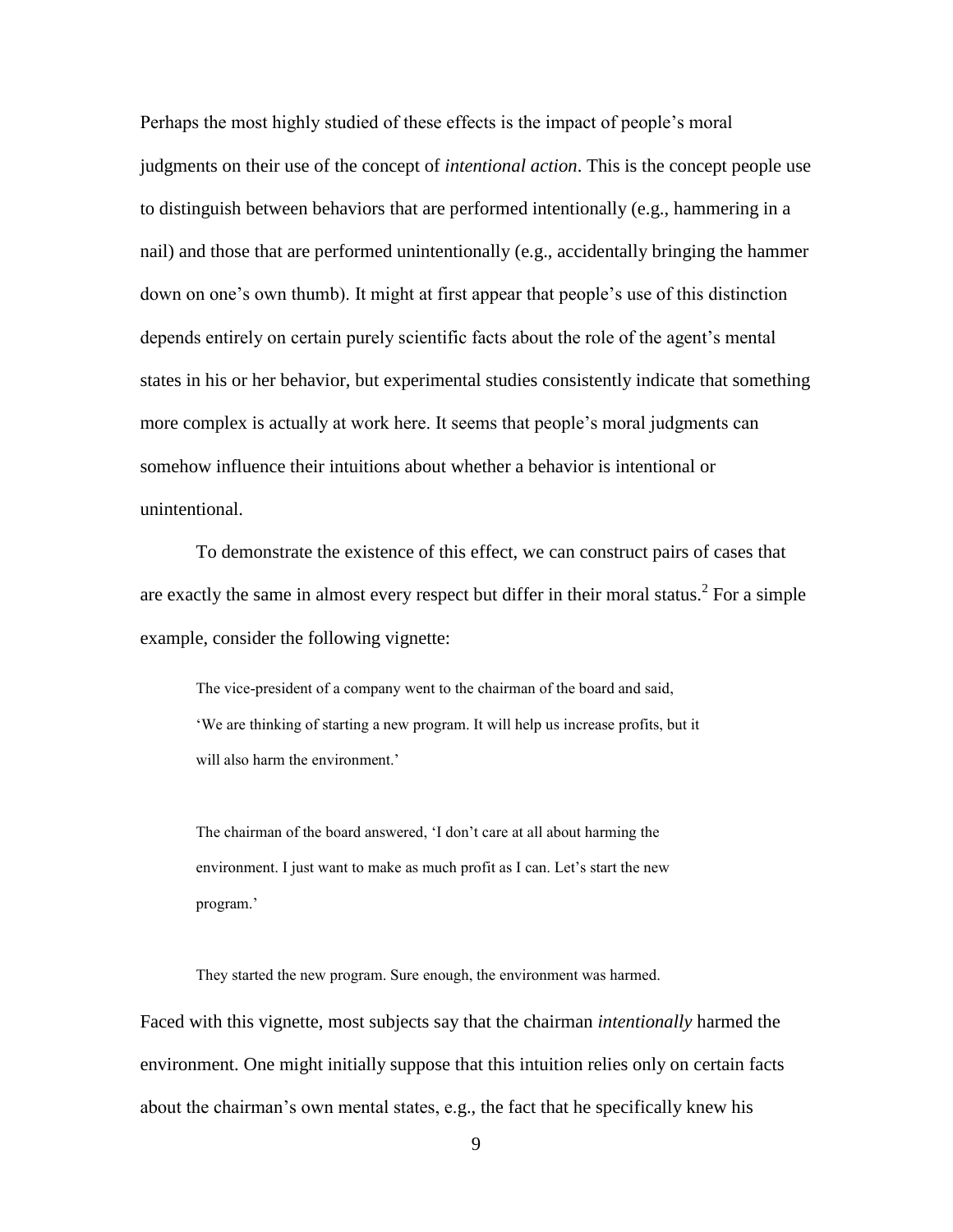Perhaps the most highly studied of these effects is the impact of people's moral judgments on their use of the concept of *intentional action*. This is the concept people use to distinguish between behaviors that are performed intentionally (e.g., hammering in a nail) and those that are performed unintentionally (e.g., accidentally bringing the hammer down on one's own thumb). It might at first appear that people's use of this distinction depends entirely on certain purely scientific facts about the role of the agent's mental states in his or her behavior, but experimental studies consistently indicate that something more complex is actually at work here. It seems that people's moral judgments can somehow influence their intuitions about whether a behavior is intentional or unintentional.

To demonstrate the existence of this effect, we can construct pairs of cases that are exactly the same in almost every respect but differ in their moral status.<sup>2</sup> For a simple example, consider the following vignette:

The vice-president of a company went to the chairman of the board and said, "We are thinking of starting a new program. It will help us increase profits, but it will also harm the environment.'

The chairman of the board answered, "I don"t care at all about harming the environment. I just want to make as much profit as I can. Let's start the new program.'

They started the new program. Sure enough, the environment was harmed.

Faced with this vignette, most subjects say that the chairman *intentionally* harmed the environment. One might initially suppose that this intuition relies only on certain facts about the chairman's own mental states, e.g., the fact that he specifically knew his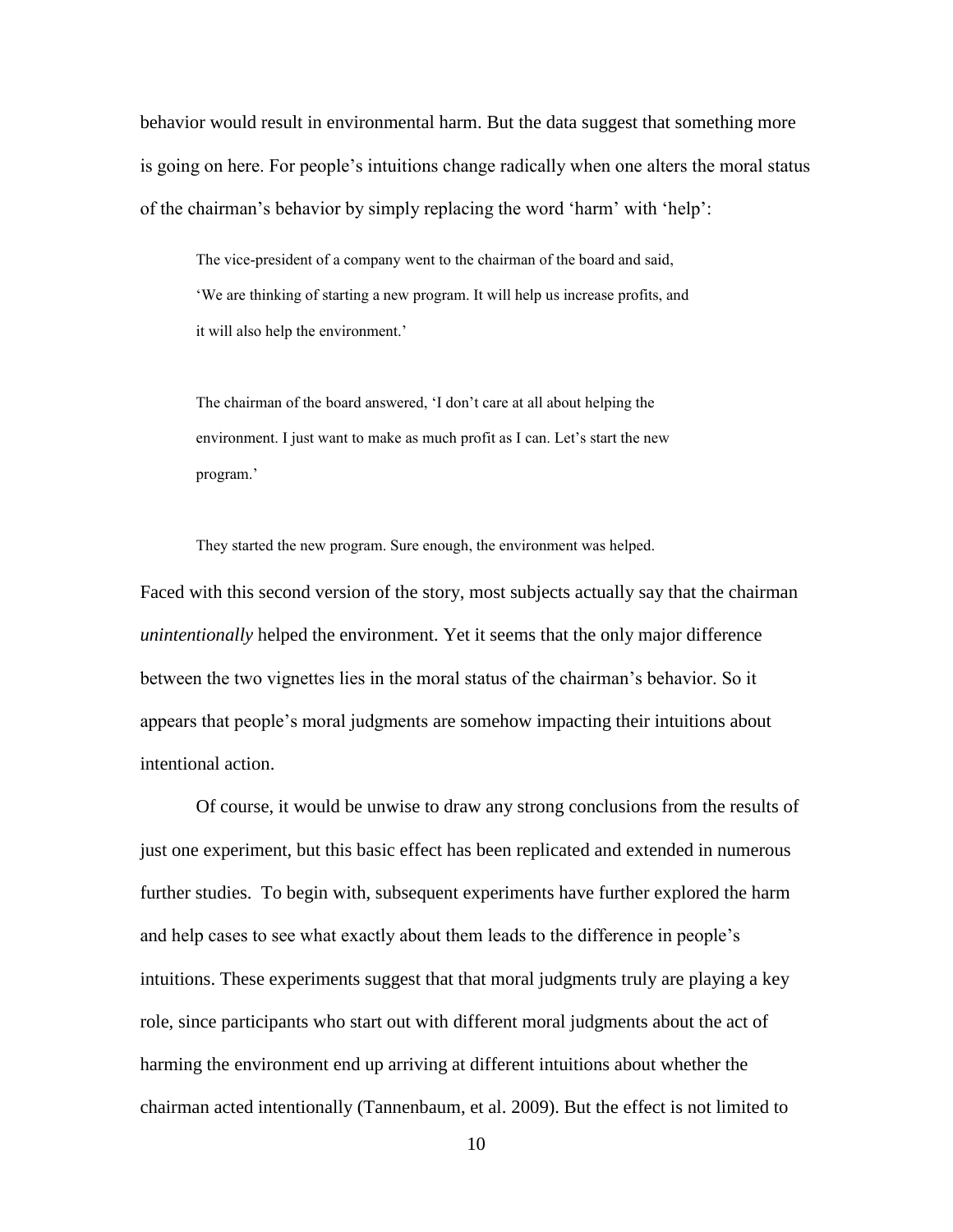behavior would result in environmental harm. But the data suggest that something more is going on here. For people's intuitions change radically when one alters the moral status of the chairman's behavior by simply replacing the word 'harm' with 'help':

The vice-president of a company went to the chairman of the board and said, "We are thinking of starting a new program. It will help us increase profits, and it will also help the environment.'

The chairman of the board answered, "I don"t care at all about helping the environment. I just want to make as much profit as I can. Let's start the new program.'

They started the new program. Sure enough, the environment was helped.

Faced with this second version of the story, most subjects actually say that the chairman *unintentionally* helped the environment. Yet it seems that the only major difference between the two vignettes lies in the moral status of the chairman's behavior. So it appears that people's moral judgments are somehow impacting their intuitions about intentional action.

Of course, it would be unwise to draw any strong conclusions from the results of just one experiment, but this basic effect has been replicated and extended in numerous further studies. To begin with, subsequent experiments have further explored the harm and help cases to see what exactly about them leads to the difference in people's intuitions. These experiments suggest that that moral judgments truly are playing a key role, since participants who start out with different moral judgments about the act of harming the environment end up arriving at different intuitions about whether the chairman acted intentionally (Tannenbaum, et al. 2009). But the effect is not limited to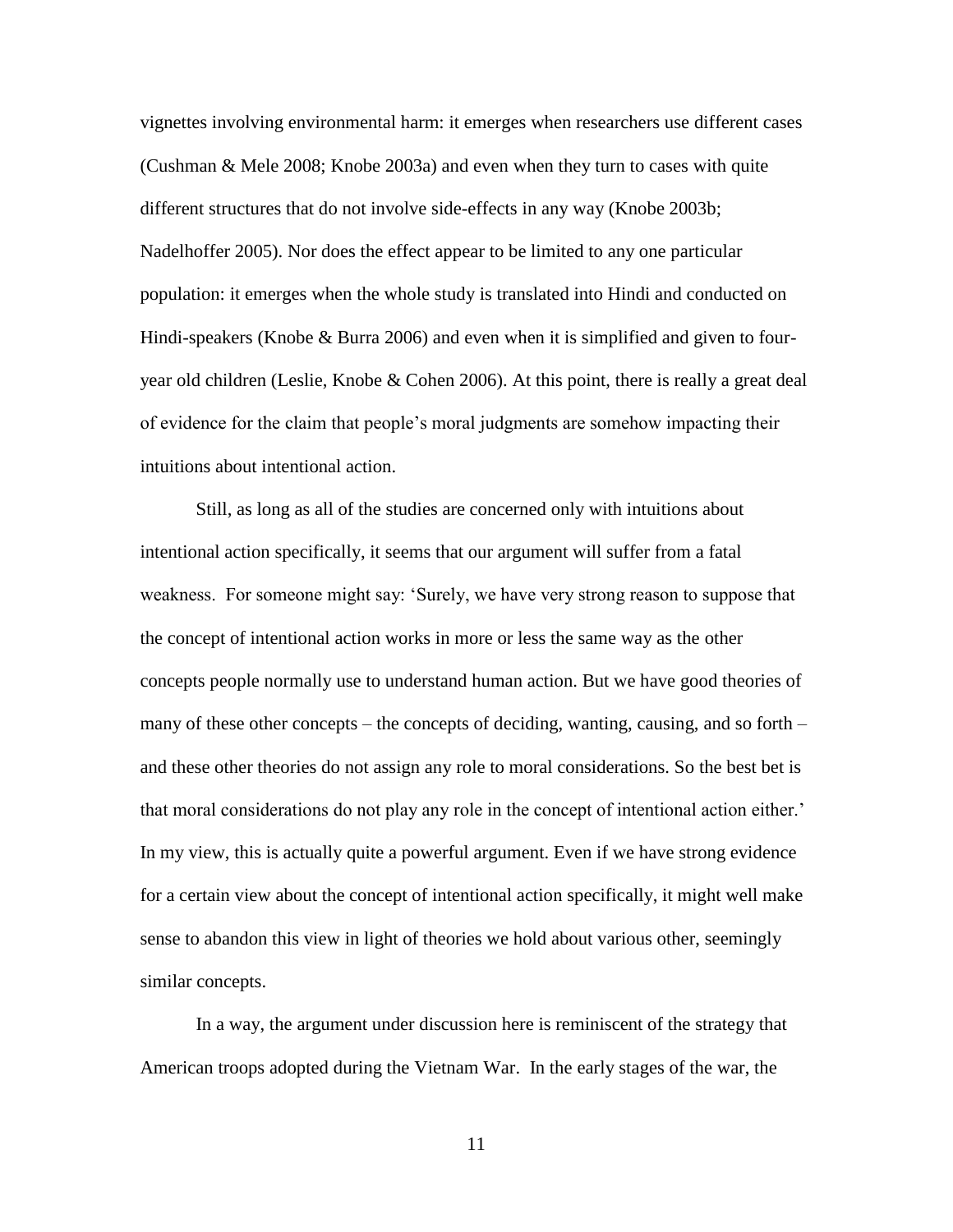vignettes involving environmental harm: it emerges when researchers use different cases (Cushman & Mele 2008; Knobe 2003a) and even when they turn to cases with quite different structures that do not involve side-effects in any way (Knobe 2003b; Nadelhoffer 2005). Nor does the effect appear to be limited to any one particular population: it emerges when the whole study is translated into Hindi and conducted on Hindi-speakers (Knobe & Burra 2006) and even when it is simplified and given to fouryear old children (Leslie, Knobe & Cohen 2006). At this point, there is really a great deal of evidence for the claim that people's moral judgments are somehow impacting their intuitions about intentional action.

Still, as long as all of the studies are concerned only with intuitions about intentional action specifically, it seems that our argument will suffer from a fatal weakness. For someone might say: 'Surely, we have very strong reason to suppose that the concept of intentional action works in more or less the same way as the other concepts people normally use to understand human action. But we have good theories of many of these other concepts – the concepts of deciding, wanting, causing, and so forth – and these other theories do not assign any role to moral considerations. So the best bet is that moral considerations do not play any role in the concept of intentional action either.' In my view, this is actually quite a powerful argument. Even if we have strong evidence for a certain view about the concept of intentional action specifically, it might well make sense to abandon this view in light of theories we hold about various other, seemingly similar concepts.

In a way, the argument under discussion here is reminiscent of the strategy that American troops adopted during the Vietnam War. In the early stages of the war, the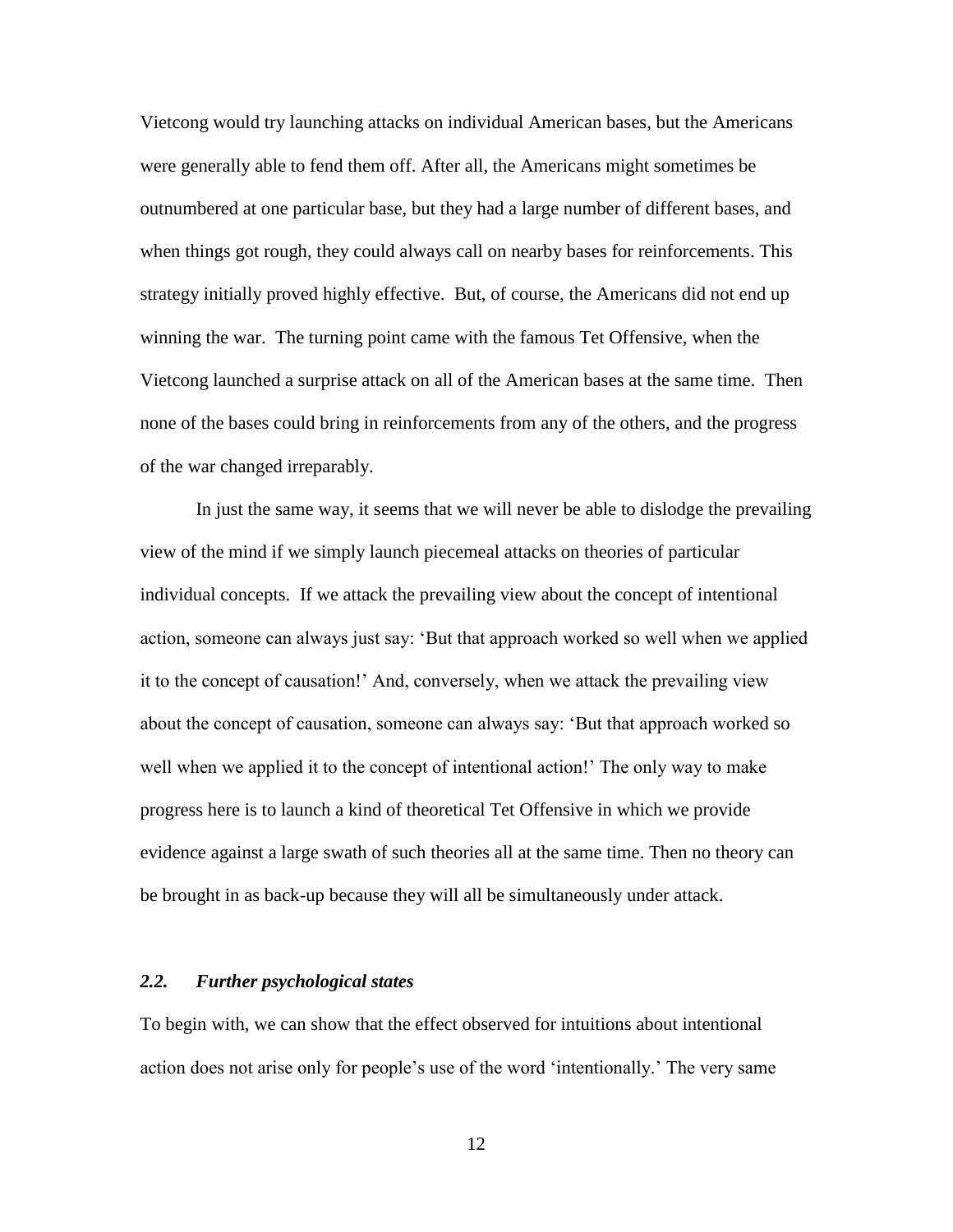Vietcong would try launching attacks on individual American bases, but the Americans were generally able to fend them off. After all, the Americans might sometimes be outnumbered at one particular base, but they had a large number of different bases, and when things got rough, they could always call on nearby bases for reinforcements. This strategy initially proved highly effective. But, of course, the Americans did not end up winning the war. The turning point came with the famous Tet Offensive, when the Vietcong launched a surprise attack on all of the American bases at the same time. Then none of the bases could bring in reinforcements from any of the others, and the progress of the war changed irreparably.

In just the same way, it seems that we will never be able to dislodge the prevailing view of the mind if we simply launch piecemeal attacks on theories of particular individual concepts. If we attack the prevailing view about the concept of intentional action, someone can always just say: 'But that approach worked so well when we applied it to the concept of causation!' And, conversely, when we attack the prevailing view about the concept of causation, someone can always say: 'But that approach worked so well when we applied it to the concept of intentional action!' The only way to make progress here is to launch a kind of theoretical Tet Offensive in which we provide evidence against a large swath of such theories all at the same time. Then no theory can be brought in as back-up because they will all be simultaneously under attack.

### *2.2. Further psychological states*

To begin with, we can show that the effect observed for intuitions about intentional action does not arise only for people's use of the word 'intentionally.' The very same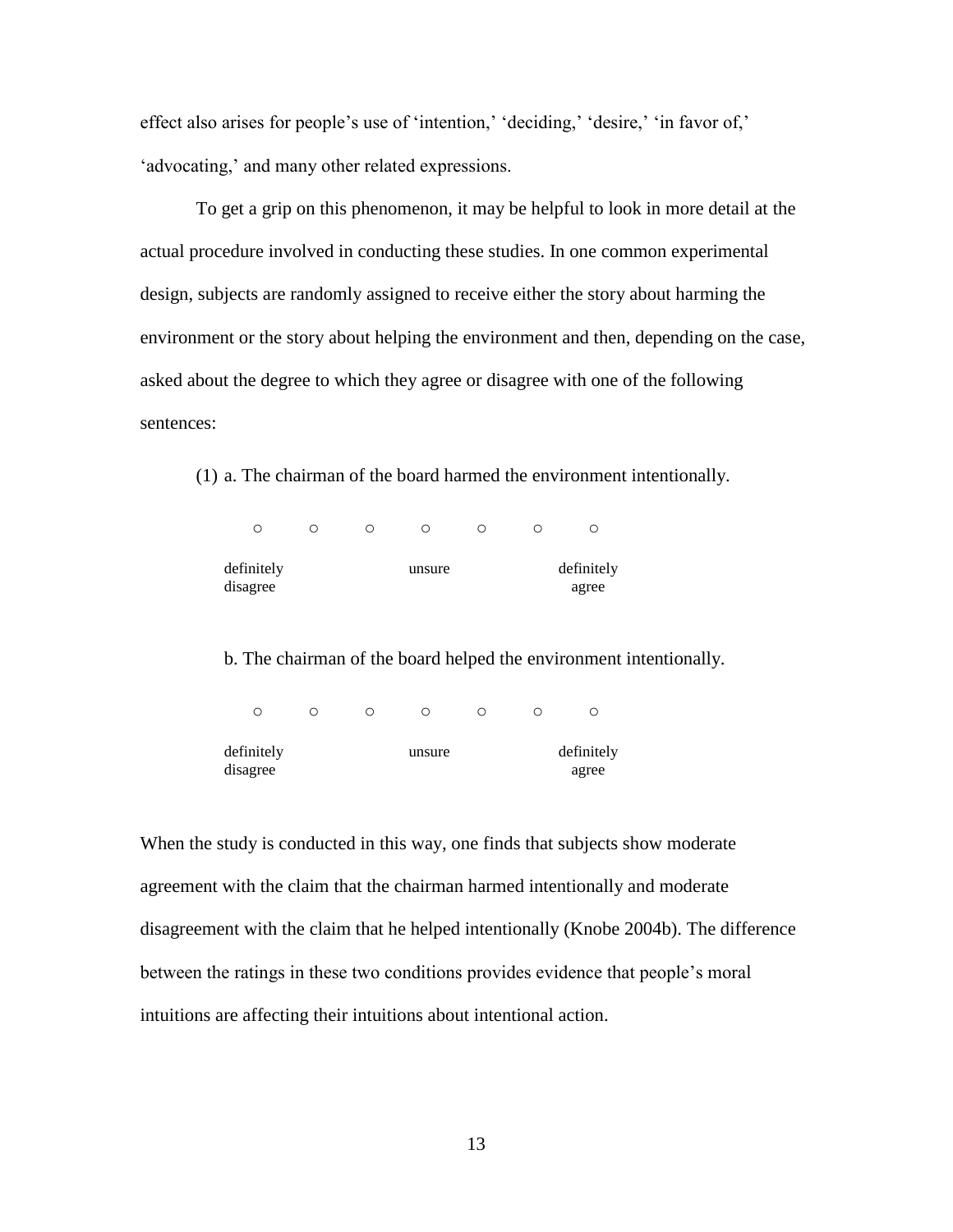effect also arises for people's use of 'intention,' 'deciding,' 'desire,' 'in favor of,' 'advocating,' and many other related expressions.

To get a grip on this phenomenon, it may be helpful to look in more detail at the actual procedure involved in conducting these studies. In one common experimental design, subjects are randomly assigned to receive either the story about harming the environment or the story about helping the environment and then, depending on the case, asked about the degree to which they agree or disagree with one of the following sentences:

(1) a. The chairman of the board harmed the environment intentionally.

| O                      |  |        |  |                     |
|------------------------|--|--------|--|---------------------|
| definitely<br>disagree |  | unsure |  | definitely<br>agree |

b. The chairman of the board helped the environment intentionally.

| Ο                      |  |  |        |  |                     |
|------------------------|--|--|--------|--|---------------------|
| definitely<br>disagree |  |  | unsure |  | definitely<br>agree |

When the study is conducted in this way, one finds that subjects show moderate agreement with the claim that the chairman harmed intentionally and moderate disagreement with the claim that he helped intentionally (Knobe 2004b). The difference between the ratings in these two conditions provides evidence that people's moral intuitions are affecting their intuitions about intentional action.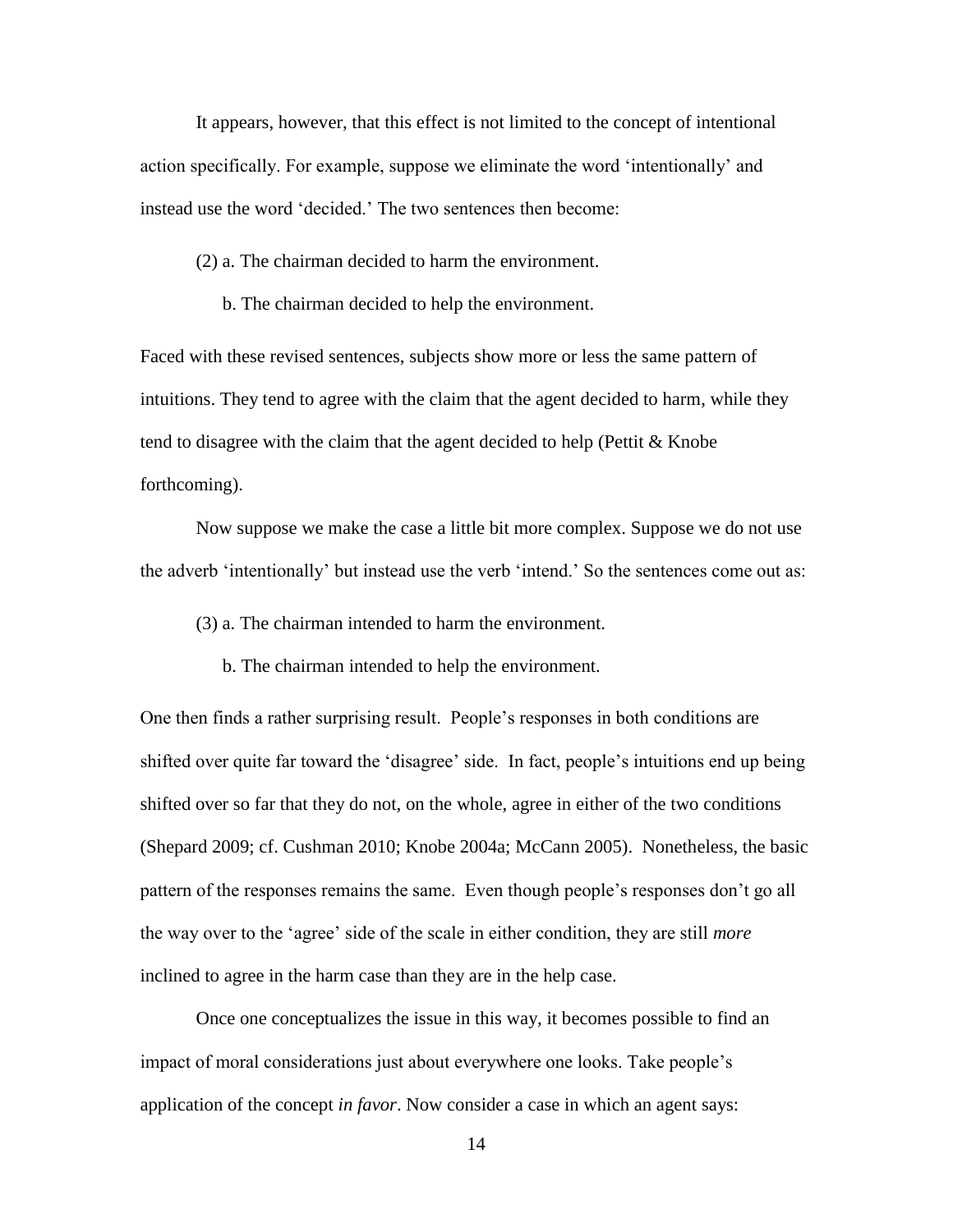It appears, however, that this effect is not limited to the concept of intentional action specifically. For example, suppose we eliminate the word 'intentionally' and instead use the word 'decided.' The two sentences then become:

#### (2) a. The chairman decided to harm the environment.

b. The chairman decided to help the environment.

Faced with these revised sentences, subjects show more or less the same pattern of intuitions. They tend to agree with the claim that the agent decided to harm, while they tend to disagree with the claim that the agent decided to help (Pettit & Knobe forthcoming).

Now suppose we make the case a little bit more complex. Suppose we do not use the adverb 'intentionally' but instead use the verb 'intend.' So the sentences come out as:

(3) a. The chairman intended to harm the environment.

b. The chairman intended to help the environment.

One then finds a rather surprising result. People's responses in both conditions are shifted over quite far toward the 'disagree' side. In fact, people's intuitions end up being shifted over so far that they do not, on the whole, agree in either of the two conditions (Shepard 2009; cf. Cushman 2010; Knobe 2004a; McCann 2005). Nonetheless, the basic pattern of the responses remains the same. Even though people's responses don't go all the way over to the 'agree' side of the scale in either condition, they are still *more* inclined to agree in the harm case than they are in the help case.

Once one conceptualizes the issue in this way, it becomes possible to find an impact of moral considerations just about everywhere one looks. Take people's application of the concept *in favor*. Now consider a case in which an agent says: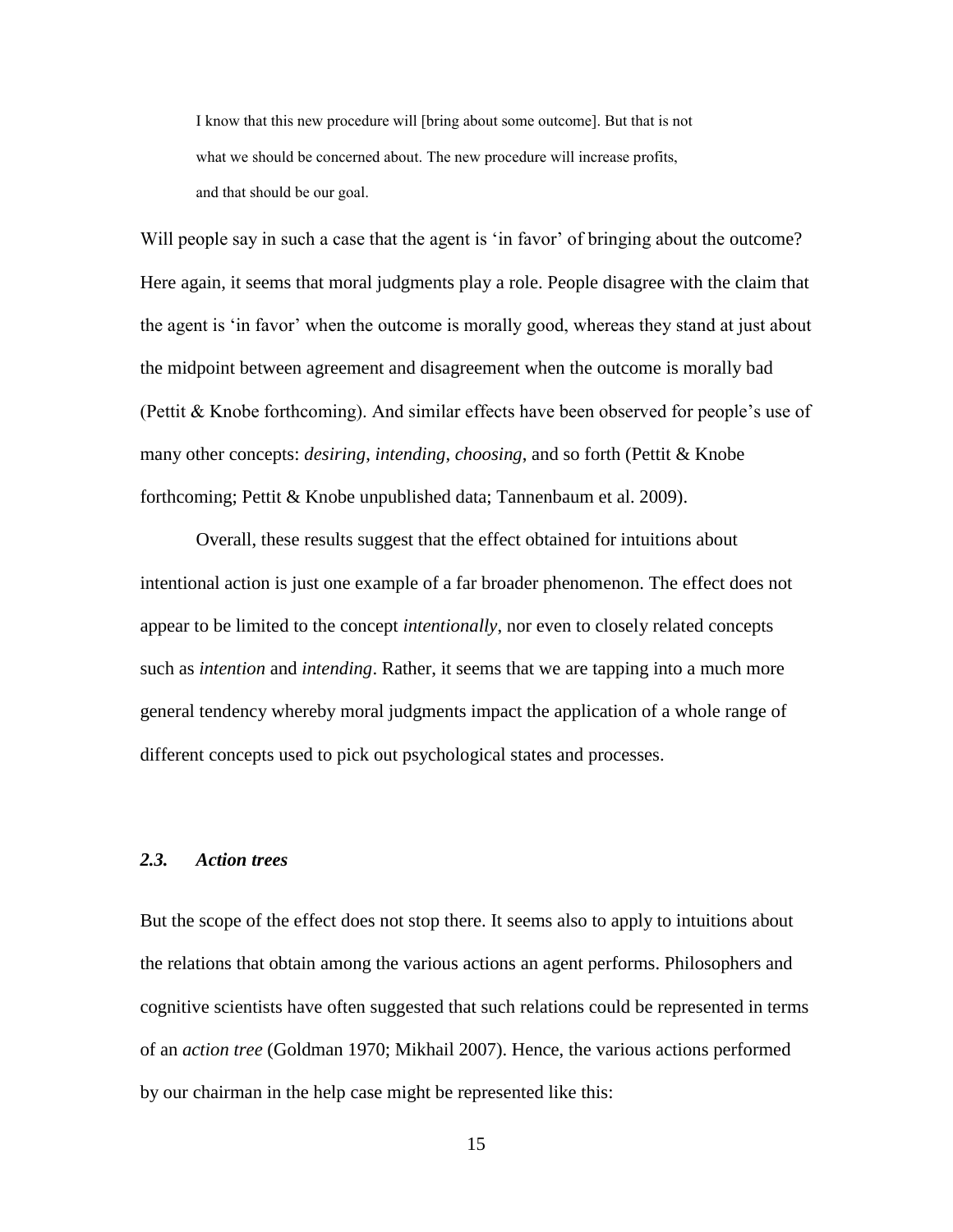I know that this new procedure will [bring about some outcome]. But that is not what we should be concerned about. The new procedure will increase profits, and that should be our goal.

Will people say in such a case that the agent is 'in favor' of bringing about the outcome? Here again, it seems that moral judgments play a role. People disagree with the claim that the agent is 'in favor' when the outcome is morally good, whereas they stand at just about the midpoint between agreement and disagreement when the outcome is morally bad (Pettit & Knobe forthcoming). And similar effects have been observed for people's use of many other concepts: *desiring*, *intending*, *choosing*, and so forth (Pettit & Knobe forthcoming; Pettit & Knobe unpublished data; Tannenbaum et al. 2009).

Overall, these results suggest that the effect obtained for intuitions about intentional action is just one example of a far broader phenomenon. The effect does not appear to be limited to the concept *intentionally*, nor even to closely related concepts such as *intention* and *intending*. Rather, it seems that we are tapping into a much more general tendency whereby moral judgments impact the application of a whole range of different concepts used to pick out psychological states and processes.

### *2.3. Action trees*

But the scope of the effect does not stop there. It seems also to apply to intuitions about the relations that obtain among the various actions an agent performs. Philosophers and cognitive scientists have often suggested that such relations could be represented in terms of an *action tree* (Goldman 1970; Mikhail 2007). Hence, the various actions performed by our chairman in the help case might be represented like this: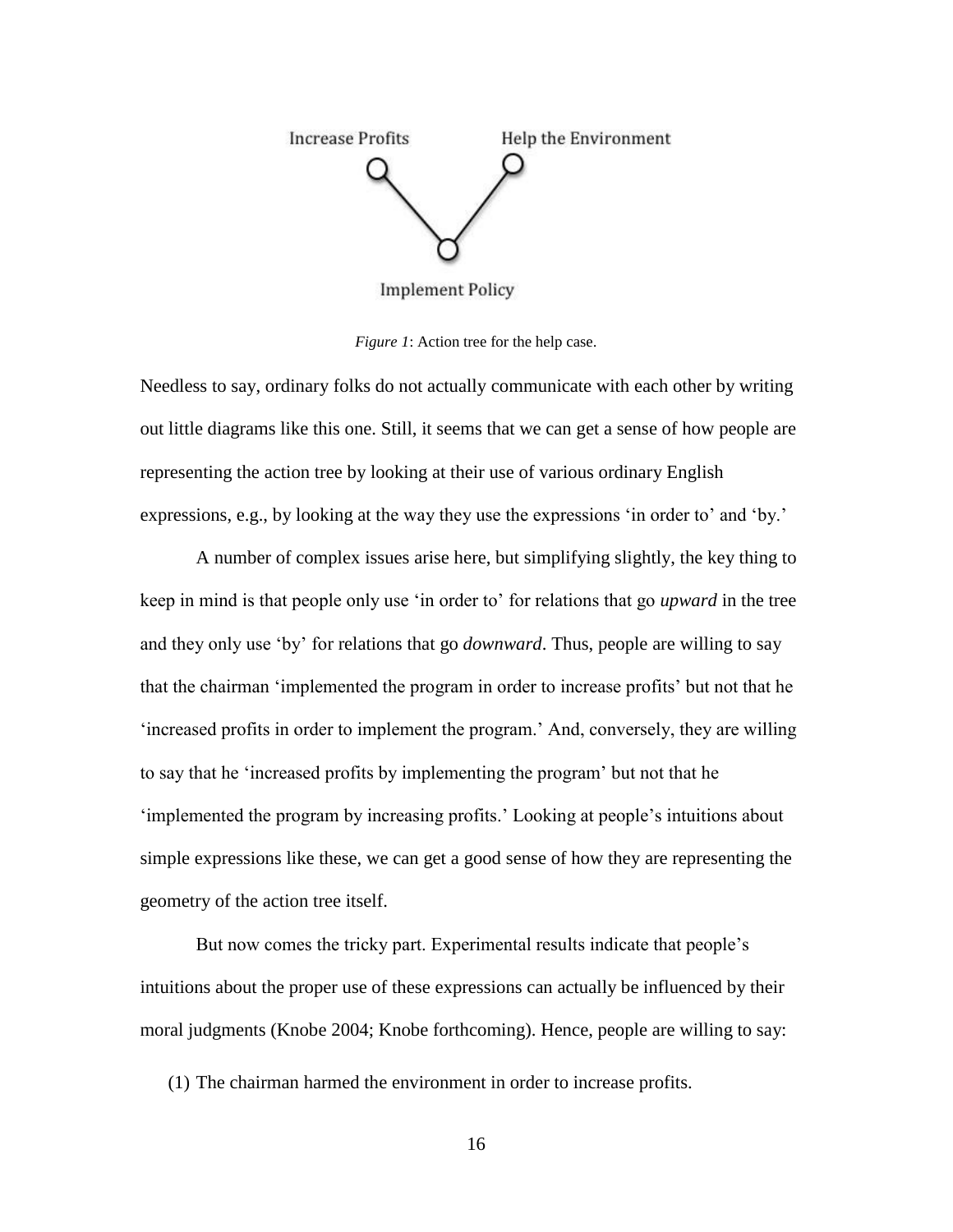

**Implement Policy** 

*Figure 1*: Action tree for the help case.

Needless to say, ordinary folks do not actually communicate with each other by writing out little diagrams like this one. Still, it seems that we can get a sense of how people are representing the action tree by looking at their use of various ordinary English expressions, e.g., by looking at the way they use the expressions 'in order to' and 'by.'

A number of complex issues arise here, but simplifying slightly, the key thing to keep in mind is that people only use 'in order to' for relations that go *upward* in the tree and they only use 'by' for relations that go *downward*. Thus, people are willing to say that the chairman 'implemented the program in order to increase profits' but not that he 'increased profits in order to implement the program.' And, conversely, they are willing to say that he 'increased profits by implementing the program' but not that he 'implemented the program by increasing profits.' Looking at people's intuitions about simple expressions like these, we can get a good sense of how they are representing the geometry of the action tree itself.

But now comes the tricky part. Experimental results indicate that people's intuitions about the proper use of these expressions can actually be influenced by their moral judgments (Knobe 2004; Knobe forthcoming). Hence, people are willing to say:

(1) The chairman harmed the environment in order to increase profits.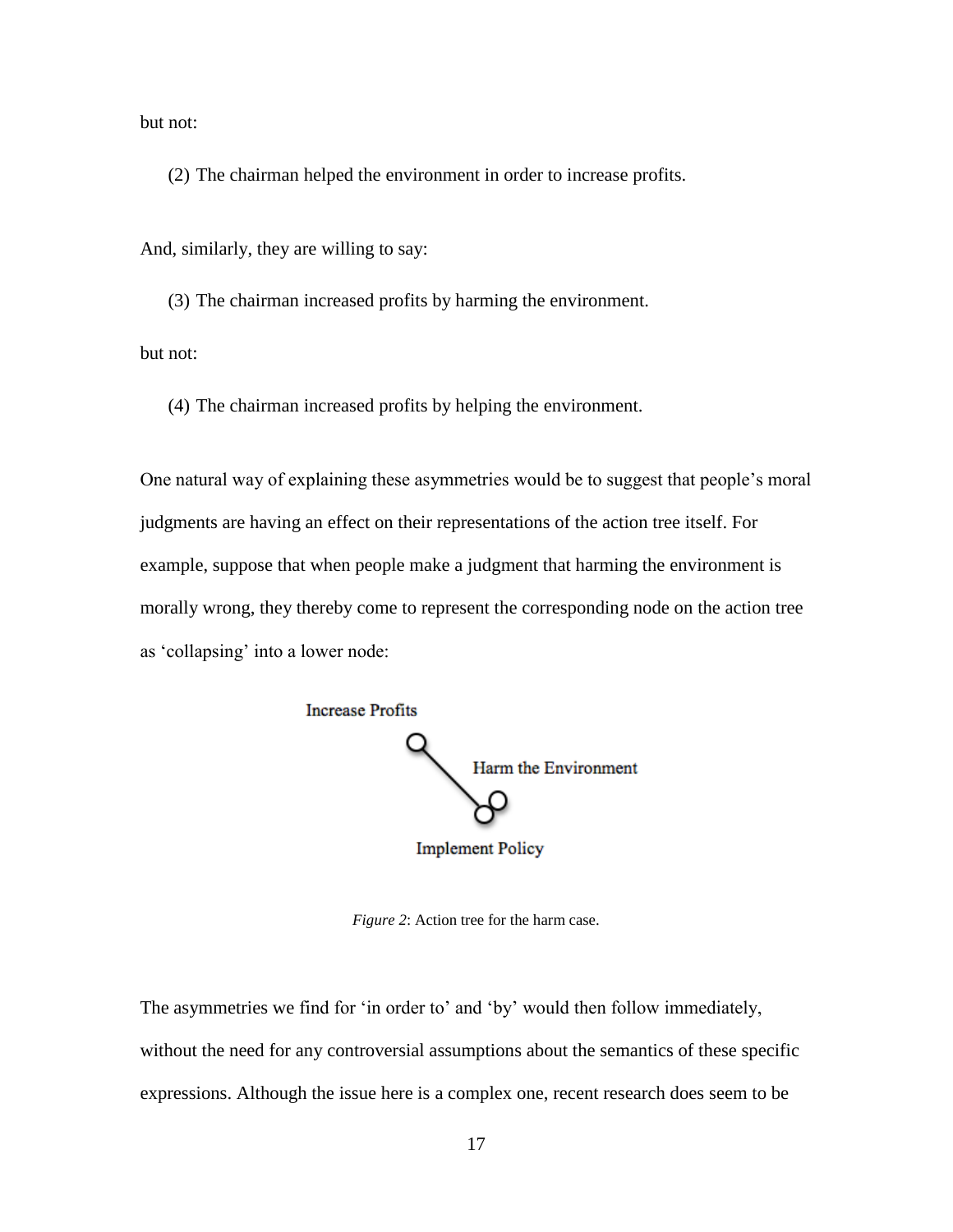but not:

(2) The chairman helped the environment in order to increase profits.

And, similarly, they are willing to say:

(3) The chairman increased profits by harming the environment.

but not:

(4) The chairman increased profits by helping the environment.

One natural way of explaining these asymmetries would be to suggest that people's moral judgments are having an effect on their representations of the action tree itself. For example, suppose that when people make a judgment that harming the environment is morally wrong, they thereby come to represent the corresponding node on the action tree as 'collapsing' into a lower node:



*Figure 2*: Action tree for the harm case.

The asymmetries we find for 'in order to' and 'by' would then follow immediately, without the need for any controversial assumptions about the semantics of these specific expressions. Although the issue here is a complex one, recent research does seem to be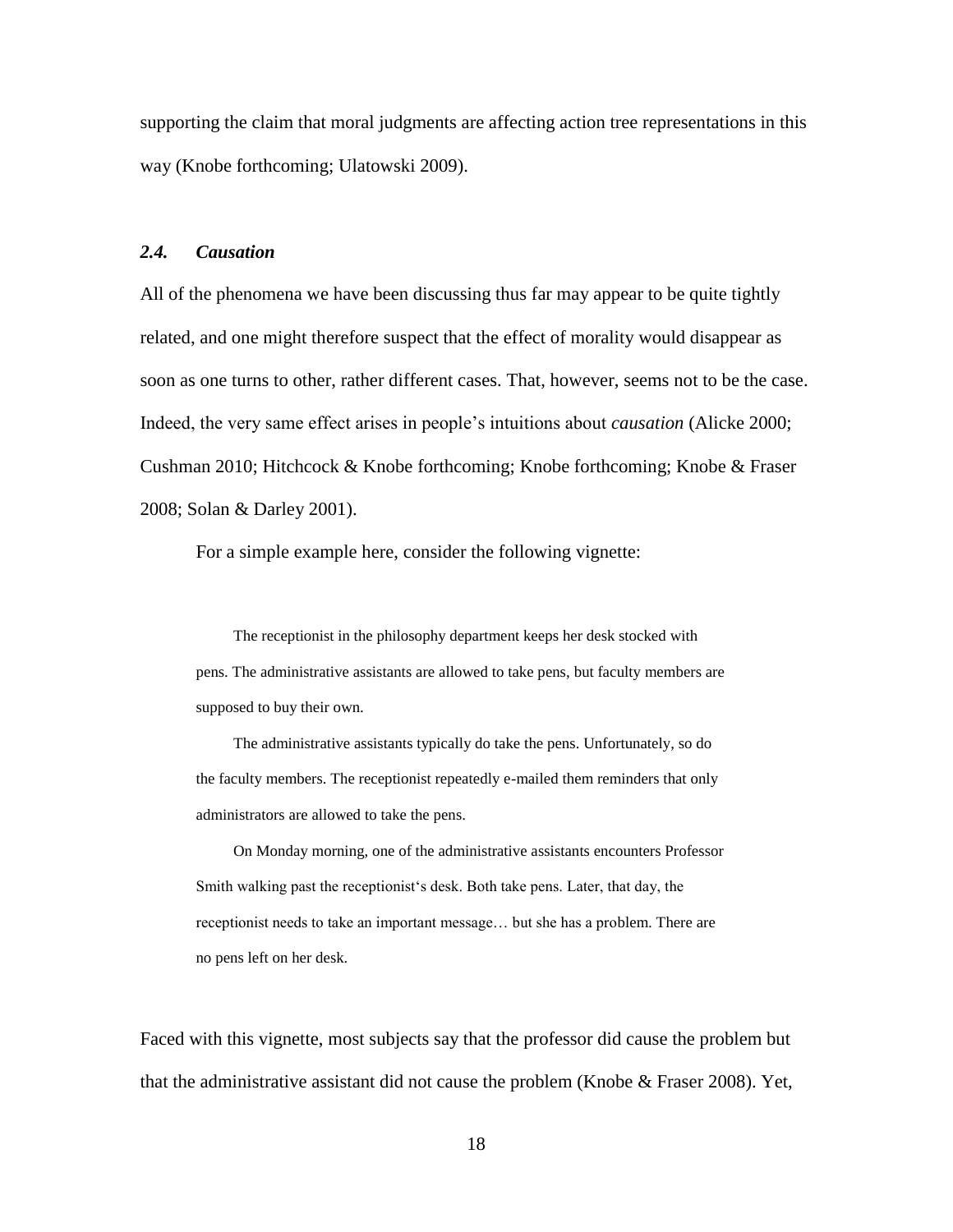supporting the claim that moral judgments are affecting action tree representations in this way (Knobe forthcoming; Ulatowski 2009).

### *2.4. Causation*

All of the phenomena we have been discussing thus far may appear to be quite tightly related, and one might therefore suspect that the effect of morality would disappear as soon as one turns to other, rather different cases. That, however, seems not to be the case. Indeed, the very same effect arises in people's intuitions about *causation* (Alicke 2000; Cushman 2010; Hitchcock & Knobe forthcoming; Knobe forthcoming; Knobe & Fraser 2008; Solan & Darley 2001).

For a simple example here, consider the following vignette:

The receptionist in the philosophy department keeps her desk stocked with pens. The administrative assistants are allowed to take pens, but faculty members are supposed to buy their own.

The administrative assistants typically do take the pens. Unfortunately, so do the faculty members. The receptionist repeatedly e-mailed them reminders that only administrators are allowed to take the pens.

On Monday morning, one of the administrative assistants encounters Professor Smith walking past the receptionist's desk. Both take pens. Later, that day, the receptionist needs to take an important message… but she has a problem. There are no pens left on her desk.

Faced with this vignette, most subjects say that the professor did cause the problem but that the administrative assistant did not cause the problem (Knobe & Fraser 2008). Yet,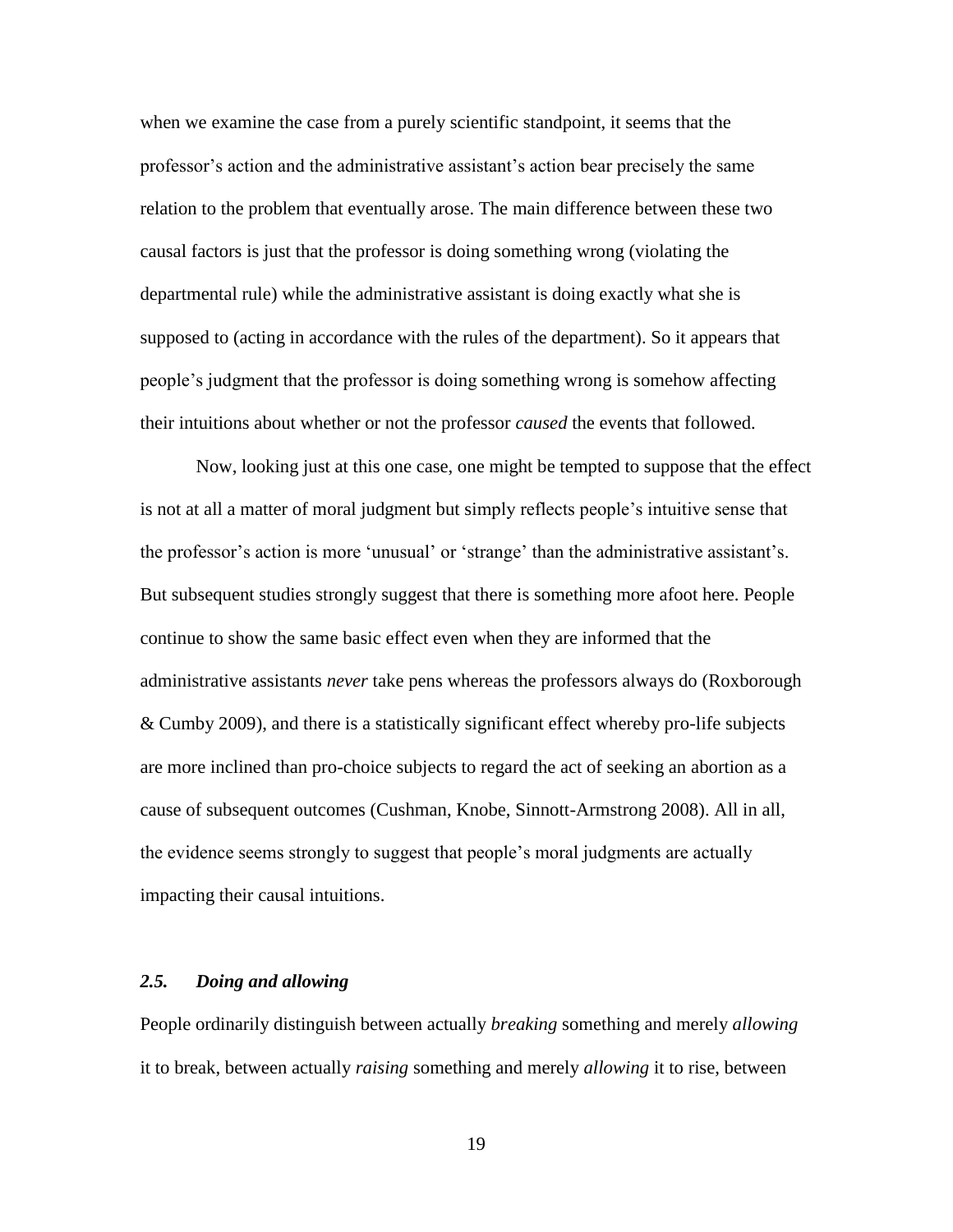when we examine the case from a purely scientific standpoint, it seems that the professor's action and the administrative assistant's action bear precisely the same relation to the problem that eventually arose. The main difference between these two causal factors is just that the professor is doing something wrong (violating the departmental rule) while the administrative assistant is doing exactly what she is supposed to (acting in accordance with the rules of the department). So it appears that people's judgment that the professor is doing something wrong is somehow affecting their intuitions about whether or not the professor *caused* the events that followed.

Now, looking just at this one case, one might be tempted to suppose that the effect is not at all a matter of moral judgment but simply reflects people's intuitive sense that the professor's action is more 'unusual' or 'strange' than the administrative assistant's. But subsequent studies strongly suggest that there is something more afoot here. People continue to show the same basic effect even when they are informed that the administrative assistants *never* take pens whereas the professors always do (Roxborough & Cumby 2009), and there is a statistically significant effect whereby pro-life subjects are more inclined than pro-choice subjects to regard the act of seeking an abortion as a cause of subsequent outcomes (Cushman, Knobe, Sinnott-Armstrong 2008). All in all, the evidence seems strongly to suggest that people's moral judgments are actually impacting their causal intuitions.

### *2.5. Doing and allowing*

People ordinarily distinguish between actually *breaking* something and merely *allowing* it to break, between actually *raising* something and merely *allowing* it to rise, between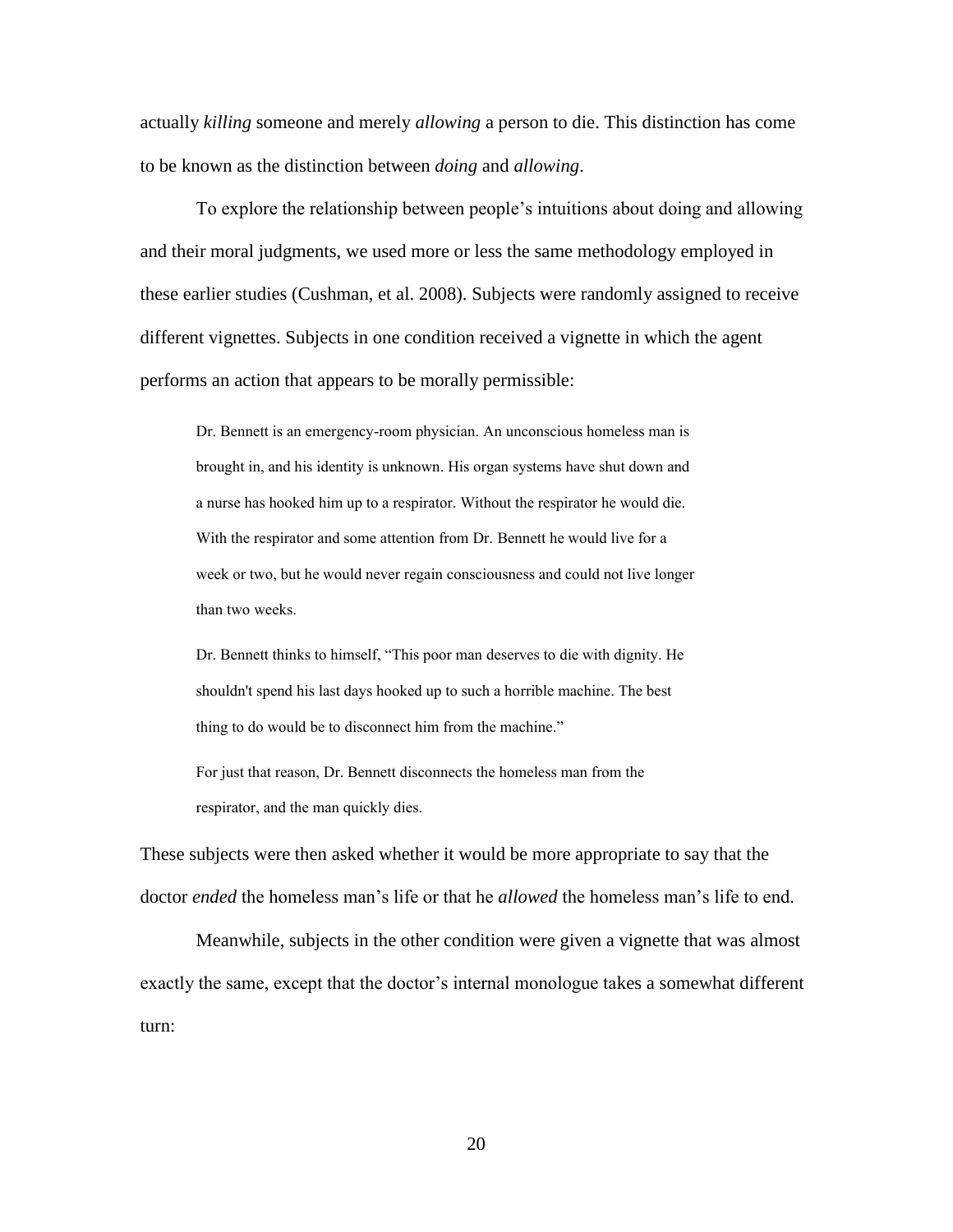actually *killing* someone and merely *allowing* a person to die. This distinction has come to be known as the distinction between *doing* and *allowing*.

To explore the relationship between people's intuitions about doing and allowing and their moral judgments, we used more or less the same methodology employed in these earlier studies (Cushman, et al. 2008). Subjects were randomly assigned to receive different vignettes. Subjects in one condition received a vignette in which the agent performs an action that appears to be morally permissible:

Dr. Bennett is an emergency-room physician. An unconscious homeless man is brought in, and his identity is unknown. His organ systems have shut down and a nurse has hooked him up to a respirator. Without the respirator he would die. With the respirator and some attention from Dr. Bennett he would live for a week or two, but he would never regain consciousness and could not live longer than two weeks.

Dr. Bennett thinks to himself, "This poor man deserves to die with dignity. He shouldn't spend his last days hooked up to such a horrible machine. The best thing to do would be to disconnect him from the machine."

For just that reason, Dr. Bennett disconnects the homeless man from the respirator, and the man quickly dies.

These subjects were then asked whether it would be more appropriate to say that the doctor *ended* the homeless man's life or that he *allowed* the homeless man's life to end.

Meanwhile, subjects in the other condition were given a vignette that was almost exactly the same, except that the doctor's internal monologue takes a somewhat different turn: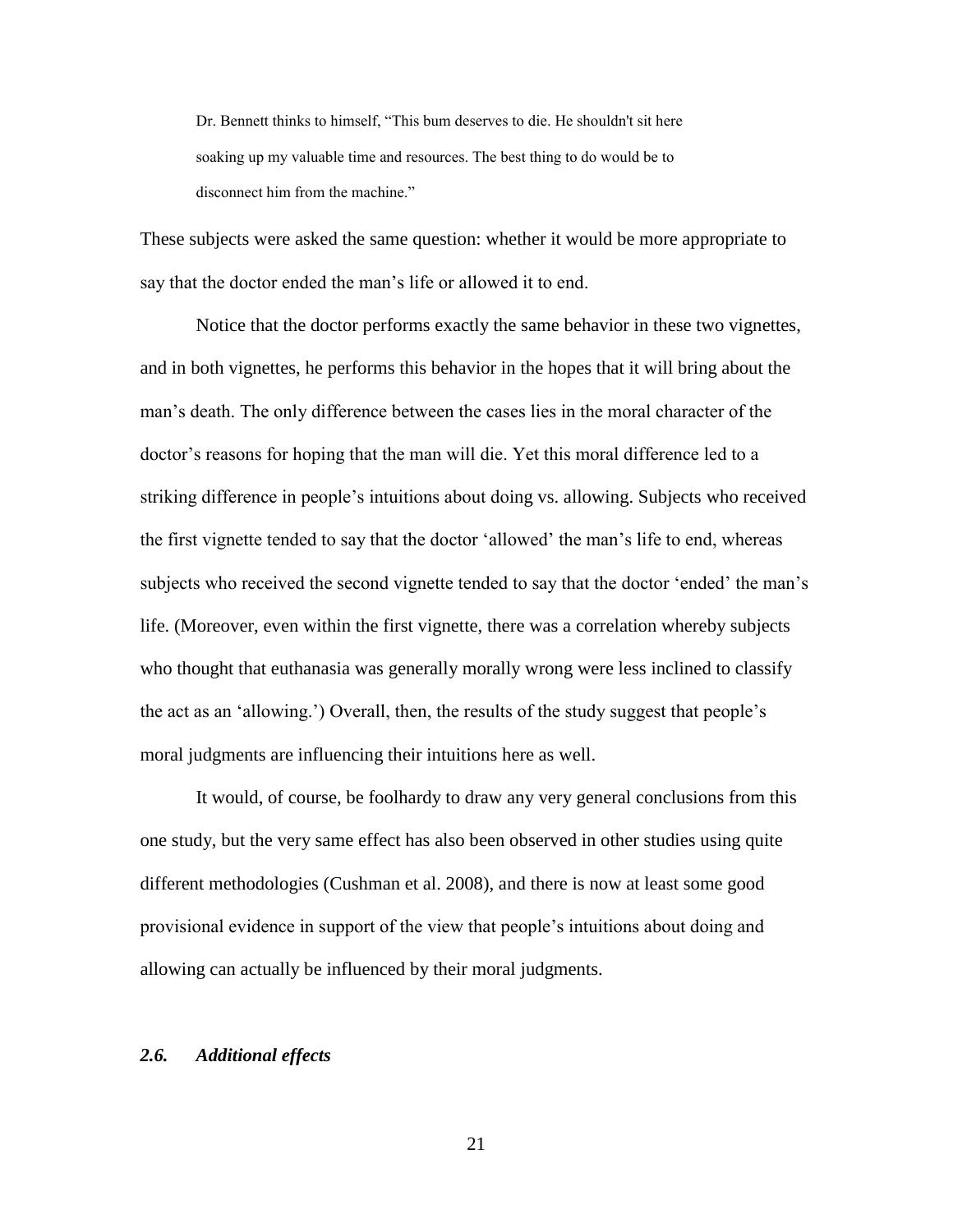Dr. Bennett thinks to himself, "This bum deserves to die. He shouldn't sit here soaking up my valuable time and resources. The best thing to do would be to disconnect him from the machine."

These subjects were asked the same question: whether it would be more appropriate to say that the doctor ended the man's life or allowed it to end.

Notice that the doctor performs exactly the same behavior in these two vignettes, and in both vignettes, he performs this behavior in the hopes that it will bring about the man's death. The only difference between the cases lies in the moral character of the doctor's reasons for hoping that the man will die. Yet this moral difference led to a striking difference in people's intuitions about doing vs. allowing. Subjects who received the first vignette tended to say that the doctor 'allowed' the man's life to end, whereas subjects who received the second vignette tended to say that the doctor 'ended' the man's life. (Moreover, even within the first vignette, there was a correlation whereby subjects who thought that euthanasia was generally morally wrong were less inclined to classify the act as an 'allowing.') Overall, then, the results of the study suggest that people's moral judgments are influencing their intuitions here as well.

It would, of course, be foolhardy to draw any very general conclusions from this one study, but the very same effect has also been observed in other studies using quite different methodologies (Cushman et al. 2008), and there is now at least some good provisional evidence in support of the view that people's intuitions about doing and allowing can actually be influenced by their moral judgments.

### *2.6. Additional effects*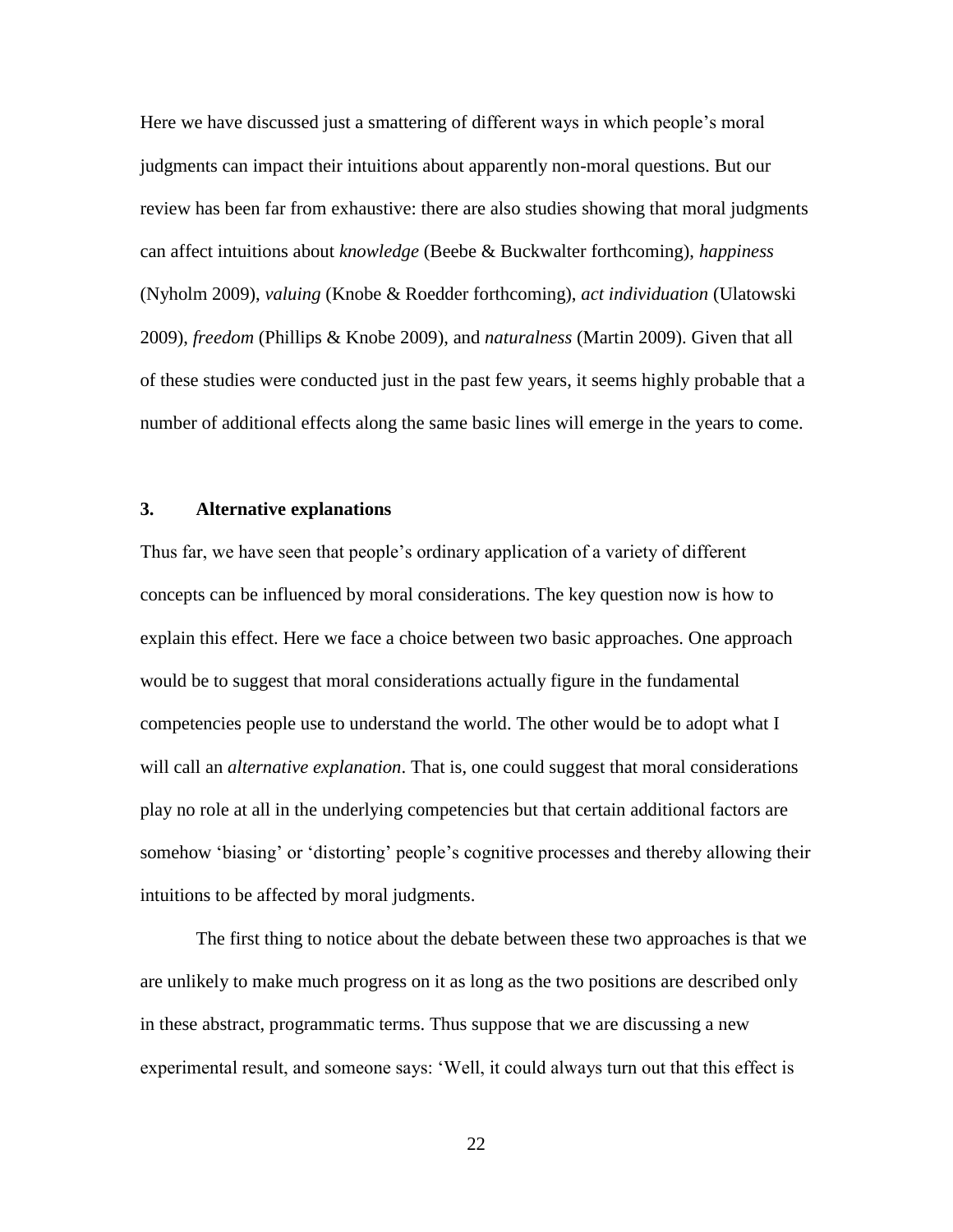Here we have discussed just a smattering of different ways in which people's moral judgments can impact their intuitions about apparently non-moral questions. But our review has been far from exhaustive: there are also studies showing that moral judgments can affect intuitions about *knowledge* (Beebe & Buckwalter forthcoming), *happiness* (Nyholm 2009), *valuing* (Knobe & Roedder forthcoming), *act individuation* (Ulatowski 2009), *freedom* (Phillips & Knobe 2009), and *naturalness* (Martin 2009). Given that all of these studies were conducted just in the past few years, it seems highly probable that a number of additional effects along the same basic lines will emerge in the years to come.

### **3. Alternative explanations**

Thus far, we have seen that people's ordinary application of a variety of different concepts can be influenced by moral considerations. The key question now is how to explain this effect. Here we face a choice between two basic approaches. One approach would be to suggest that moral considerations actually figure in the fundamental competencies people use to understand the world. The other would be to adopt what I will call an *alternative explanation*. That is, one could suggest that moral considerations play no role at all in the underlying competencies but that certain additional factors are somehow 'biasing' or 'distorting' people's cognitive processes and thereby allowing their intuitions to be affected by moral judgments.

The first thing to notice about the debate between these two approaches is that we are unlikely to make much progress on it as long as the two positions are described only in these abstract, programmatic terms. Thus suppose that we are discussing a new experimental result, and someone says: 'Well, it could always turn out that this effect is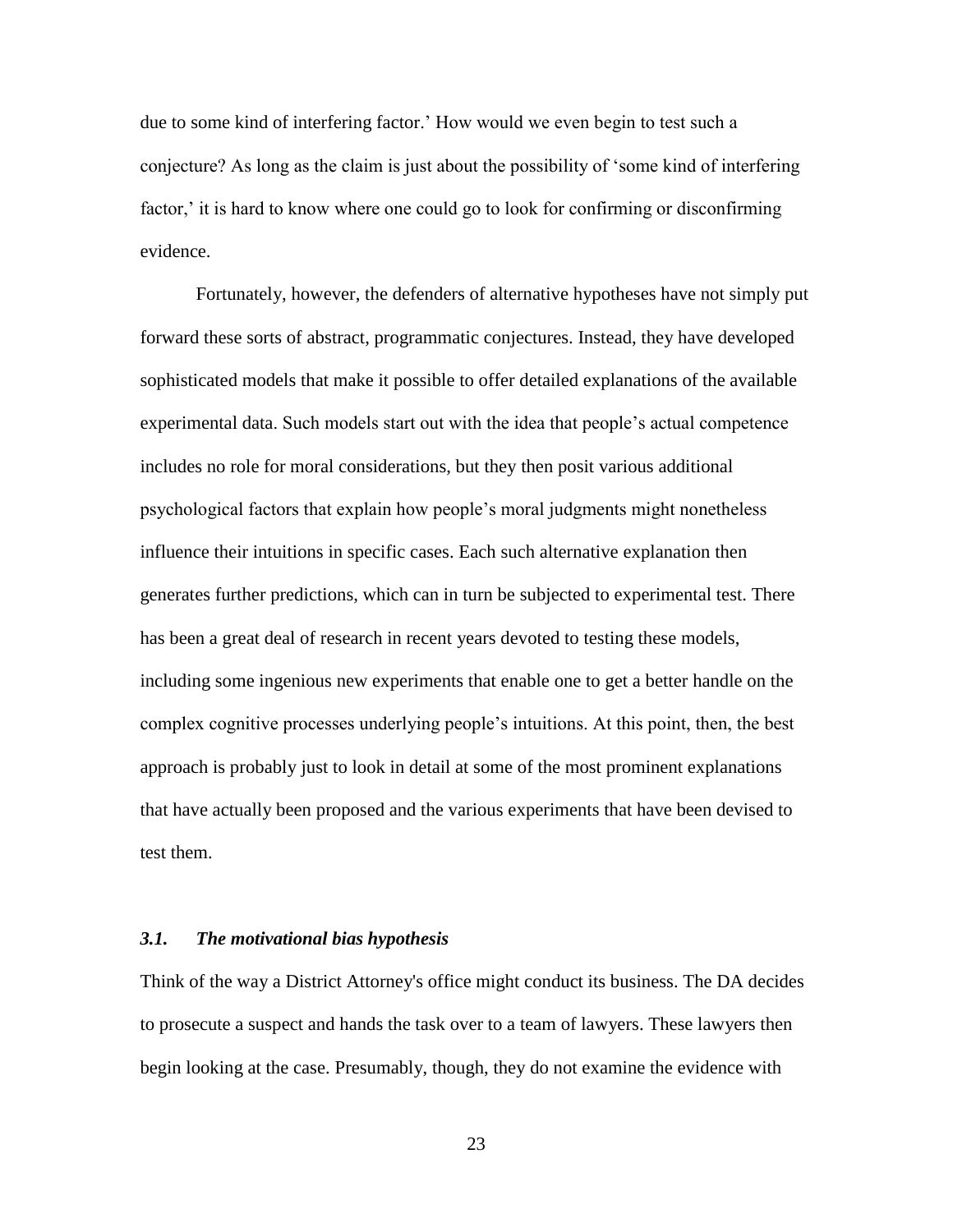due to some kind of interfering factor.' How would we even begin to test such a conjecture? As long as the claim is just about the possibility of 'some kind of interfering factor,' it is hard to know where one could go to look for confirming or disconfirming evidence.

Fortunately, however, the defenders of alternative hypotheses have not simply put forward these sorts of abstract, programmatic conjectures. Instead, they have developed sophisticated models that make it possible to offer detailed explanations of the available experimental data. Such models start out with the idea that people's actual competence includes no role for moral considerations, but they then posit various additional psychological factors that explain how people's moral judgments might nonetheless influence their intuitions in specific cases. Each such alternative explanation then generates further predictions, which can in turn be subjected to experimental test. There has been a great deal of research in recent years devoted to testing these models, including some ingenious new experiments that enable one to get a better handle on the complex cognitive processes underlying people's intuitions. At this point, then, the best approach is probably just to look in detail at some of the most prominent explanations that have actually been proposed and the various experiments that have been devised to test them.

### *3.1. The motivational bias hypothesis*

Think of the way a District Attorney's office might conduct its business. The DA decides to prosecute a suspect and hands the task over to a team of lawyers. These lawyers then begin looking at the case. Presumably, though, they do not examine the evidence with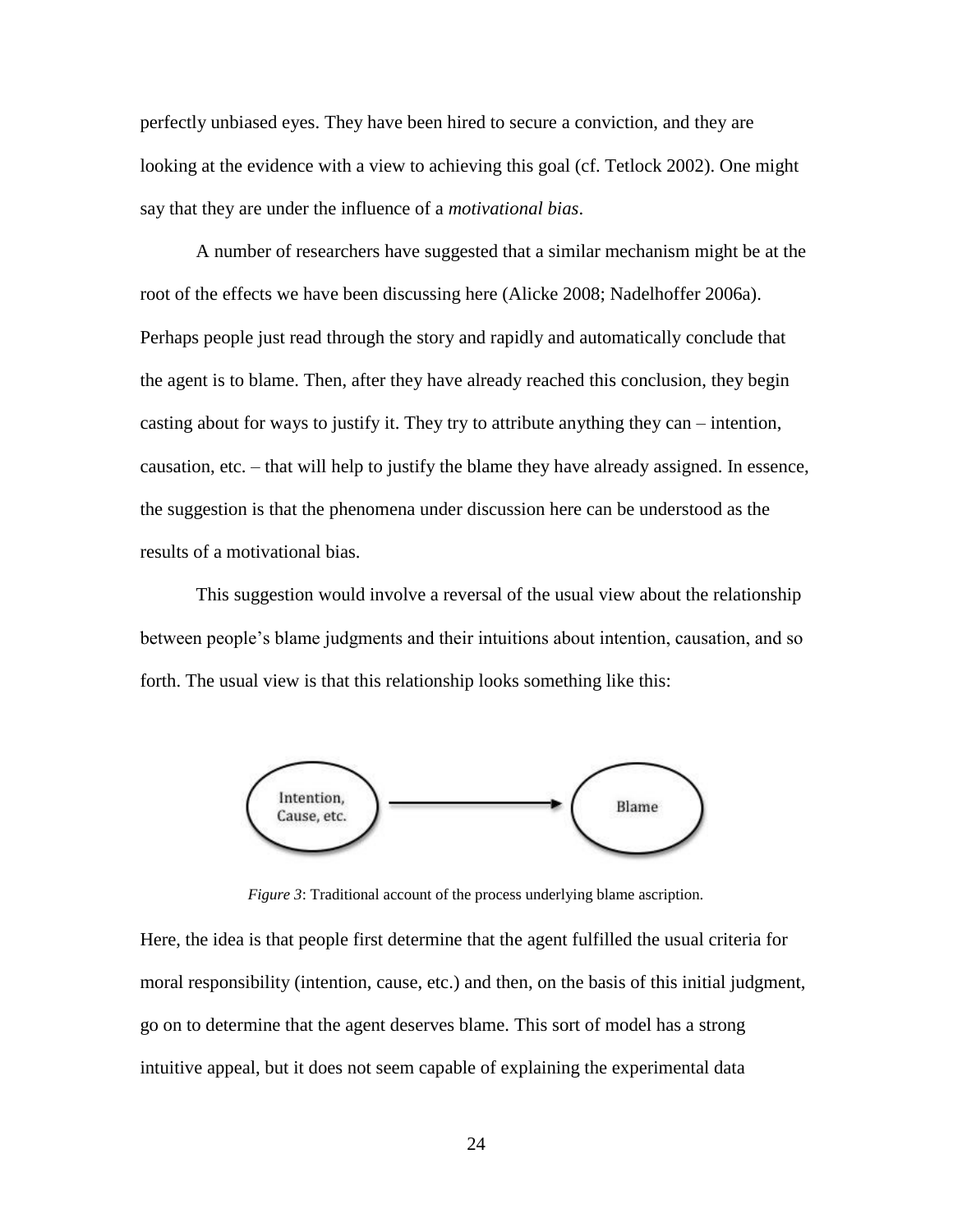perfectly unbiased eyes. They have been hired to secure a conviction, and they are looking at the evidence with a view to achieving this goal (cf. Tetlock 2002). One might say that they are under the influence of a *motivational bias*.

A number of researchers have suggested that a similar mechanism might be at the root of the effects we have been discussing here (Alicke 2008; Nadelhoffer 2006a). Perhaps people just read through the story and rapidly and automatically conclude that the agent is to blame. Then, after they have already reached this conclusion, they begin casting about for ways to justify it. They try to attribute anything they can – intention, causation, etc. – that will help to justify the blame they have already assigned. In essence, the suggestion is that the phenomena under discussion here can be understood as the results of a motivational bias.

This suggestion would involve a reversal of the usual view about the relationship between people's blame judgments and their intuitions about intention, causation, and so forth. The usual view is that this relationship looks something like this:



*Figure 3*: Traditional account of the process underlying blame ascription.

Here, the idea is that people first determine that the agent fulfilled the usual criteria for moral responsibility (intention, cause, etc.) and then, on the basis of this initial judgment, go on to determine that the agent deserves blame. This sort of model has a strong intuitive appeal, but it does not seem capable of explaining the experimental data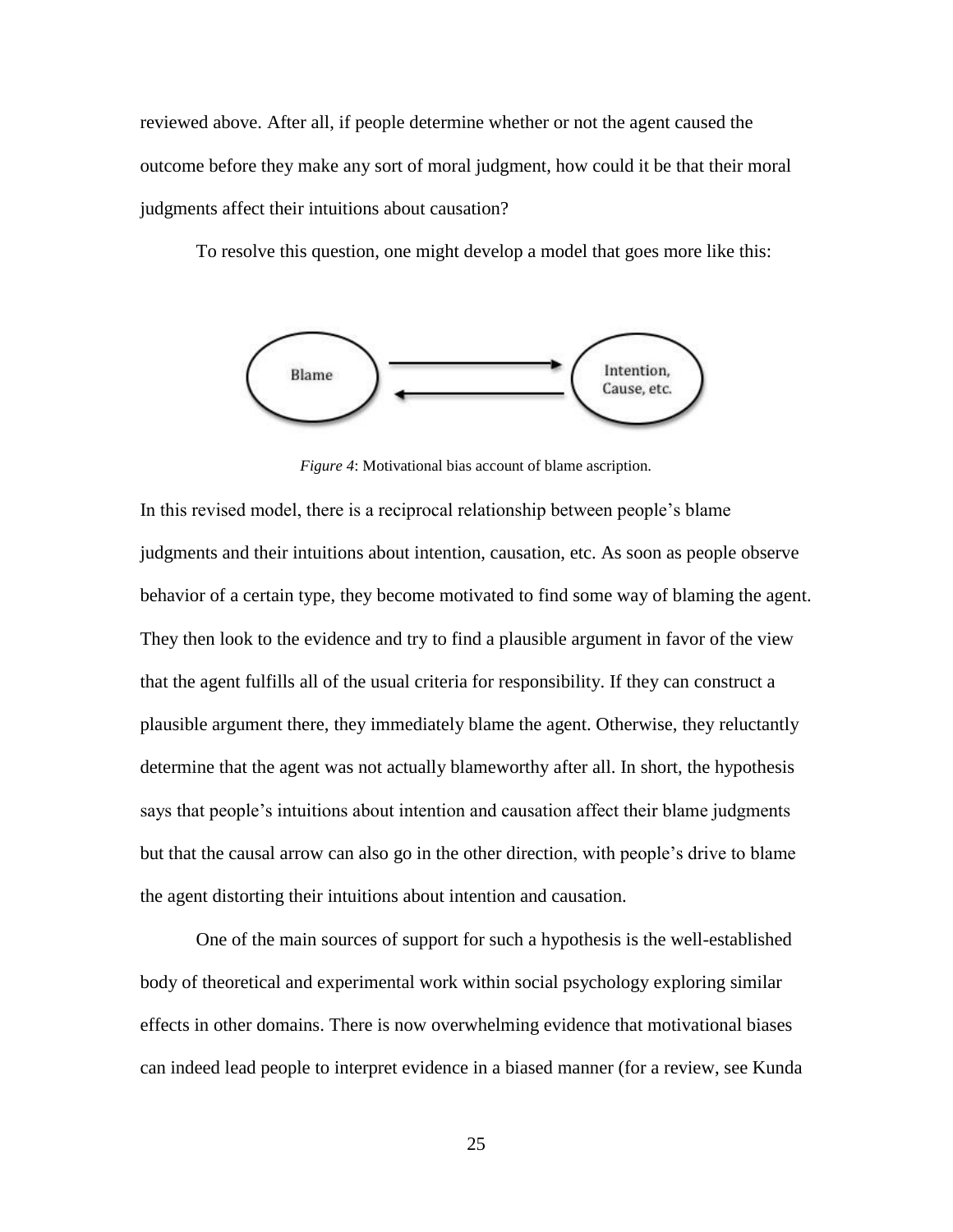reviewed above. After all, if people determine whether or not the agent caused the outcome before they make any sort of moral judgment, how could it be that their moral judgments affect their intuitions about causation?

To resolve this question, one might develop a model that goes more like this:



*Figure 4*: Motivational bias account of blame ascription.

In this revised model, there is a reciprocal relationship between people's blame judgments and their intuitions about intention, causation, etc. As soon as people observe behavior of a certain type, they become motivated to find some way of blaming the agent. They then look to the evidence and try to find a plausible argument in favor of the view that the agent fulfills all of the usual criteria for responsibility. If they can construct a plausible argument there, they immediately blame the agent. Otherwise, they reluctantly determine that the agent was not actually blameworthy after all. In short, the hypothesis says that people's intuitions about intention and causation affect their blame judgments but that the causal arrow can also go in the other direction, with people's drive to blame the agent distorting their intuitions about intention and causation.

One of the main sources of support for such a hypothesis is the well-established body of theoretical and experimental work within social psychology exploring similar effects in other domains. There is now overwhelming evidence that motivational biases can indeed lead people to interpret evidence in a biased manner (for a review, see Kunda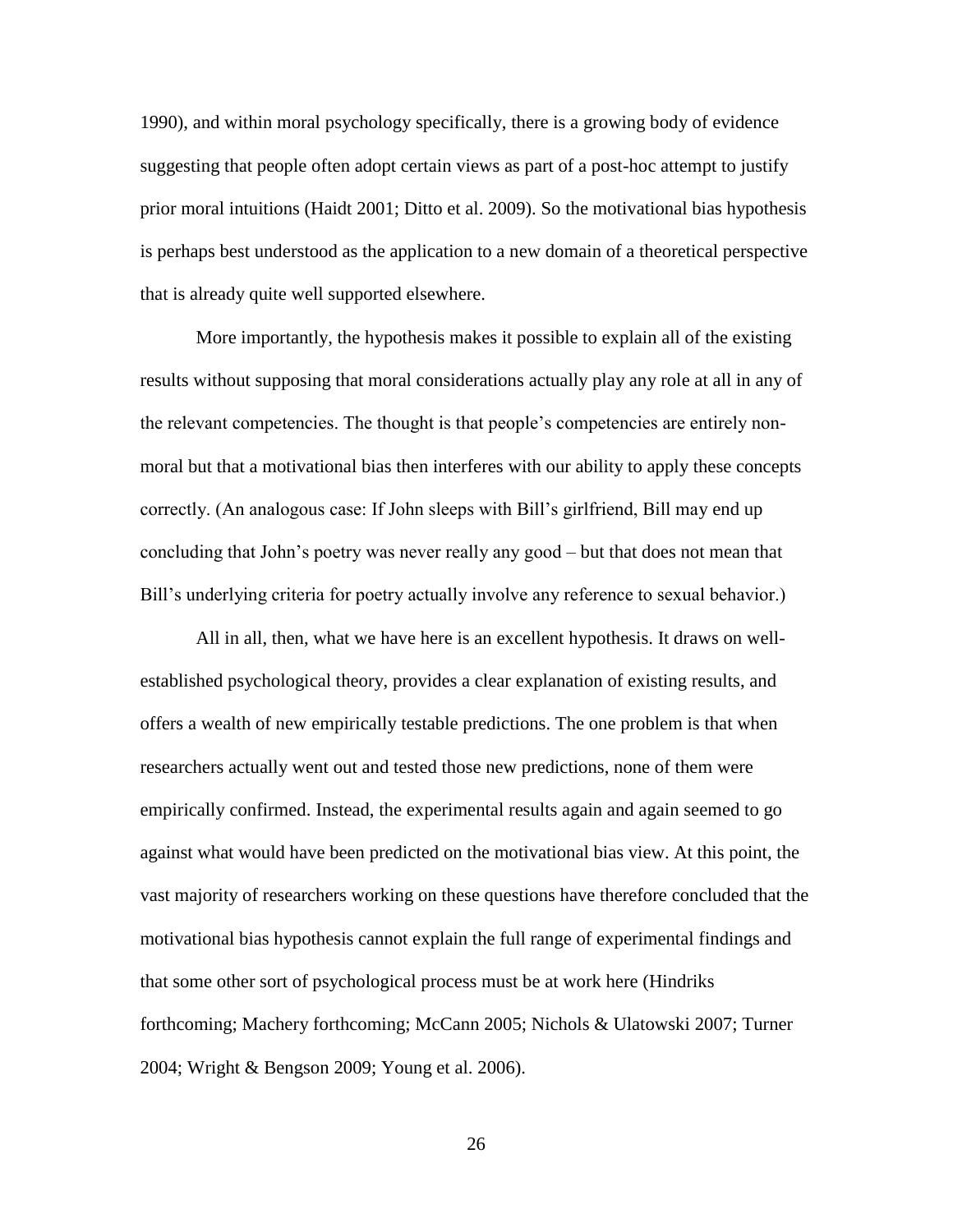1990), and within moral psychology specifically, there is a growing body of evidence suggesting that people often adopt certain views as part of a post-hoc attempt to justify prior moral intuitions (Haidt 2001; Ditto et al. 2009). So the motivational bias hypothesis is perhaps best understood as the application to a new domain of a theoretical perspective that is already quite well supported elsewhere.

More importantly, the hypothesis makes it possible to explain all of the existing results without supposing that moral considerations actually play any role at all in any of the relevant competencies. The thought is that people's competencies are entirely nonmoral but that a motivational bias then interferes with our ability to apply these concepts correctly. (An analogous case: If John sleeps with Bill's girlfriend, Bill may end up concluding that John's poetry was never really any good – but that does not mean that Bill's underlying criteria for poetry actually involve any reference to sexual behavior.)

All in all, then, what we have here is an excellent hypothesis. It draws on wellestablished psychological theory, provides a clear explanation of existing results, and offers a wealth of new empirically testable predictions. The one problem is that when researchers actually went out and tested those new predictions, none of them were empirically confirmed. Instead, the experimental results again and again seemed to go against what would have been predicted on the motivational bias view. At this point, the vast majority of researchers working on these questions have therefore concluded that the motivational bias hypothesis cannot explain the full range of experimental findings and that some other sort of psychological process must be at work here (Hindriks forthcoming; Machery forthcoming; McCann 2005; Nichols & Ulatowski 2007; Turner 2004; Wright & Bengson 2009; Young et al. 2006).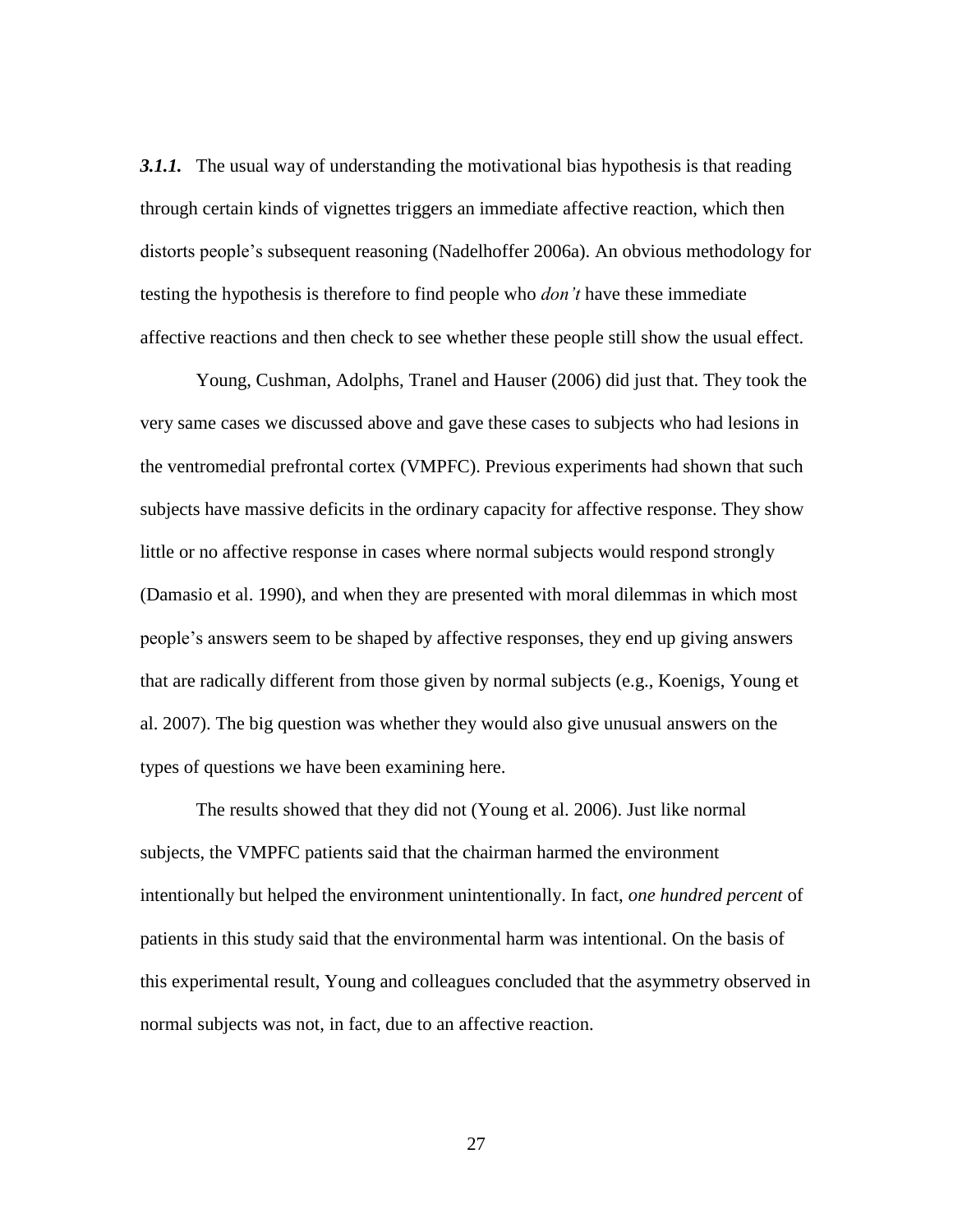**3.1.1.** The usual way of understanding the motivational bias hypothesis is that reading through certain kinds of vignettes triggers an immediate affective reaction, which then distorts people's subsequent reasoning (Nadelhoffer 2006a). An obvious methodology for testing the hypothesis is therefore to find people who *don't* have these immediate affective reactions and then check to see whether these people still show the usual effect.

Young, Cushman, Adolphs, Tranel and Hauser (2006) did just that. They took the very same cases we discussed above and gave these cases to subjects who had lesions in the ventromedial prefrontal cortex (VMPFC). Previous experiments had shown that such subjects have massive deficits in the ordinary capacity for affective response. They show little or no affective response in cases where normal subjects would respond strongly (Damasio et al. 1990), and when they are presented with moral dilemmas in which most people's answers seem to be shaped by affective responses, they end up giving answers that are radically different from those given by normal subjects (e.g., Koenigs, Young et al. 2007). The big question was whether they would also give unusual answers on the types of questions we have been examining here.

The results showed that they did not (Young et al. 2006). Just like normal subjects, the VMPFC patients said that the chairman harmed the environment intentionally but helped the environment unintentionally. In fact, *one hundred percent* of patients in this study said that the environmental harm was intentional. On the basis of this experimental result, Young and colleagues concluded that the asymmetry observed in normal subjects was not, in fact, due to an affective reaction.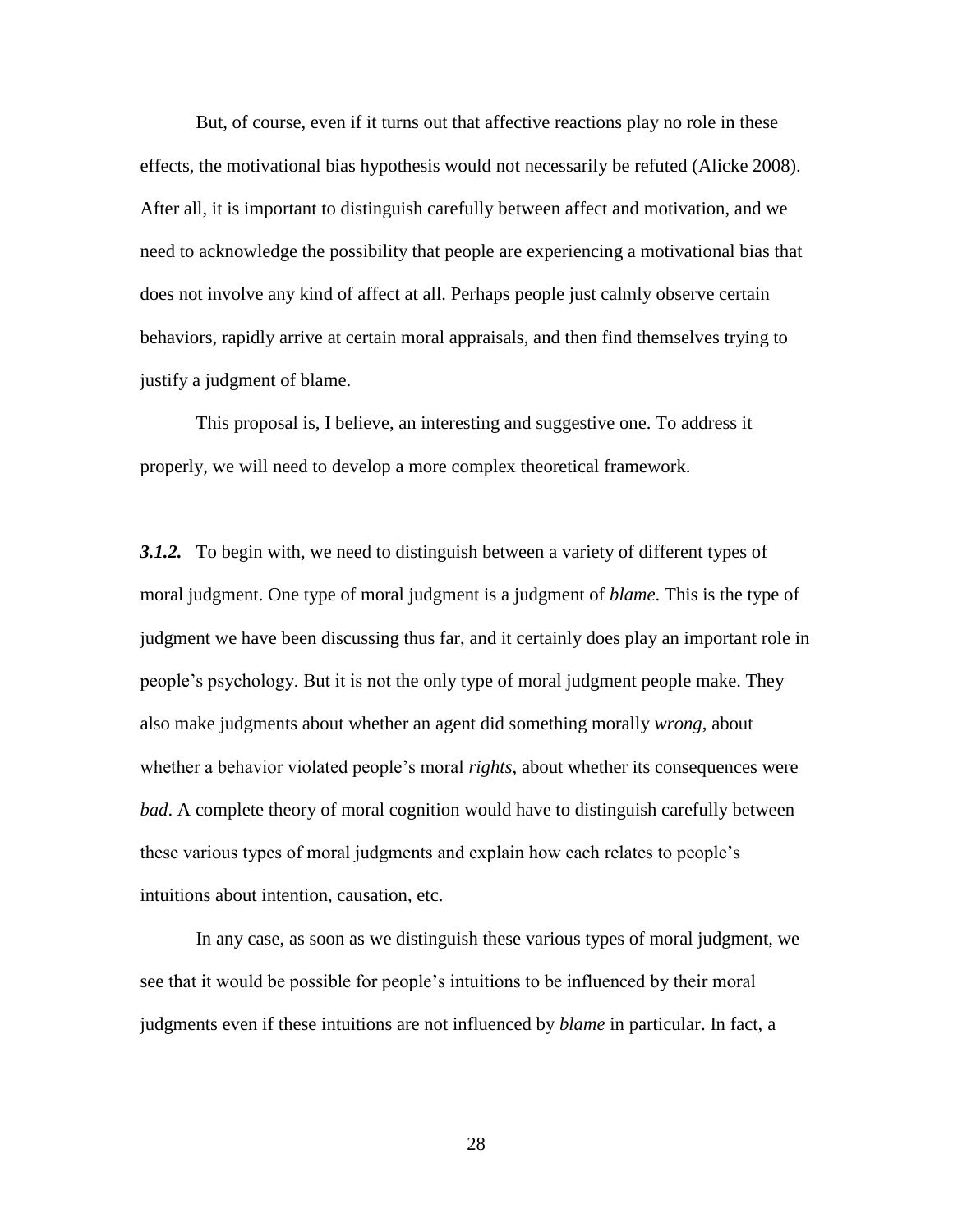But, of course, even if it turns out that affective reactions play no role in these effects, the motivational bias hypothesis would not necessarily be refuted (Alicke 2008). After all, it is important to distinguish carefully between affect and motivation, and we need to acknowledge the possibility that people are experiencing a motivational bias that does not involve any kind of affect at all. Perhaps people just calmly observe certain behaviors, rapidly arrive at certain moral appraisals, and then find themselves trying to justify a judgment of blame.

This proposal is, I believe, an interesting and suggestive one. To address it properly, we will need to develop a more complex theoretical framework.

*3.1.2.* To begin with, we need to distinguish between a variety of different types of moral judgment. One type of moral judgment is a judgment of *blame*. This is the type of judgment we have been discussing thus far, and it certainly does play an important role in people's psychology. But it is not the only type of moral judgment people make. They also make judgments about whether an agent did something morally *wrong*, about whether a behavior violated people's moral *rights*, about whether its consequences were *bad*. A complete theory of moral cognition would have to distinguish carefully between these various types of moral judgments and explain how each relates to people's intuitions about intention, causation, etc.

In any case, as soon as we distinguish these various types of moral judgment, we see that it would be possible for people's intuitions to be influenced by their moral judgments even if these intuitions are not influenced by *blame* in particular. In fact, a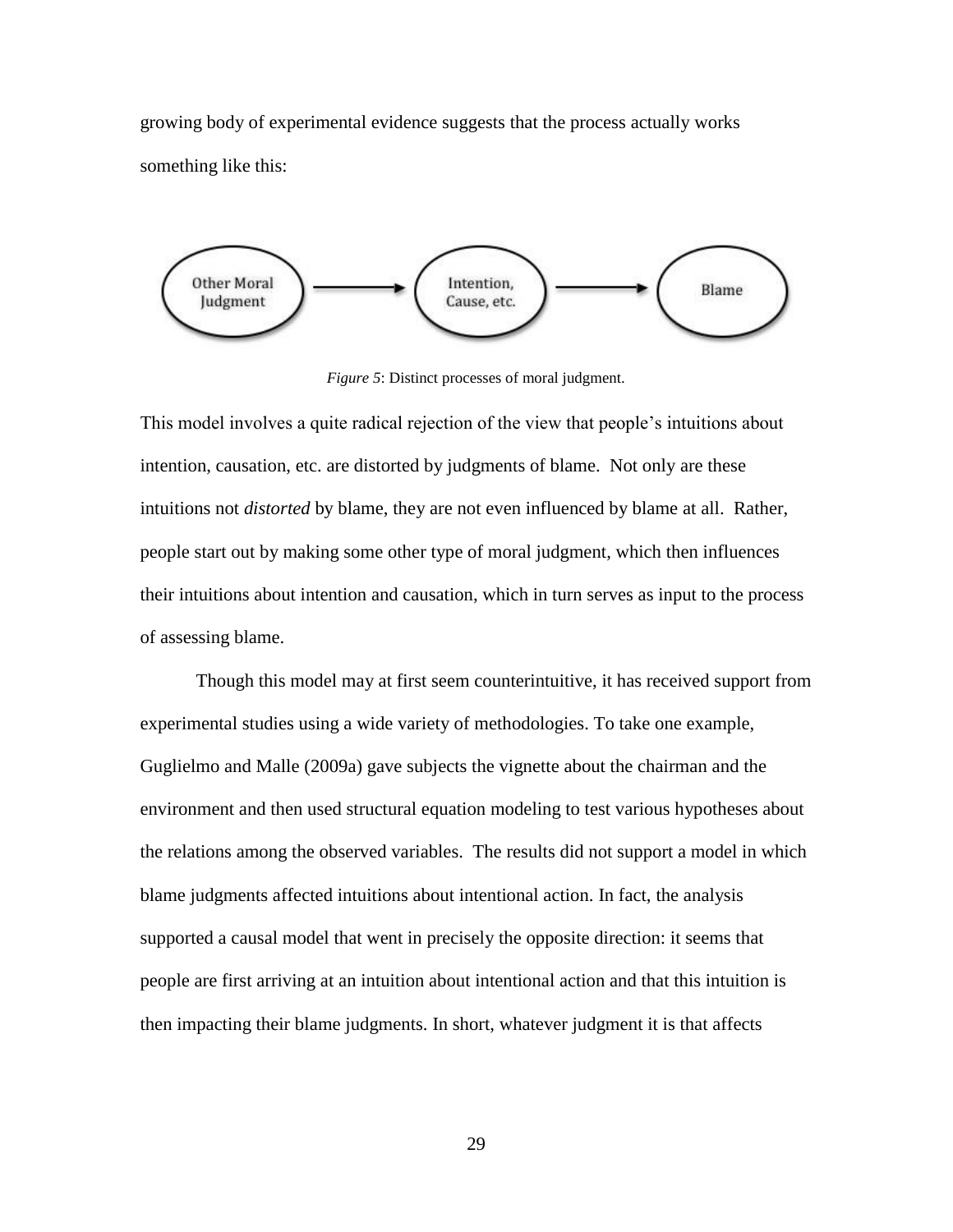growing body of experimental evidence suggests that the process actually works something like this:



*Figure 5*: Distinct processes of moral judgment.

This model involves a quite radical rejection of the view that people's intuitions about intention, causation, etc. are distorted by judgments of blame. Not only are these intuitions not *distorted* by blame, they are not even influenced by blame at all. Rather, people start out by making some other type of moral judgment, which then influences their intuitions about intention and causation, which in turn serves as input to the process of assessing blame.

Though this model may at first seem counterintuitive, it has received support from experimental studies using a wide variety of methodologies. To take one example, Guglielmo and Malle (2009a) gave subjects the vignette about the chairman and the environment and then used structural equation modeling to test various hypotheses about the relations among the observed variables. The results did not support a model in which blame judgments affected intuitions about intentional action. In fact, the analysis supported a causal model that went in precisely the opposite direction: it seems that people are first arriving at an intuition about intentional action and that this intuition is then impacting their blame judgments. In short, whatever judgment it is that affects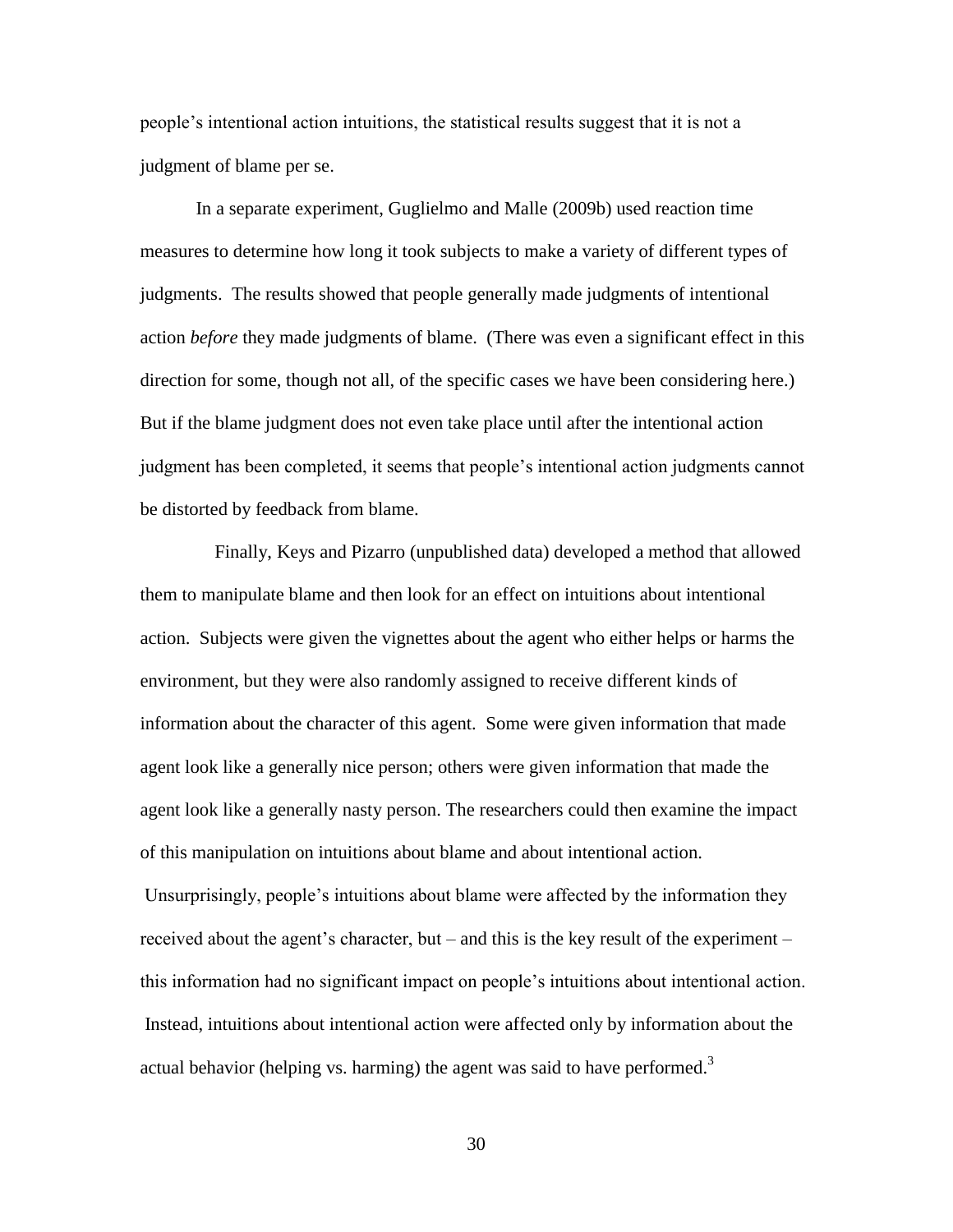people's intentional action intuitions, the statistical results suggest that it is not a judgment of blame per se.

In a separate experiment, Guglielmo and Malle (2009b) used reaction time measures to determine how long it took subjects to make a variety of different types of judgments. The results showed that people generally made judgments of intentional action *before* they made judgments of blame. (There was even a significant effect in this direction for some, though not all, of the specific cases we have been considering here.) But if the blame judgment does not even take place until after the intentional action judgment has been completed, it seems that people's intentional action judgments cannot be distorted by feedback from blame.

 Finally, Keys and Pizarro (unpublished data) developed a method that allowed them to manipulate blame and then look for an effect on intuitions about intentional action. Subjects were given the vignettes about the agent who either helps or harms the environment, but they were also randomly assigned to receive different kinds of information about the character of this agent. Some were given information that made agent look like a generally nice person; others were given information that made the agent look like a generally nasty person. The researchers could then examine the impact of this manipulation on intuitions about blame and about intentional action. Unsurprisingly, people's intuitions about blame were affected by the information they received about the agent's character, but – and this is the key result of the experiment –

this information had no significant impact on people's intuitions about intentional action. Instead, intuitions about intentional action were affected only by information about the actual behavior (helping vs. harming) the agent was said to have performed.<sup>3</sup>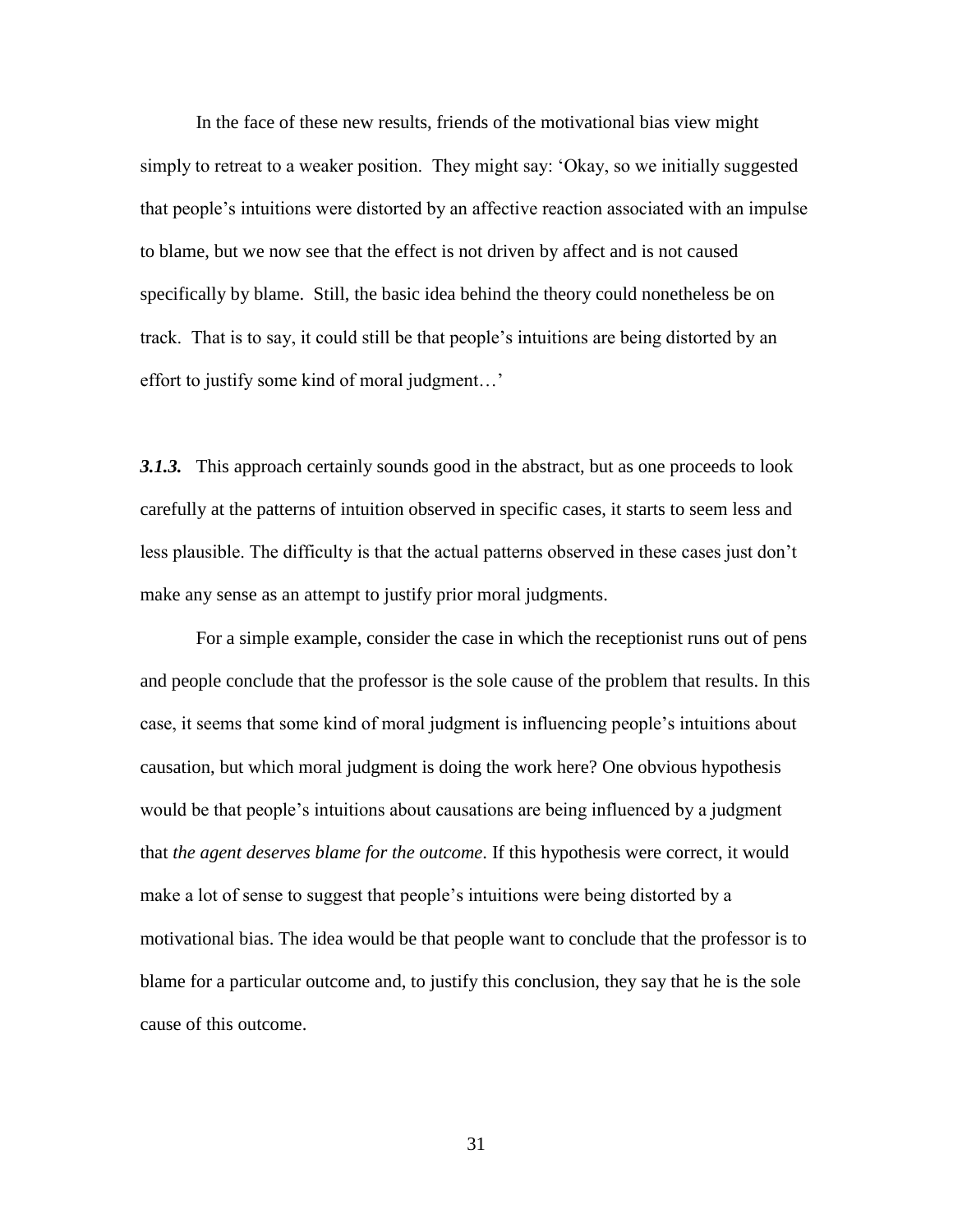In the face of these new results, friends of the motivational bias view might simply to retreat to a weaker position. They might say: 'Okay, so we initially suggested that people's intuitions were distorted by an affective reaction associated with an impulse to blame, but we now see that the effect is not driven by affect and is not caused specifically by blame. Still, the basic idea behind the theory could nonetheless be on track. That is to say, it could still be that people's intuitions are being distorted by an effort to justify some kind of moral judgment…'

*3.1.3.* This approach certainly sounds good in the abstract, but as one proceeds to look carefully at the patterns of intuition observed in specific cases, it starts to seem less and less plausible. The difficulty is that the actual patterns observed in these cases just don't make any sense as an attempt to justify prior moral judgments.

For a simple example, consider the case in which the receptionist runs out of pens and people conclude that the professor is the sole cause of the problem that results. In this case, it seems that some kind of moral judgment is influencing people's intuitions about causation, but which moral judgment is doing the work here? One obvious hypothesis would be that people's intuitions about causations are being influenced by a judgment that *the agent deserves blame for the outcome*. If this hypothesis were correct, it would make a lot of sense to suggest that people's intuitions were being distorted by a motivational bias. The idea would be that people want to conclude that the professor is to blame for a particular outcome and, to justify this conclusion, they say that he is the sole cause of this outcome.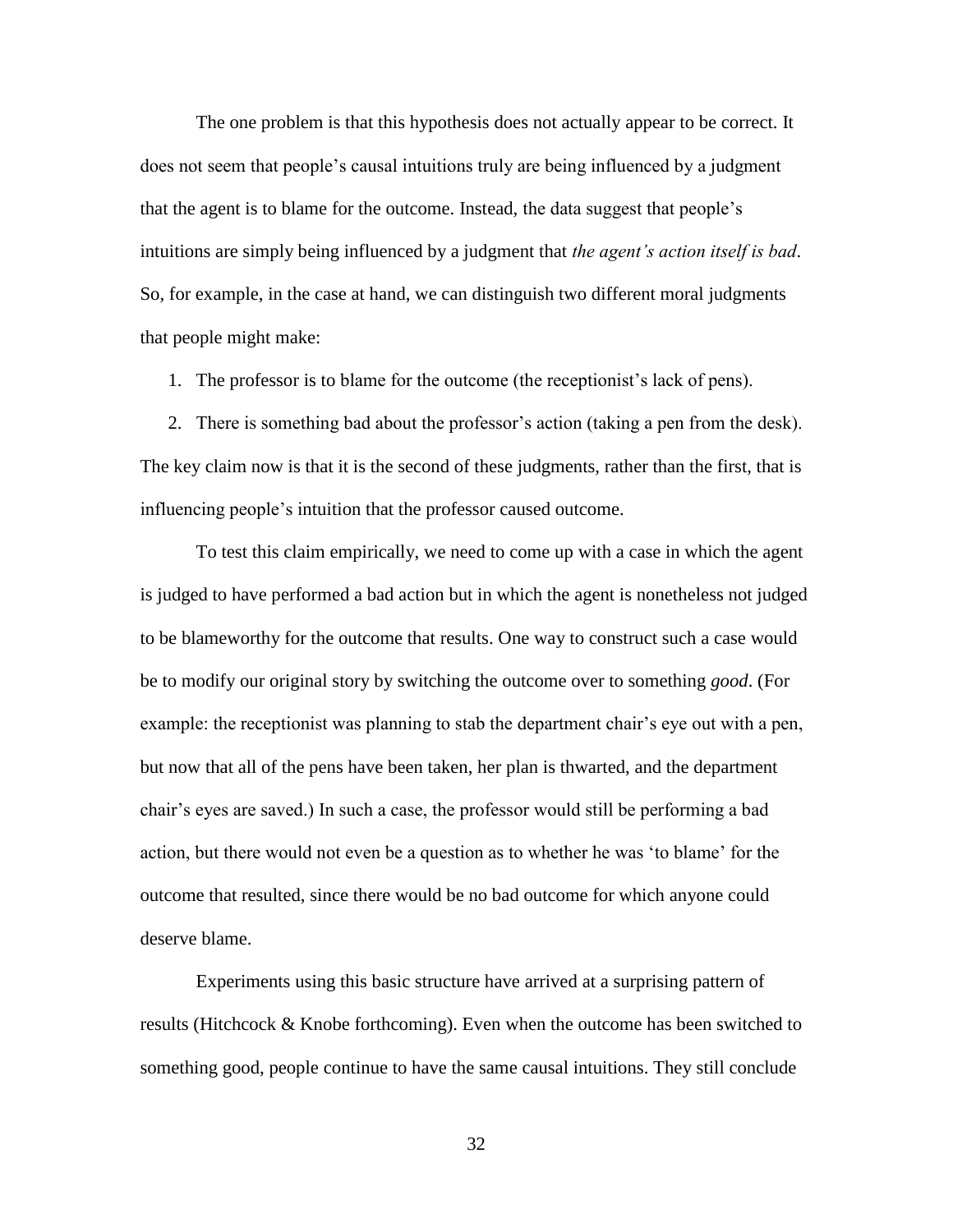The one problem is that this hypothesis does not actually appear to be correct. It does not seem that people's causal intuitions truly are being influenced by a judgment that the agent is to blame for the outcome. Instead, the data suggest that people's intuitions are simply being influenced by a judgment that *the agent's action itself is bad*. So, for example, in the case at hand, we can distinguish two different moral judgments that people might make:

1. The professor is to blame for the outcome (the receptionist's lack of pens).

2. There is something bad about the professor's action (taking a pen from the desk). The key claim now is that it is the second of these judgments, rather than the first, that is influencing people's intuition that the professor caused outcome.

To test this claim empirically, we need to come up with a case in which the agent is judged to have performed a bad action but in which the agent is nonetheless not judged to be blameworthy for the outcome that results. One way to construct such a case would be to modify our original story by switching the outcome over to something *good*. (For example: the receptionist was planning to stab the department chair's eye out with a pen, but now that all of the pens have been taken, her plan is thwarted, and the department chair's eyes are saved.) In such a case, the professor would still be performing a bad action, but there would not even be a question as to whether he was 'to blame' for the outcome that resulted, since there would be no bad outcome for which anyone could deserve blame.

Experiments using this basic structure have arrived at a surprising pattern of results (Hitchcock & Knobe forthcoming). Even when the outcome has been switched to something good, people continue to have the same causal intuitions. They still conclude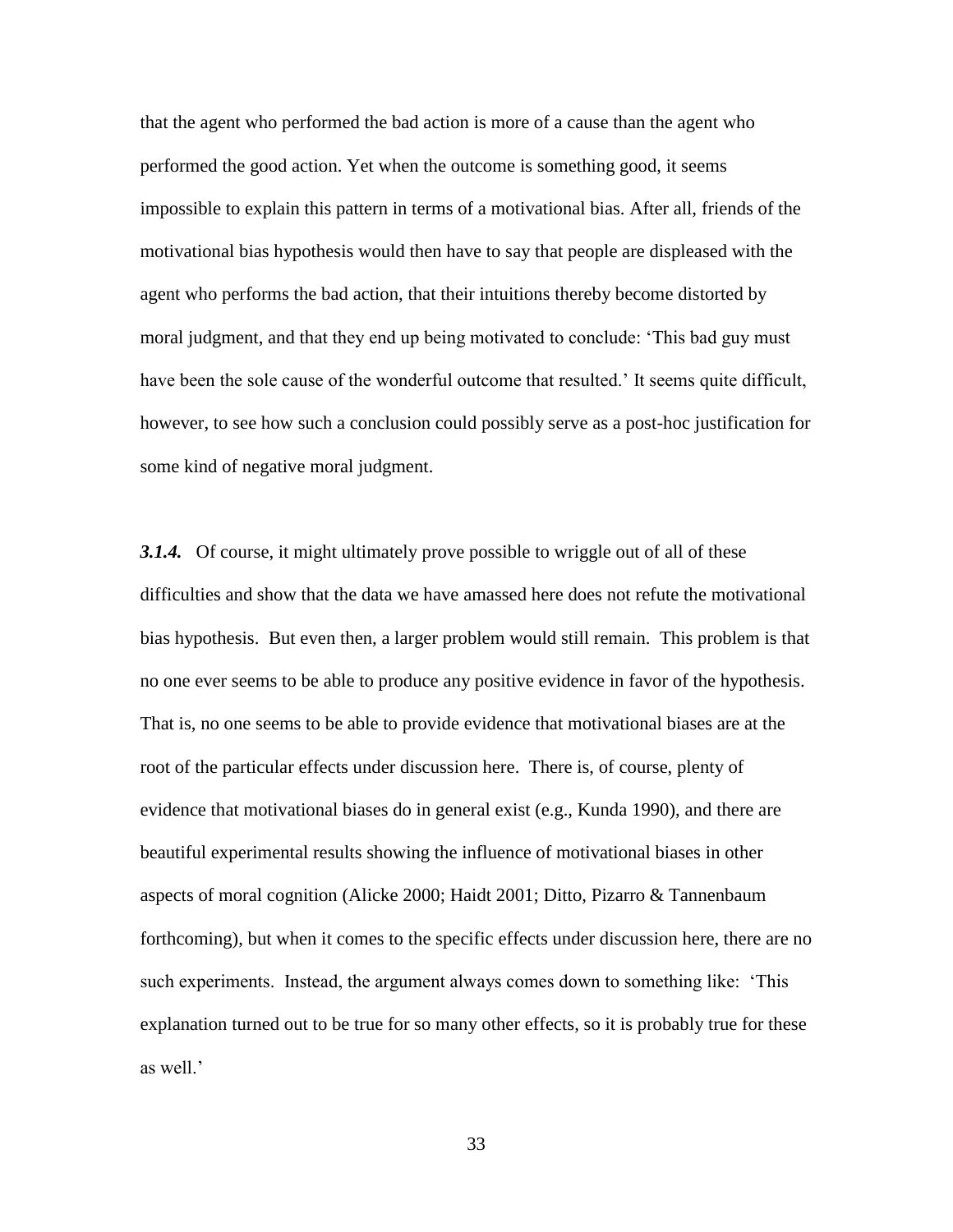that the agent who performed the bad action is more of a cause than the agent who performed the good action. Yet when the outcome is something good, it seems impossible to explain this pattern in terms of a motivational bias. After all, friends of the motivational bias hypothesis would then have to say that people are displeased with the agent who performs the bad action, that their intuitions thereby become distorted by moral judgment, and that they end up being motivated to conclude: 'This bad guy must have been the sole cause of the wonderful outcome that resulted.' It seems quite difficult, however, to see how such a conclusion could possibly serve as a post-hoc justification for some kind of negative moral judgment.

*3.1.4.* Of course, it might ultimately prove possible to wriggle out of all of these difficulties and show that the data we have amassed here does not refute the motivational bias hypothesis. But even then, a larger problem would still remain. This problem is that no one ever seems to be able to produce any positive evidence in favor of the hypothesis. That is, no one seems to be able to provide evidence that motivational biases are at the root of the particular effects under discussion here. There is, of course, plenty of evidence that motivational biases do in general exist (e.g., Kunda 1990), and there are beautiful experimental results showing the influence of motivational biases in other aspects of moral cognition (Alicke 2000; Haidt 2001; Ditto, Pizarro & Tannenbaum forthcoming), but when it comes to the specific effects under discussion here, there are no such experiments. Instead, the argument always comes down to something like: 'This explanation turned out to be true for so many other effects, so it is probably true for these as well.'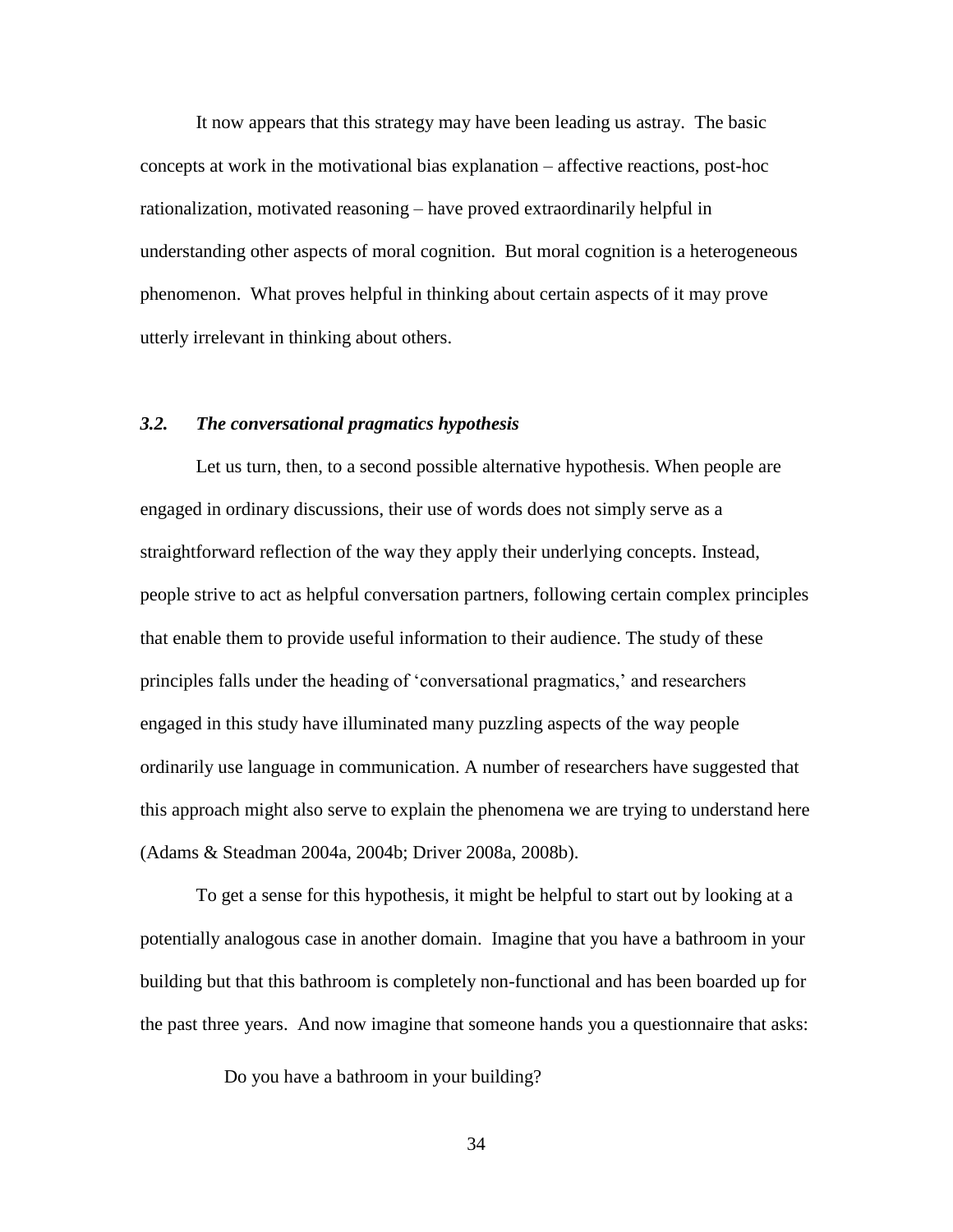It now appears that this strategy may have been leading us astray. The basic concepts at work in the motivational bias explanation – affective reactions, post-hoc rationalization, motivated reasoning – have proved extraordinarily helpful in understanding other aspects of moral cognition. But moral cognition is a heterogeneous phenomenon. What proves helpful in thinking about certain aspects of it may prove utterly irrelevant in thinking about others.

# *3.2. The conversational pragmatics hypothesis*

Let us turn, then, to a second possible alternative hypothesis. When people are engaged in ordinary discussions, their use of words does not simply serve as a straightforward reflection of the way they apply their underlying concepts. Instead, people strive to act as helpful conversation partners, following certain complex principles that enable them to provide useful information to their audience. The study of these principles falls under the heading of 'conversational pragmatics,' and researchers engaged in this study have illuminated many puzzling aspects of the way people ordinarily use language in communication. A number of researchers have suggested that this approach might also serve to explain the phenomena we are trying to understand here (Adams & Steadman 2004a, 2004b; Driver 2008a, 2008b).

To get a sense for this hypothesis, it might be helpful to start out by looking at a potentially analogous case in another domain. Imagine that you have a bathroom in your building but that this bathroom is completely non-functional and has been boarded up for the past three years. And now imagine that someone hands you a questionnaire that asks:

Do you have a bathroom in your building?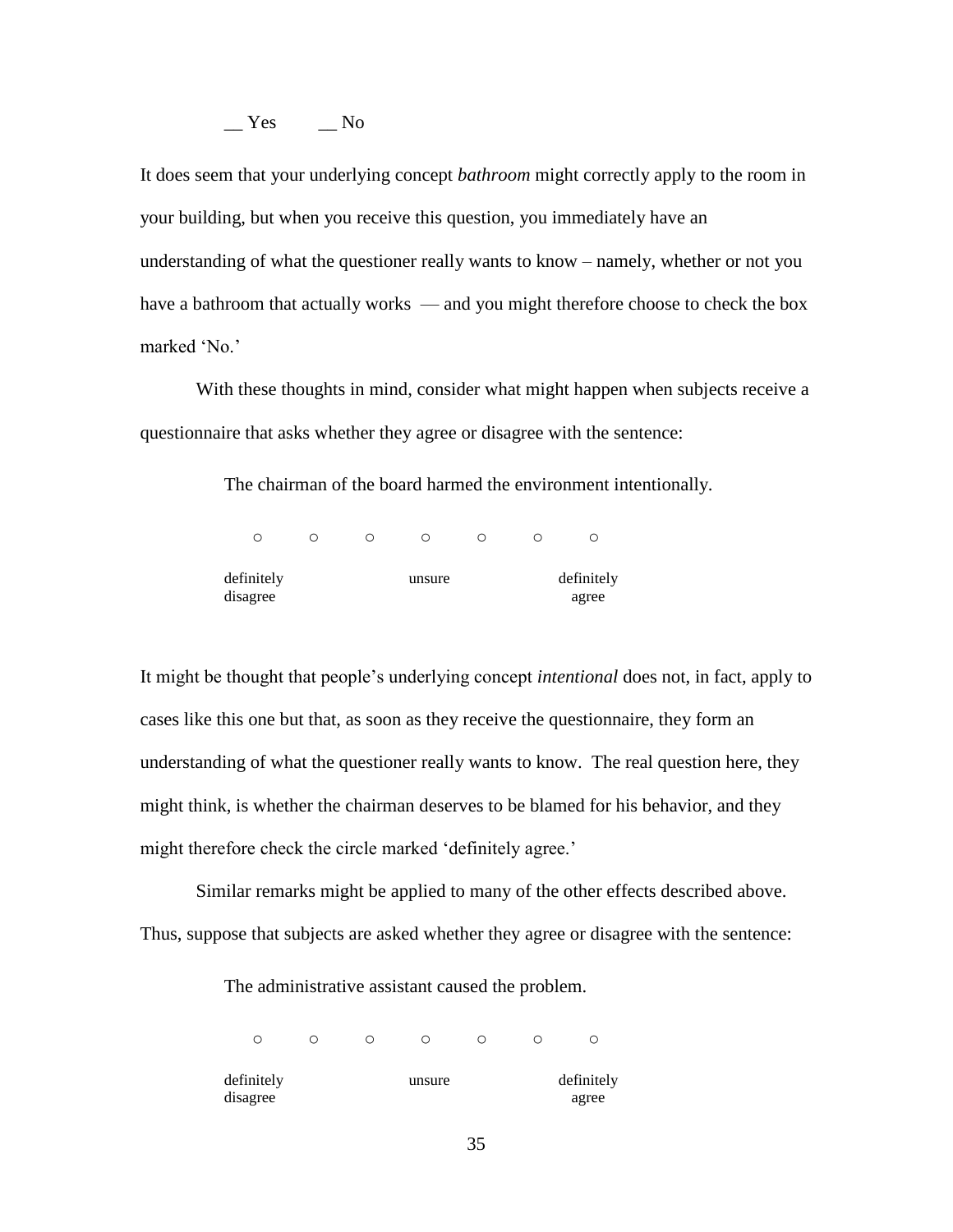$Yes$   $No$ 

It does seem that your underlying concept *bathroom* might correctly apply to the room in your building, but when you receive this question, you immediately have an understanding of what the questioner really wants to know – namely, whether or not you have a bathroom that actually works — and you might therefore choose to check the box marked 'No.'

With these thoughts in mind, consider what might happen when subjects receive a questionnaire that asks whether they agree or disagree with the sentence:

The chairman of the board harmed the environment intentionally.

| definitely<br>disagree |  | unsure |  | definitely<br>agree |
|------------------------|--|--------|--|---------------------|

It might be thought that people's underlying concept *intentional* does not, in fact, apply to cases like this one but that, as soon as they receive the questionnaire, they form an understanding of what the questioner really wants to know. The real question here, they might think, is whether the chairman deserves to be blamed for his behavior, and they might therefore check the circle marked 'definitely agree.'

Similar remarks might be applied to many of the other effects described above. Thus, suppose that subjects are asked whether they agree or disagree with the sentence:

The administrative assistant caused the problem.

| definitely<br>disagree |  | unsure |  | definitely<br>agree |
|------------------------|--|--------|--|---------------------|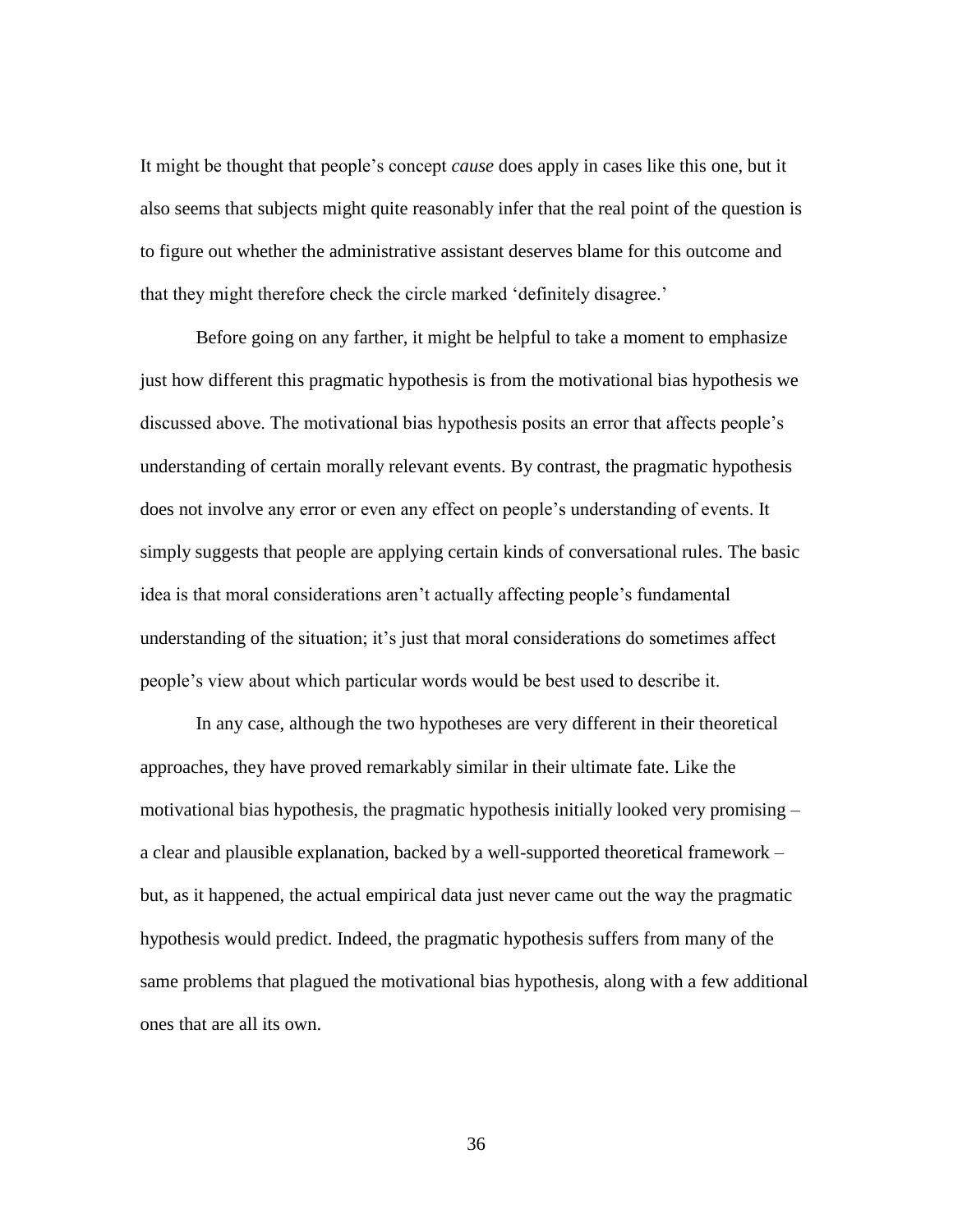It might be thought that people's concept *cause* does apply in cases like this one, but it also seems that subjects might quite reasonably infer that the real point of the question is to figure out whether the administrative assistant deserves blame for this outcome and that they might therefore check the circle marked 'definitely disagree.'

Before going on any farther, it might be helpful to take a moment to emphasize just how different this pragmatic hypothesis is from the motivational bias hypothesis we discussed above. The motivational bias hypothesis posits an error that affects people's understanding of certain morally relevant events. By contrast, the pragmatic hypothesis does not involve any error or even any effect on people's understanding of events. It simply suggests that people are applying certain kinds of conversational rules. The basic idea is that moral considerations aren't actually affecting people's fundamental understanding of the situation; it's just that moral considerations do sometimes affect people's view about which particular words would be best used to describe it.

In any case, although the two hypotheses are very different in their theoretical approaches, they have proved remarkably similar in their ultimate fate. Like the motivational bias hypothesis, the pragmatic hypothesis initially looked very promising – a clear and plausible explanation, backed by a well-supported theoretical framework – but, as it happened, the actual empirical data just never came out the way the pragmatic hypothesis would predict. Indeed, the pragmatic hypothesis suffers from many of the same problems that plagued the motivational bias hypothesis, along with a few additional ones that are all its own.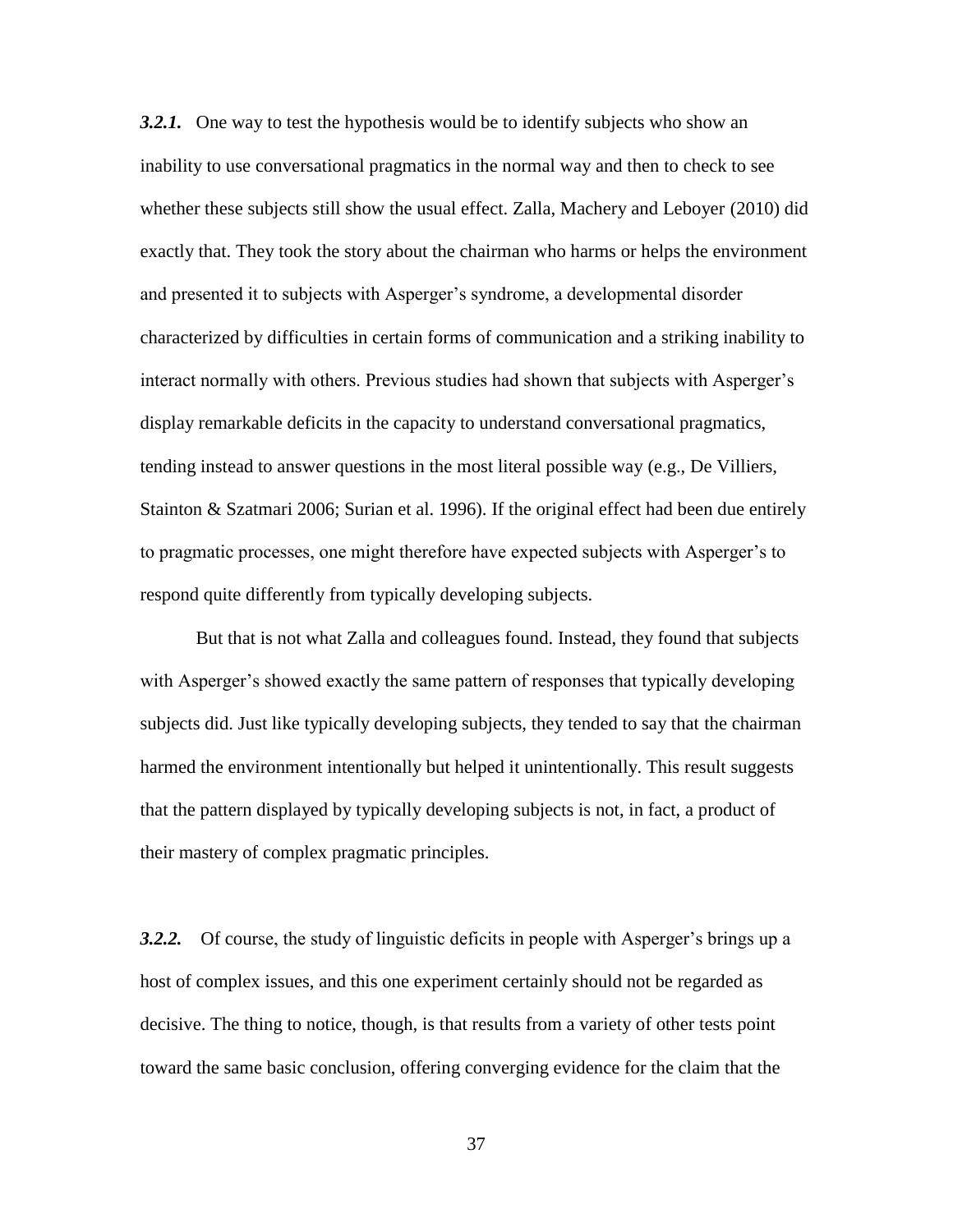*3.2.1.* One way to test the hypothesis would be to identify subjects who show an inability to use conversational pragmatics in the normal way and then to check to see whether these subjects still show the usual effect. Zalla, Machery and Leboyer (2010) did exactly that. They took the story about the chairman who harms or helps the environment and presented it to subjects with Asperger's syndrome, a developmental disorder characterized by difficulties in certain forms of communication and a striking inability to interact normally with others. Previous studies had shown that subjects with Asperger's display remarkable deficits in the capacity to understand conversational pragmatics, tending instead to answer questions in the most literal possible way (e.g., De Villiers, Stainton & Szatmari 2006; Surian et al. 1996). If the original effect had been due entirely to pragmatic processes, one might therefore have expected subjects with Asperger's to respond quite differently from typically developing subjects.

But that is not what Zalla and colleagues found. Instead, they found that subjects with Asperger's showed exactly the same pattern of responses that typically developing subjects did. Just like typically developing subjects, they tended to say that the chairman harmed the environment intentionally but helped it unintentionally. This result suggests that the pattern displayed by typically developing subjects is not, in fact, a product of their mastery of complex pragmatic principles.

*3.2.2.* Of course, the study of linguistic deficits in people with Asperger's brings up a host of complex issues, and this one experiment certainly should not be regarded as decisive. The thing to notice, though, is that results from a variety of other tests point toward the same basic conclusion, offering converging evidence for the claim that the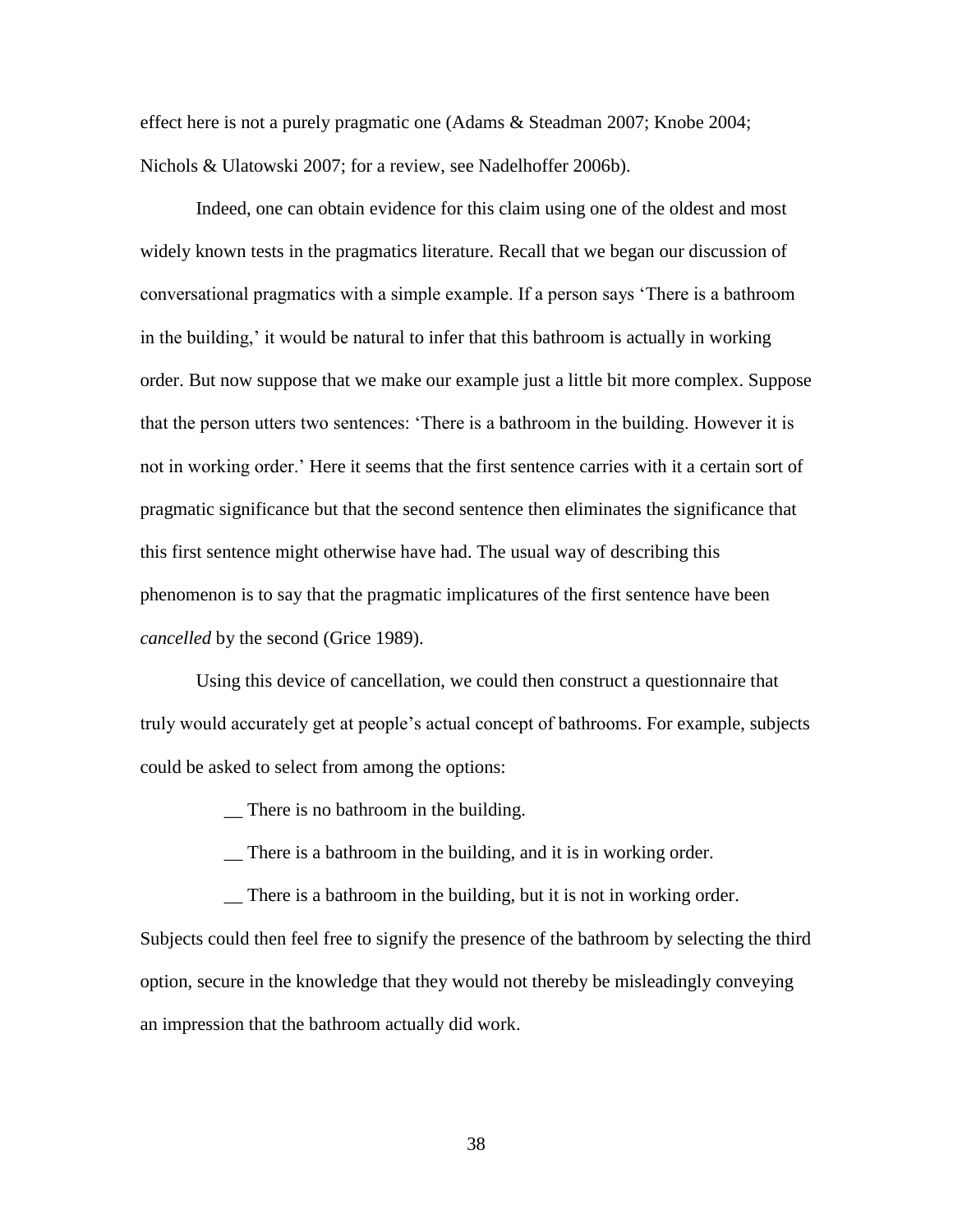effect here is not a purely pragmatic one (Adams & Steadman 2007; Knobe 2004; Nichols & Ulatowski 2007; for a review, see Nadelhoffer 2006b).

Indeed, one can obtain evidence for this claim using one of the oldest and most widely known tests in the pragmatics literature. Recall that we began our discussion of conversational pragmatics with a simple example. If a person says 'There is a bathroom in the building,' it would be natural to infer that this bathroom is actually in working order. But now suppose that we make our example just a little bit more complex. Suppose that the person utters two sentences: 'There is a bathroom in the building. However it is not in working order.' Here it seems that the first sentence carries with it a certain sort of pragmatic significance but that the second sentence then eliminates the significance that this first sentence might otherwise have had. The usual way of describing this phenomenon is to say that the pragmatic implicatures of the first sentence have been *cancelled* by the second (Grice 1989).

Using this device of cancellation, we could then construct a questionnaire that truly would accurately get at people's actual concept of bathrooms. For example, subjects could be asked to select from among the options:

\_\_ There is no bathroom in the building.

\_\_ There is a bathroom in the building, and it is in working order.

\_\_ There is a bathroom in the building, but it is not in working order.

Subjects could then feel free to signify the presence of the bathroom by selecting the third option, secure in the knowledge that they would not thereby be misleadingly conveying an impression that the bathroom actually did work.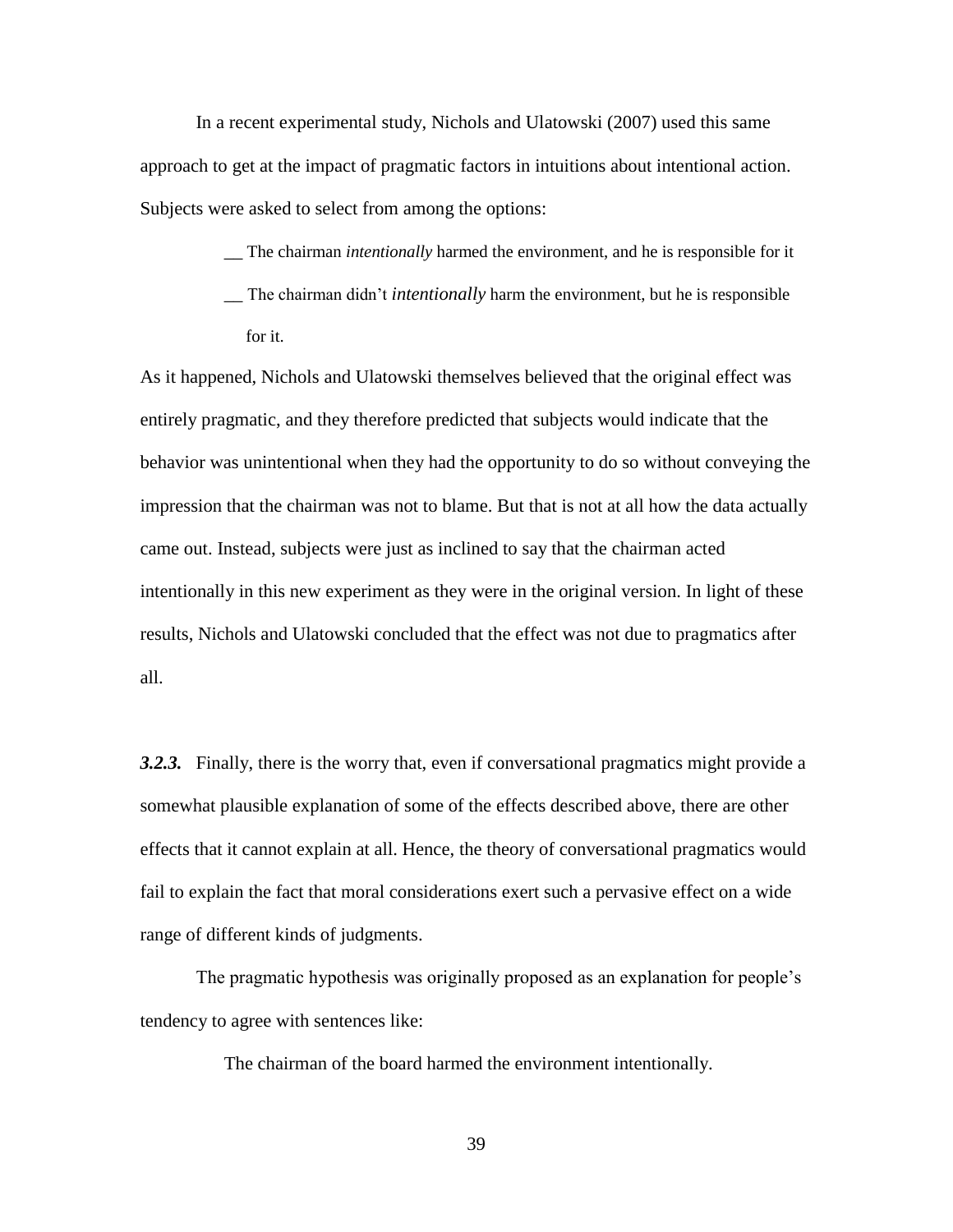In a recent experimental study, Nichols and Ulatowski (2007) used this same approach to get at the impact of pragmatic factors in intuitions about intentional action. Subjects were asked to select from among the options:

- \_\_ The chairman *intentionally* harmed the environment, and he is responsible for it
- \_\_ The chairman didn't *intentionally* harm the environment, but he is responsible for it.

As it happened, Nichols and Ulatowski themselves believed that the original effect was entirely pragmatic, and they therefore predicted that subjects would indicate that the behavior was unintentional when they had the opportunity to do so without conveying the impression that the chairman was not to blame. But that is not at all how the data actually came out. Instead, subjects were just as inclined to say that the chairman acted intentionally in this new experiment as they were in the original version. In light of these results, Nichols and Ulatowski concluded that the effect was not due to pragmatics after all.

*3.2.3.* Finally, there is the worry that, even if conversational pragmatics might provide a somewhat plausible explanation of some of the effects described above, there are other effects that it cannot explain at all. Hence, the theory of conversational pragmatics would fail to explain the fact that moral considerations exert such a pervasive effect on a wide range of different kinds of judgments.

The pragmatic hypothesis was originally proposed as an explanation for people's tendency to agree with sentences like:

The chairman of the board harmed the environment intentionally.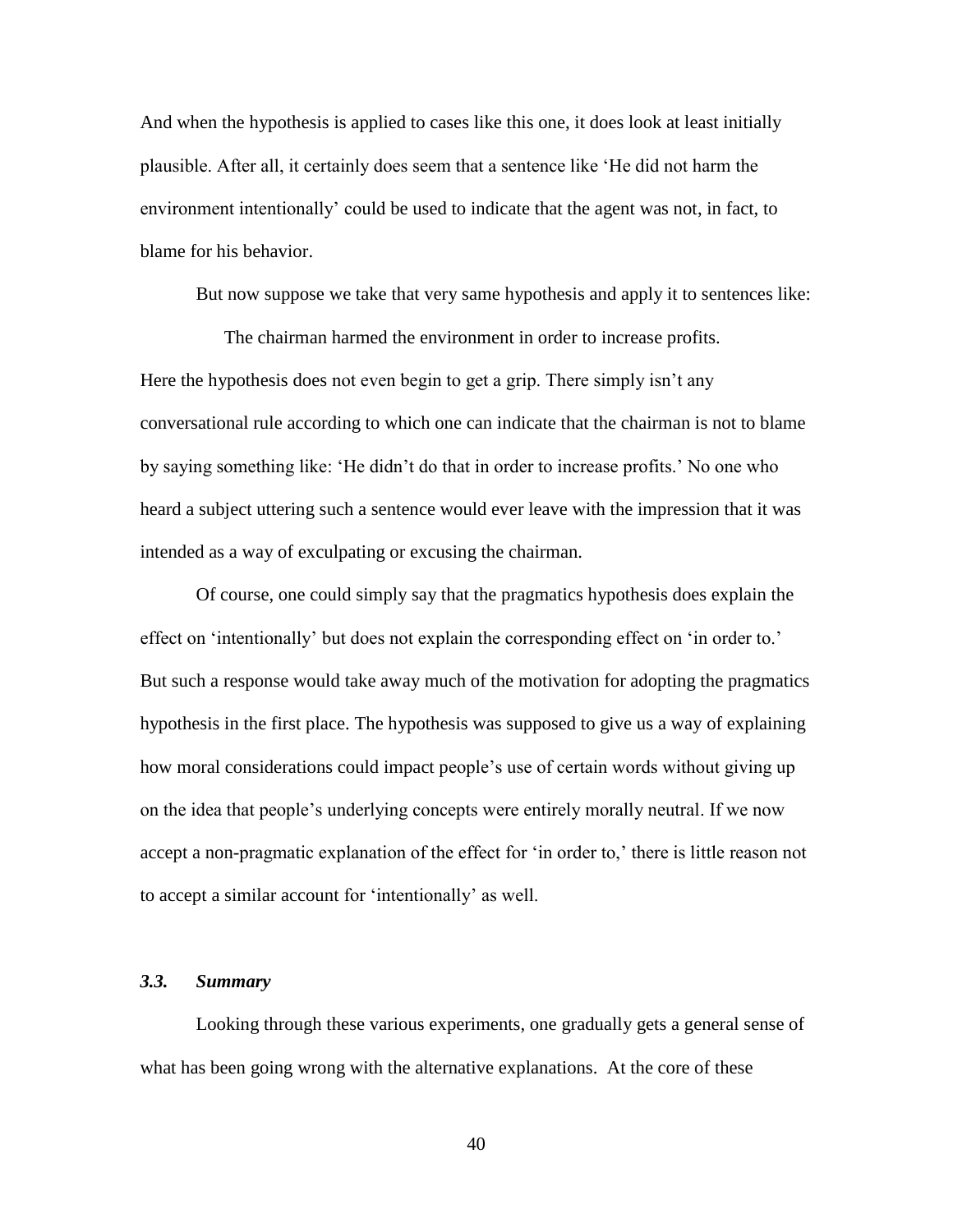And when the hypothesis is applied to cases like this one, it does look at least initially plausible. After all, it certainly does seem that a sentence like 'He did not harm the environment intentionally' could be used to indicate that the agent was not, in fact, to blame for his behavior.

But now suppose we take that very same hypothesis and apply it to sentences like:

The chairman harmed the environment in order to increase profits. Here the hypothesis does not even begin to get a grip. There simply isn't any conversational rule according to which one can indicate that the chairman is not to blame by saying something like: 'He didn't do that in order to increase profits.' No one who heard a subject uttering such a sentence would ever leave with the impression that it was intended as a way of exculpating or excusing the chairman.

Of course, one could simply say that the pragmatics hypothesis does explain the effect on 'intentionally' but does not explain the corresponding effect on 'in order to.' But such a response would take away much of the motivation for adopting the pragmatics hypothesis in the first place. The hypothesis was supposed to give us a way of explaining how moral considerations could impact people's use of certain words without giving up on the idea that people's underlying concepts were entirely morally neutral. If we now accept a non-pragmatic explanation of the effect for 'in order to,' there is little reason not to accept a similar account for 'intentionally' as well.

#### *3.3. Summary*

Looking through these various experiments, one gradually gets a general sense of what has been going wrong with the alternative explanations. At the core of these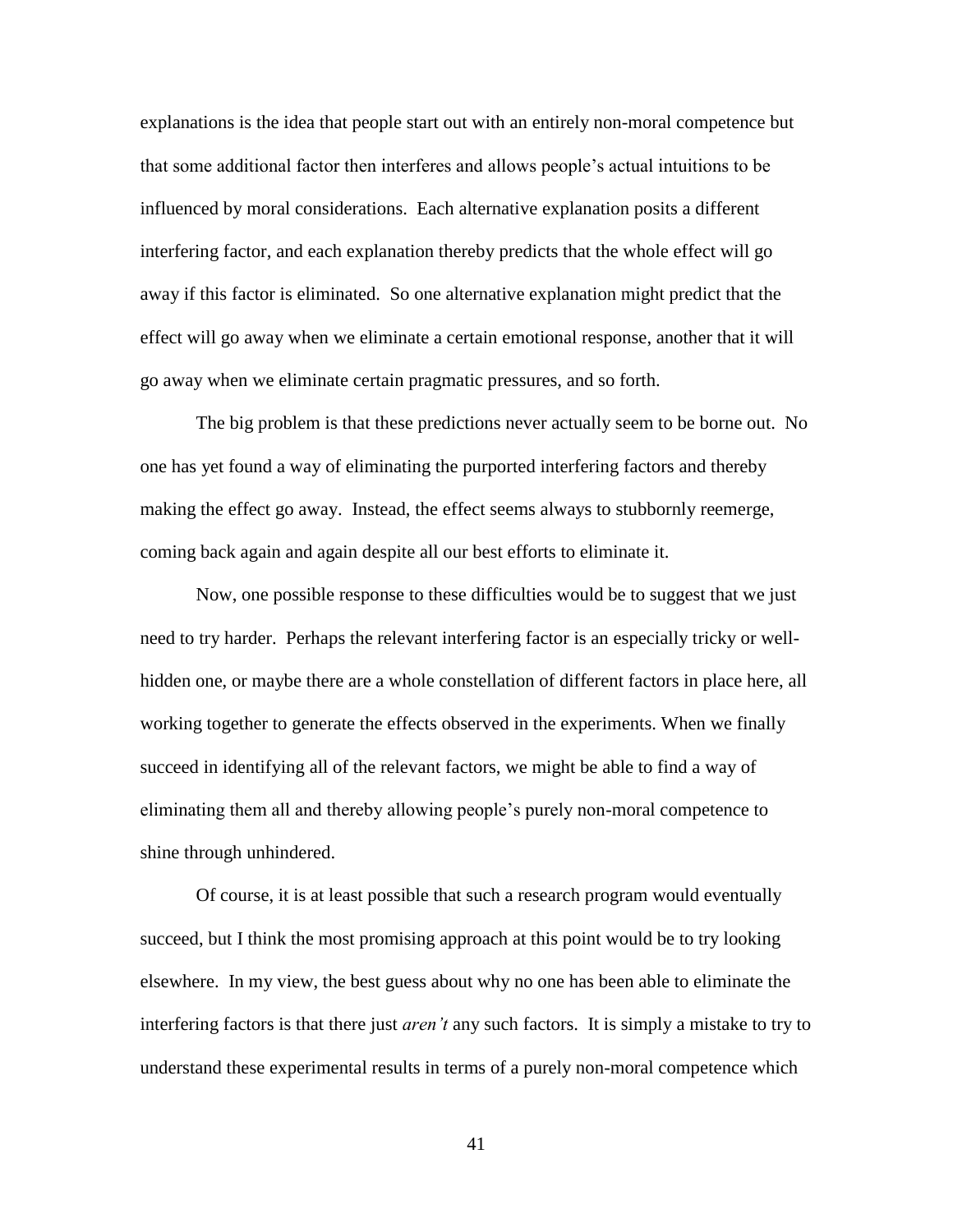explanations is the idea that people start out with an entirely non-moral competence but that some additional factor then interferes and allows people's actual intuitions to be influenced by moral considerations. Each alternative explanation posits a different interfering factor, and each explanation thereby predicts that the whole effect will go away if this factor is eliminated. So one alternative explanation might predict that the effect will go away when we eliminate a certain emotional response, another that it will go away when we eliminate certain pragmatic pressures, and so forth.

The big problem is that these predictions never actually seem to be borne out. No one has yet found a way of eliminating the purported interfering factors and thereby making the effect go away. Instead, the effect seems always to stubbornly reemerge, coming back again and again despite all our best efforts to eliminate it.

Now, one possible response to these difficulties would be to suggest that we just need to try harder. Perhaps the relevant interfering factor is an especially tricky or wellhidden one, or maybe there are a whole constellation of different factors in place here, all working together to generate the effects observed in the experiments. When we finally succeed in identifying all of the relevant factors, we might be able to find a way of eliminating them all and thereby allowing people's purely non-moral competence to shine through unhindered.

Of course, it is at least possible that such a research program would eventually succeed, but I think the most promising approach at this point would be to try looking elsewhere. In my view, the best guess about why no one has been able to eliminate the interfering factors is that there just *aren't* any such factors. It is simply a mistake to try to understand these experimental results in terms of a purely non-moral competence which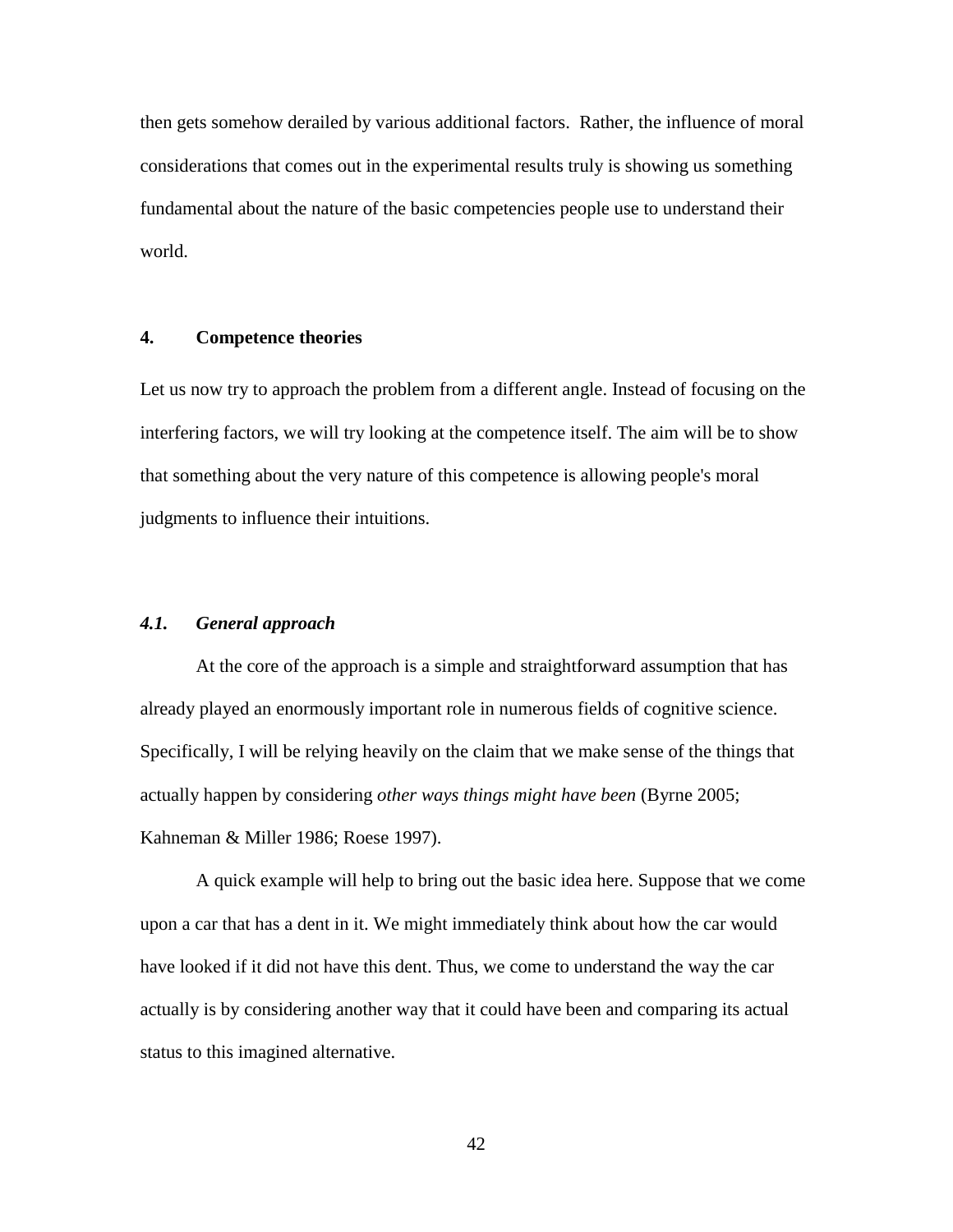then gets somehow derailed by various additional factors. Rather, the influence of moral considerations that comes out in the experimental results truly is showing us something fundamental about the nature of the basic competencies people use to understand their world.

### **4. Competence theories**

Let us now try to approach the problem from a different angle. Instead of focusing on the interfering factors, we will try looking at the competence itself. The aim will be to show that something about the very nature of this competence is allowing people's moral judgments to influence their intuitions.

### *4.1. General approach*

At the core of the approach is a simple and straightforward assumption that has already played an enormously important role in numerous fields of cognitive science. Specifically, I will be relying heavily on the claim that we make sense of the things that actually happen by considering *other ways things might have been* (Byrne 2005; Kahneman & Miller 1986; Roese 1997).

A quick example will help to bring out the basic idea here. Suppose that we come upon a car that has a dent in it. We might immediately think about how the car would have looked if it did not have this dent. Thus, we come to understand the way the car actually is by considering another way that it could have been and comparing its actual status to this imagined alternative.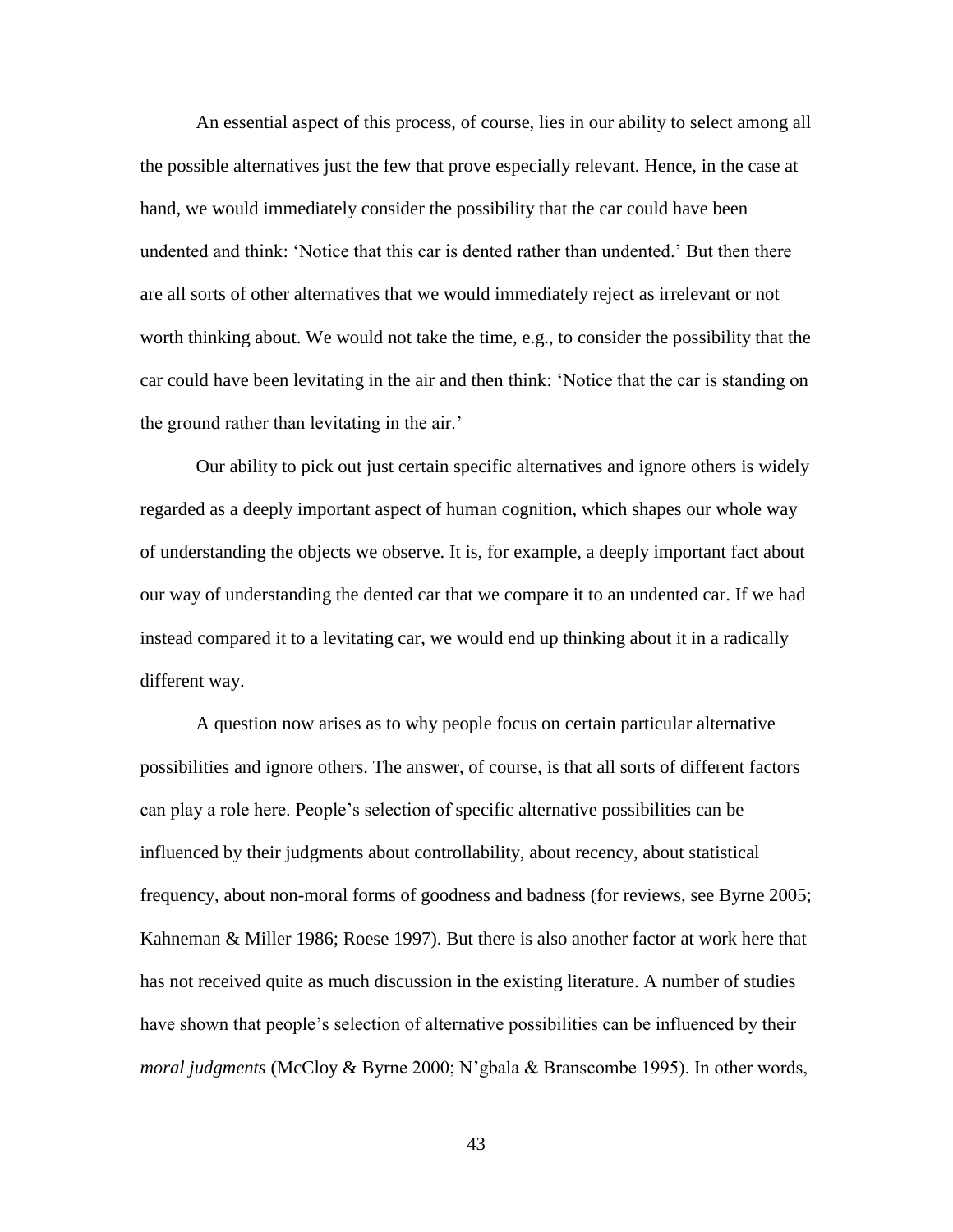An essential aspect of this process, of course, lies in our ability to select among all the possible alternatives just the few that prove especially relevant. Hence, in the case at hand, we would immediately consider the possibility that the car could have been undented and think: 'Notice that this car is dented rather than undented.' But then there are all sorts of other alternatives that we would immediately reject as irrelevant or not worth thinking about. We would not take the time, e.g., to consider the possibility that the car could have been levitating in the air and then think: 'Notice that the car is standing on the ground rather than levitating in the air.'

Our ability to pick out just certain specific alternatives and ignore others is widely regarded as a deeply important aspect of human cognition, which shapes our whole way of understanding the objects we observe. It is, for example, a deeply important fact about our way of understanding the dented car that we compare it to an undented car. If we had instead compared it to a levitating car, we would end up thinking about it in a radically different way.

A question now arises as to why people focus on certain particular alternative possibilities and ignore others. The answer, of course, is that all sorts of different factors can play a role here. People's selection of specific alternative possibilities can be influenced by their judgments about controllability, about recency, about statistical frequency, about non-moral forms of goodness and badness (for reviews, see Byrne 2005; Kahneman & Miller 1986; Roese 1997). But there is also another factor at work here that has not received quite as much discussion in the existing literature. A number of studies have shown that people's selection of alternative possibilities can be influenced by their *moral judgments* (McCloy & Byrne 2000; N'gbala & Branscombe 1995). In other words,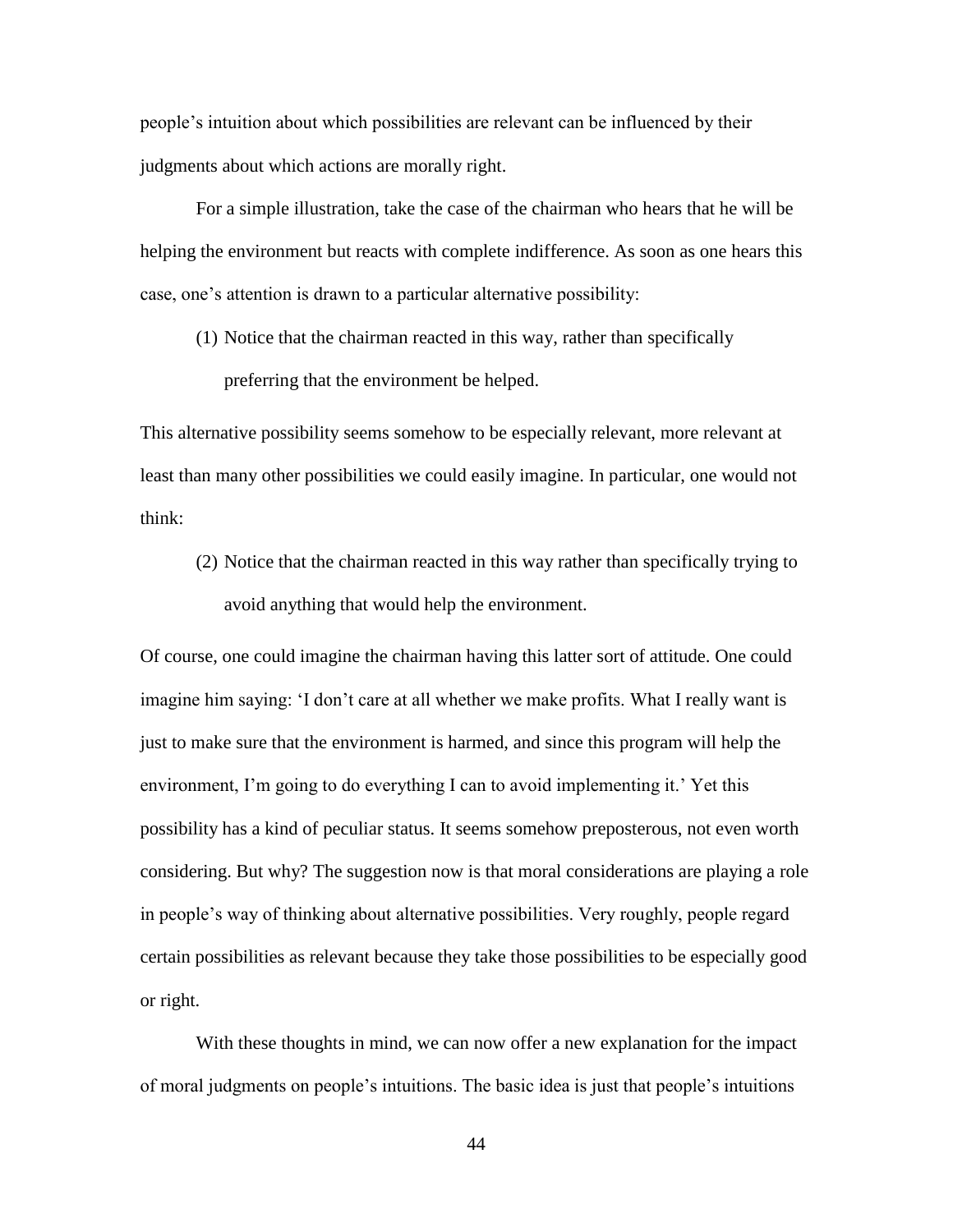people's intuition about which possibilities are relevant can be influenced by their judgments about which actions are morally right.

For a simple illustration, take the case of the chairman who hears that he will be helping the environment but reacts with complete indifference. As soon as one hears this case, one's attention is drawn to a particular alternative possibility:

(1) Notice that the chairman reacted in this way, rather than specifically preferring that the environment be helped.

This alternative possibility seems somehow to be especially relevant, more relevant at least than many other possibilities we could easily imagine. In particular, one would not think:

(2) Notice that the chairman reacted in this way rather than specifically trying to avoid anything that would help the environment.

Of course, one could imagine the chairman having this latter sort of attitude. One could imagine him saying: 'I don't care at all whether we make profits. What I really want is just to make sure that the environment is harmed, and since this program will help the environment, I'm going to do everything I can to avoid implementing it.' Yet this possibility has a kind of peculiar status. It seems somehow preposterous, not even worth considering. But why? The suggestion now is that moral considerations are playing a role in people's way of thinking about alternative possibilities. Very roughly, people regard certain possibilities as relevant because they take those possibilities to be especially good or right.

With these thoughts in mind, we can now offer a new explanation for the impact of moral judgments on people's intuitions. The basic idea is just that people's intuitions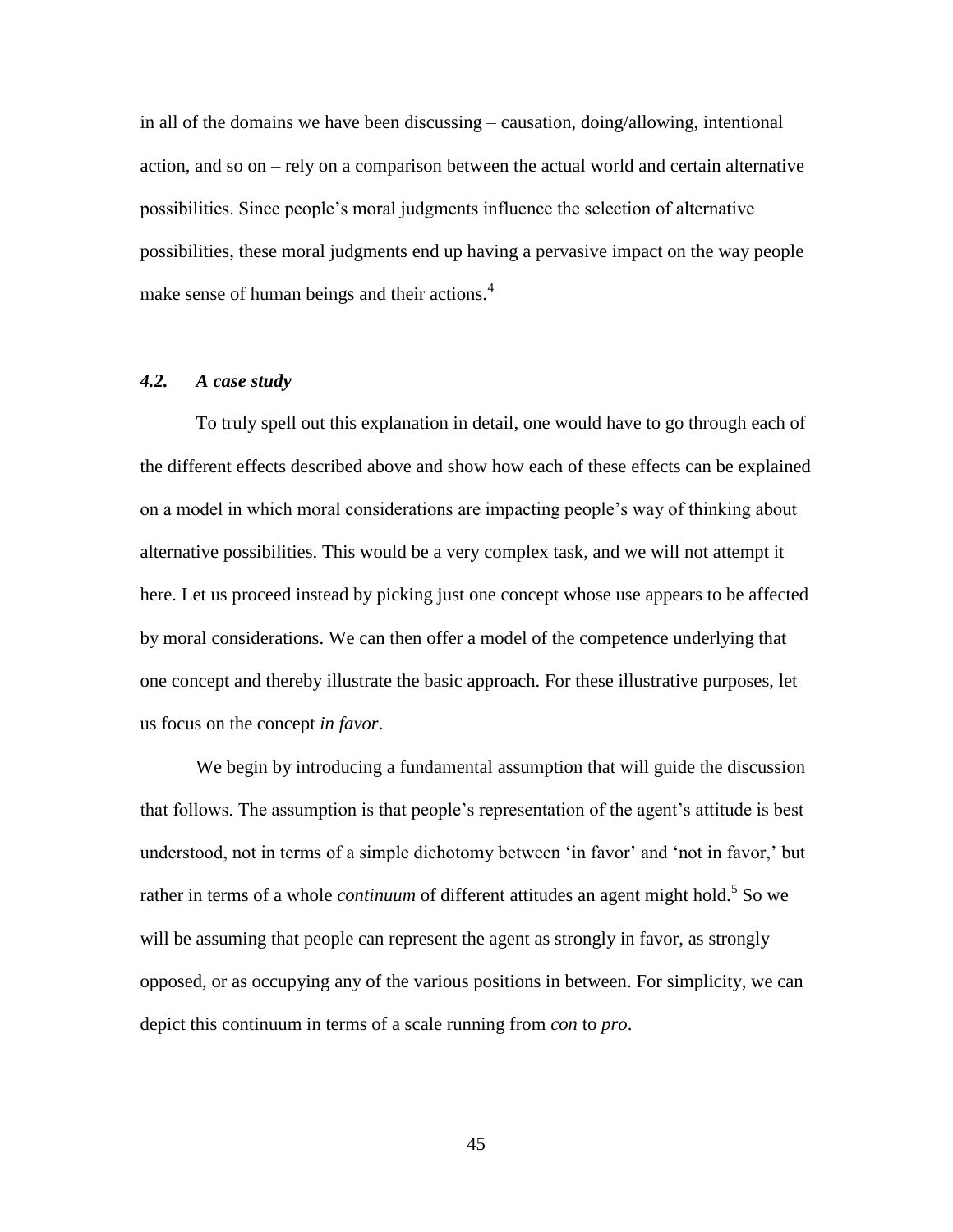in all of the domains we have been discussing – causation, doing/allowing, intentional action, and so on – rely on a comparison between the actual world and certain alternative possibilities. Since people's moral judgments influence the selection of alternative possibilities, these moral judgments end up having a pervasive impact on the way people make sense of human beings and their actions.<sup>4</sup>

# *4.2. A case study*

To truly spell out this explanation in detail, one would have to go through each of the different effects described above and show how each of these effects can be explained on a model in which moral considerations are impacting people's way of thinking about alternative possibilities. This would be a very complex task, and we will not attempt it here. Let us proceed instead by picking just one concept whose use appears to be affected by moral considerations. We can then offer a model of the competence underlying that one concept and thereby illustrate the basic approach. For these illustrative purposes, let us focus on the concept *in favor*.

We begin by introducing a fundamental assumption that will guide the discussion that follows. The assumption is that people's representation of the agent's attitude is best understood, not in terms of a simple dichotomy between 'in favor' and 'not in favor,' but rather in terms of a whole *continuum* of different attitudes an agent might hold.<sup>5</sup> So we will be assuming that people can represent the agent as strongly in favor, as strongly opposed, or as occupying any of the various positions in between. For simplicity, we can depict this continuum in terms of a scale running from *con* to *pro*.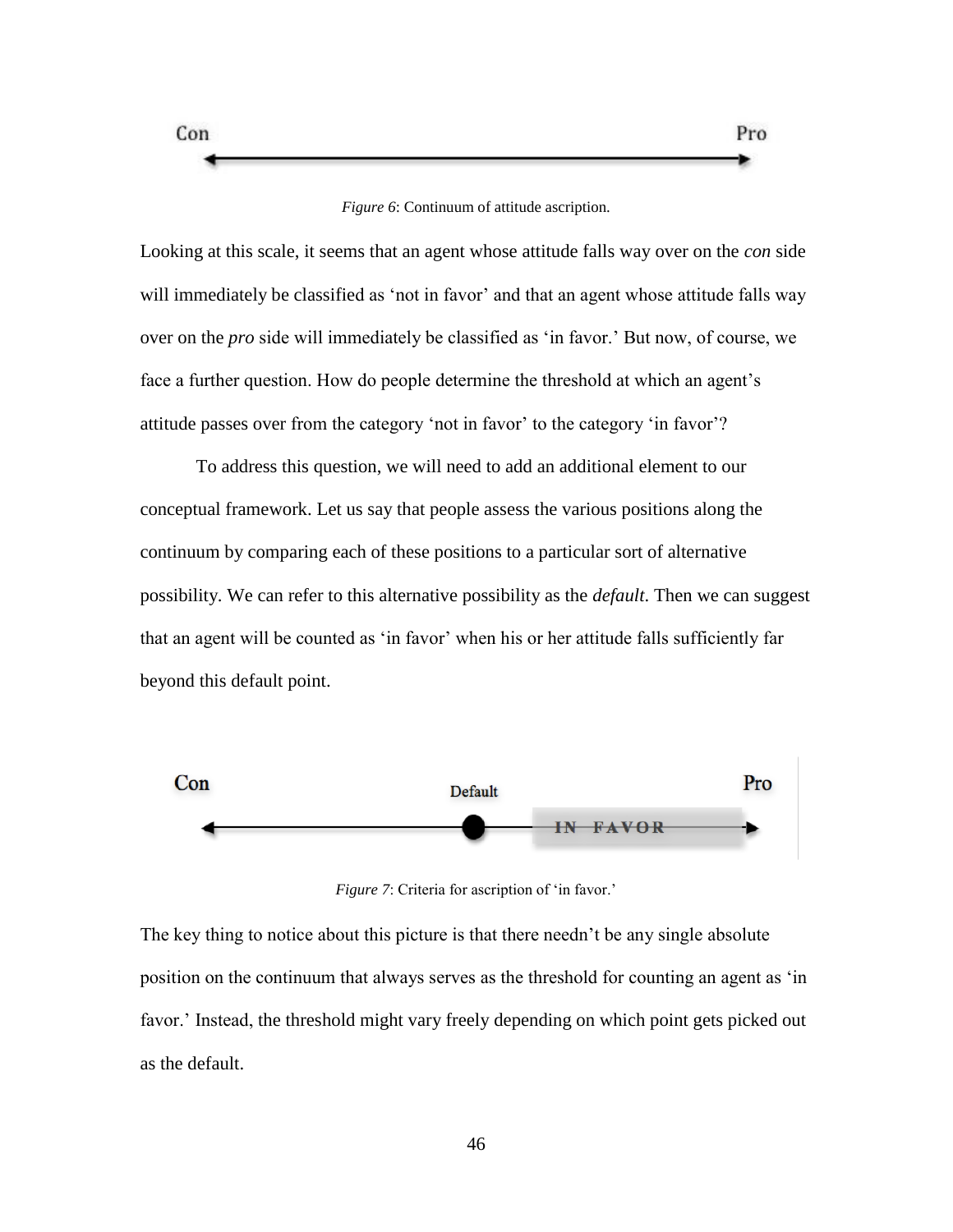Con

Pro



Looking at this scale, it seems that an agent whose attitude falls way over on the *con* side will immediately be classified as 'not in favor' and that an agent whose attitude falls way over on the *pro* side will immediately be classified as 'in favor.' But now, of course, we face a further question. How do people determine the threshold at which an agent's attitude passes over from the category 'not in favor' to the category 'in favor'?

To address this question, we will need to add an additional element to our conceptual framework. Let us say that people assess the various positions along the continuum by comparing each of these positions to a particular sort of alternative possibility. We can refer to this alternative possibility as the *default*. Then we can suggest that an agent will be counted as 'in favor' when his or her attitude falls sufficiently far beyond this default point.



*Figure 7*: Criteria for ascription of 'in favor.'

The key thing to notice about this picture is that there needn't be any single absolute position on the continuum that always serves as the threshold for counting an agent as 'in favor.' Instead, the threshold might vary freely depending on which point gets picked out as the default.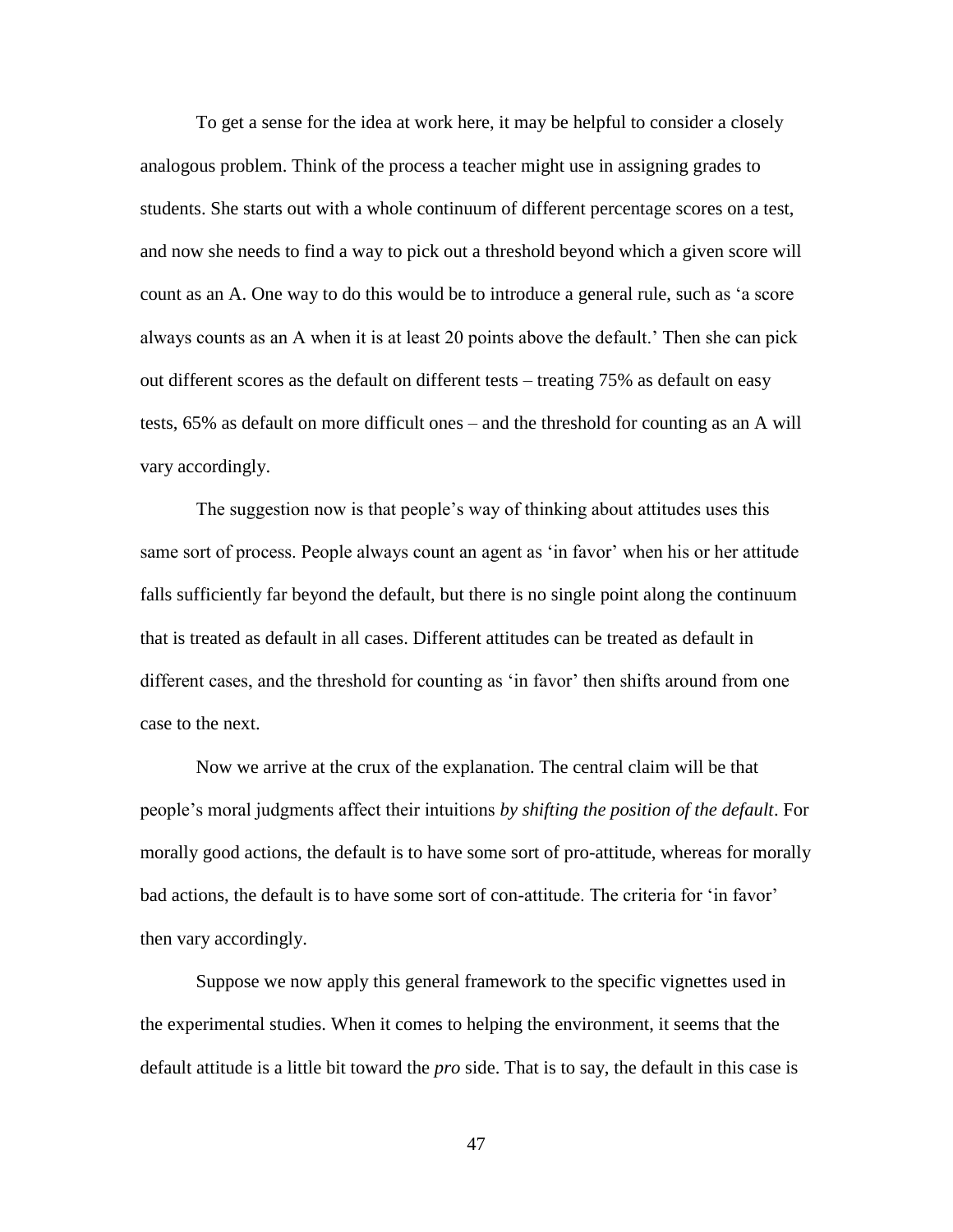To get a sense for the idea at work here, it may be helpful to consider a closely analogous problem. Think of the process a teacher might use in assigning grades to students. She starts out with a whole continuum of different percentage scores on a test, and now she needs to find a way to pick out a threshold beyond which a given score will count as an A. One way to do this would be to introduce a general rule, such as 'a score always counts as an A when it is at least 20 points above the default.' Then she can pick out different scores as the default on different tests – treating 75% as default on easy tests, 65% as default on more difficult ones – and the threshold for counting as an A will vary accordingly.

The suggestion now is that people's way of thinking about attitudes uses this same sort of process. People always count an agent as 'in favor' when his or her attitude falls sufficiently far beyond the default, but there is no single point along the continuum that is treated as default in all cases. Different attitudes can be treated as default in different cases, and the threshold for counting as 'in favor' then shifts around from one case to the next.

Now we arrive at the crux of the explanation. The central claim will be that people's moral judgments affect their intuitions *by shifting the position of the default*. For morally good actions, the default is to have some sort of pro-attitude, whereas for morally bad actions, the default is to have some sort of con-attitude. The criteria for 'in favor' then vary accordingly.

Suppose we now apply this general framework to the specific vignettes used in the experimental studies. When it comes to helping the environment, it seems that the default attitude is a little bit toward the *pro* side. That is to say, the default in this case is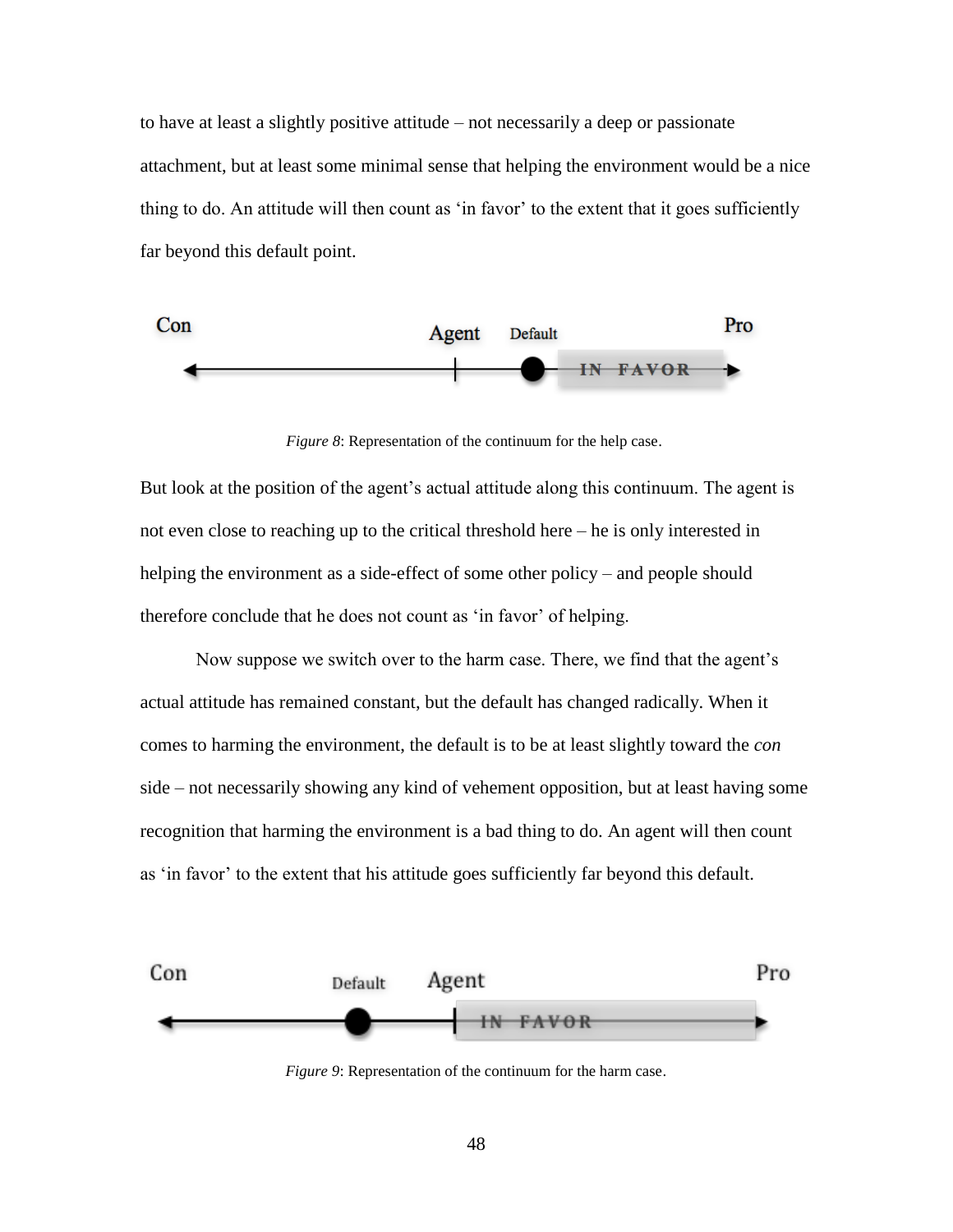to have at least a slightly positive attitude – not necessarily a deep or passionate attachment, but at least some minimal sense that helping the environment would be a nice thing to do. An attitude will then count as 'in favor' to the extent that it goes sufficiently far beyond this default point.



*Figure 8*: Representation of the continuum for the help case.

But look at the position of the agent's actual attitude along this continuum. The agent is not even close to reaching up to the critical threshold here – he is only interested in helping the environment as a side-effect of some other policy – and people should therefore conclude that he does not count as 'in favor' of helping.

Now suppose we switch over to the harm case. There, we find that the agent's actual attitude has remained constant, but the default has changed radically. When it comes to harming the environment, the default is to be at least slightly toward the *con*  side – not necessarily showing any kind of vehement opposition, but at least having some recognition that harming the environment is a bad thing to do. An agent will then count as 'in favor' to the extent that his attitude goes sufficiently far beyond this default.



*Figure 9*: Representation of the continuum for the harm case.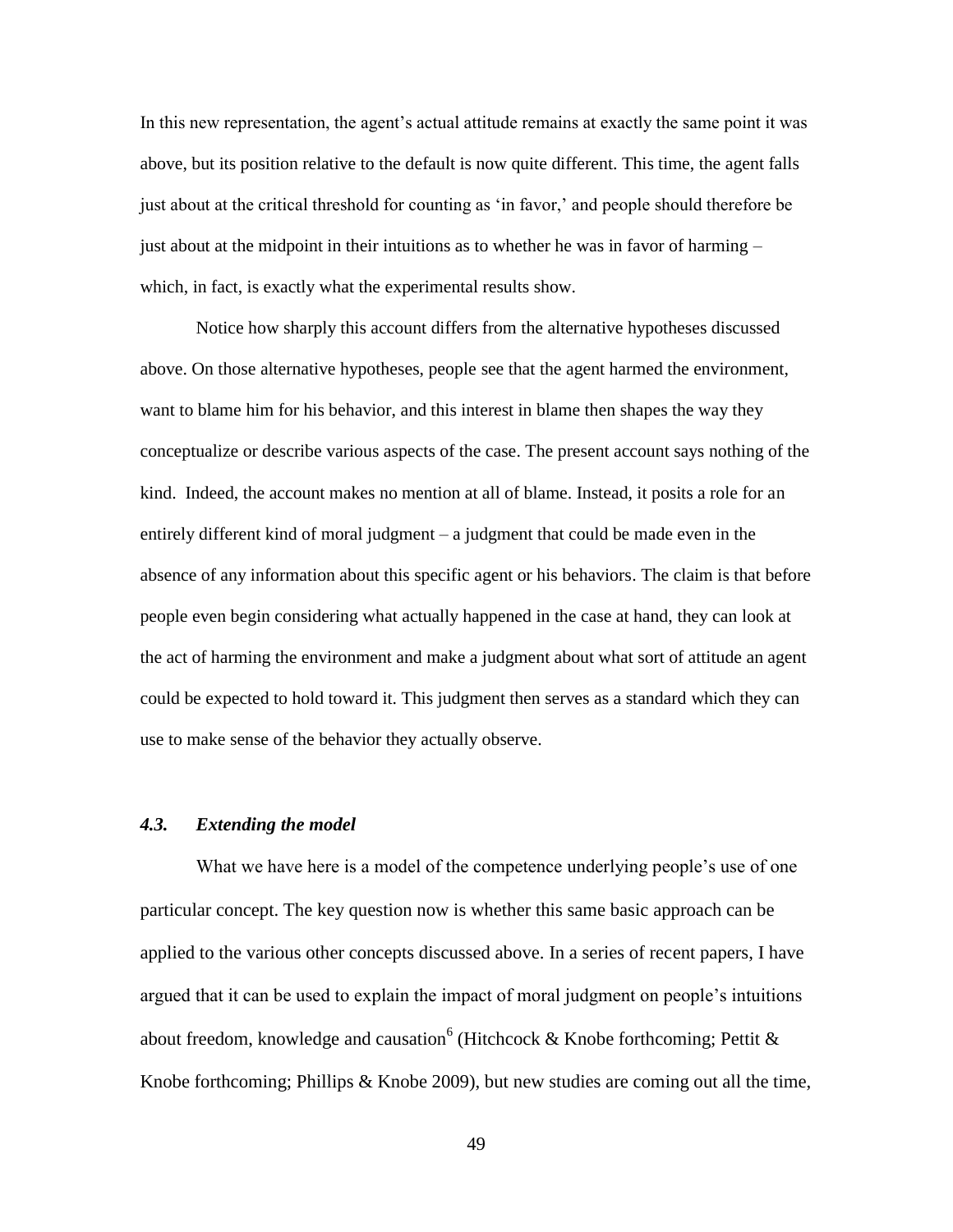In this new representation, the agent's actual attitude remains at exactly the same point it was above, but its position relative to the default is now quite different. This time, the agent falls just about at the critical threshold for counting as 'in favor,' and people should therefore be just about at the midpoint in their intuitions as to whether he was in favor of harming – which, in fact, is exactly what the experimental results show.

Notice how sharply this account differs from the alternative hypotheses discussed above. On those alternative hypotheses, people see that the agent harmed the environment, want to blame him for his behavior, and this interest in blame then shapes the way they conceptualize or describe various aspects of the case. The present account says nothing of the kind. Indeed, the account makes no mention at all of blame. Instead, it posits a role for an entirely different kind of moral judgment – a judgment that could be made even in the absence of any information about this specific agent or his behaviors. The claim is that before people even begin considering what actually happened in the case at hand, they can look at the act of harming the environment and make a judgment about what sort of attitude an agent could be expected to hold toward it. This judgment then serves as a standard which they can use to make sense of the behavior they actually observe.

### *4.3. Extending the model*

What we have here is a model of the competence underlying people's use of one particular concept. The key question now is whether this same basic approach can be applied to the various other concepts discussed above. In a series of recent papers, I have argued that it can be used to explain the impact of moral judgment on people's intuitions about freedom, knowledge and causation<sup>6</sup> (Hitchcock & Knobe forthcoming; Pettit & Knobe forthcoming; Phillips & Knobe 2009), but new studies are coming out all the time,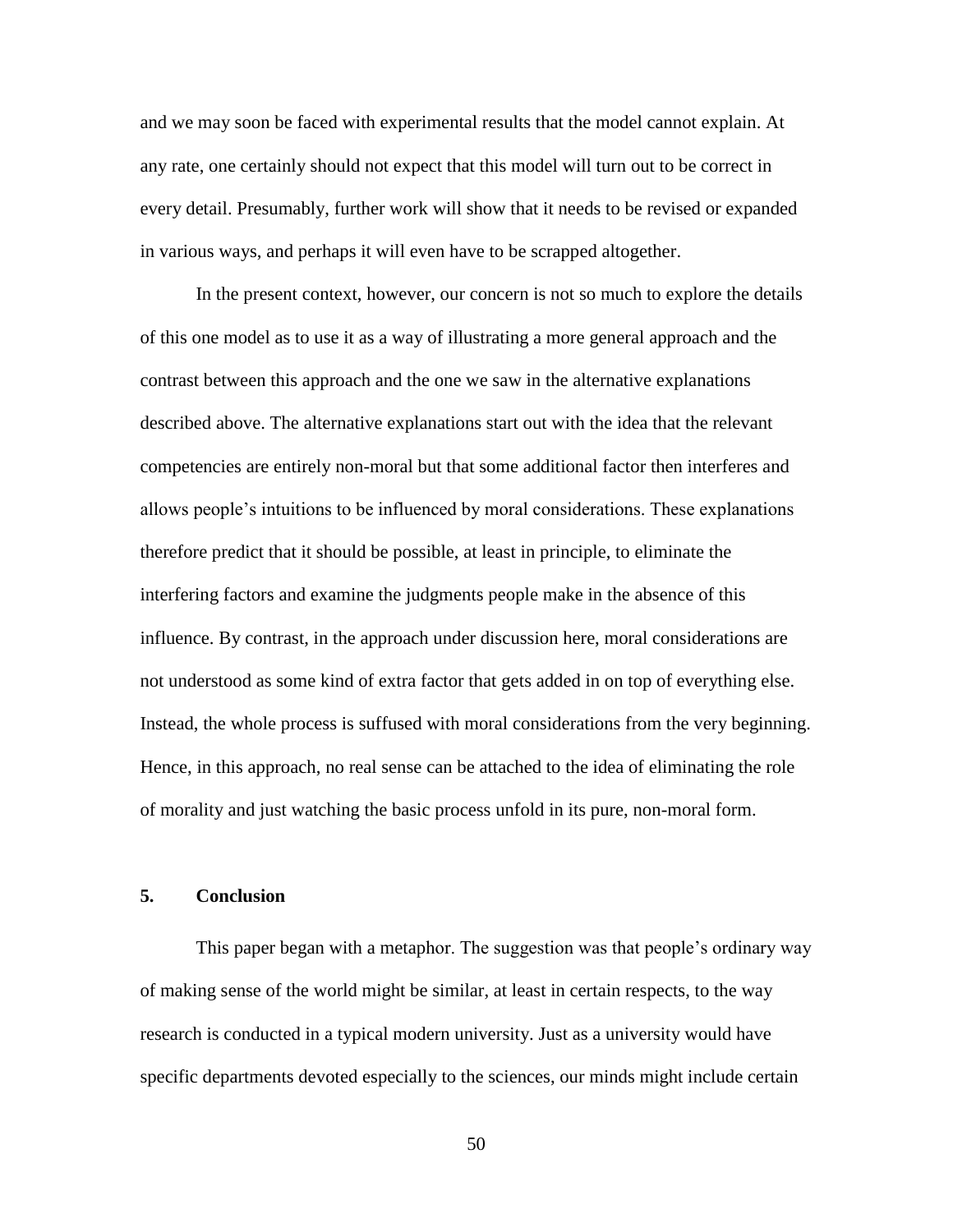and we may soon be faced with experimental results that the model cannot explain. At any rate, one certainly should not expect that this model will turn out to be correct in every detail. Presumably, further work will show that it needs to be revised or expanded in various ways, and perhaps it will even have to be scrapped altogether.

In the present context, however, our concern is not so much to explore the details of this one model as to use it as a way of illustrating a more general approach and the contrast between this approach and the one we saw in the alternative explanations described above. The alternative explanations start out with the idea that the relevant competencies are entirely non-moral but that some additional factor then interferes and allows people's intuitions to be influenced by moral considerations. These explanations therefore predict that it should be possible, at least in principle, to eliminate the interfering factors and examine the judgments people make in the absence of this influence. By contrast, in the approach under discussion here, moral considerations are not understood as some kind of extra factor that gets added in on top of everything else. Instead, the whole process is suffused with moral considerations from the very beginning. Hence, in this approach, no real sense can be attached to the idea of eliminating the role of morality and just watching the basic process unfold in its pure, non-moral form.

# **5. Conclusion**

This paper began with a metaphor. The suggestion was that people's ordinary way of making sense of the world might be similar, at least in certain respects, to the way research is conducted in a typical modern university. Just as a university would have specific departments devoted especially to the sciences, our minds might include certain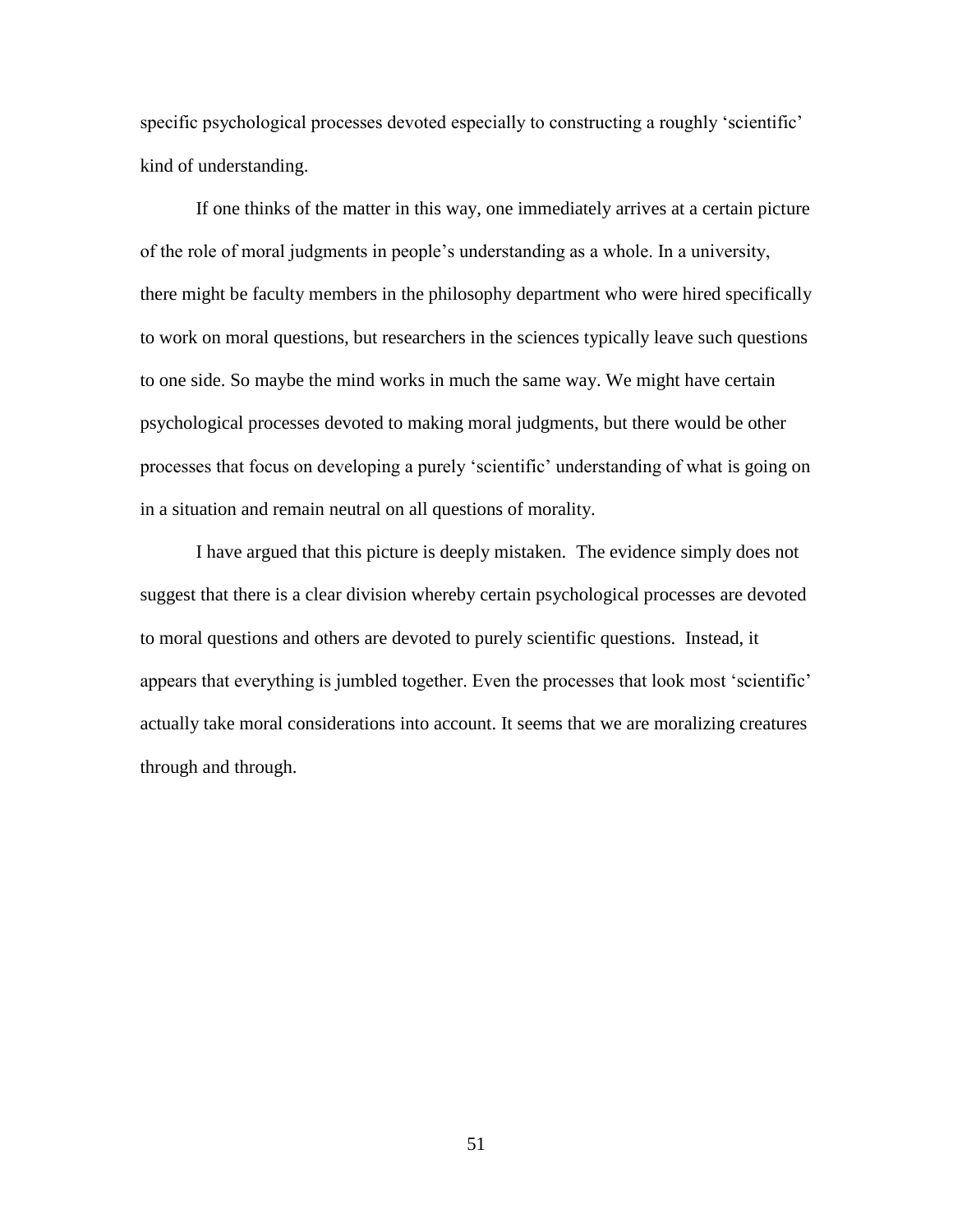specific psychological processes devoted especially to constructing a roughly 'scientific' kind of understanding.

If one thinks of the matter in this way, one immediately arrives at a certain picture of the role of moral judgments in people's understanding as a whole. In a university, there might be faculty members in the philosophy department who were hired specifically to work on moral questions, but researchers in the sciences typically leave such questions to one side. So maybe the mind works in much the same way. We might have certain psychological processes devoted to making moral judgments, but there would be other processes that focus on developing a purely 'scientific' understanding of what is going on in a situation and remain neutral on all questions of morality.

I have argued that this picture is deeply mistaken. The evidence simply does not suggest that there is a clear division whereby certain psychological processes are devoted to moral questions and others are devoted to purely scientific questions. Instead, it appears that everything is jumbled together. Even the processes that look most 'scientific' actually take moral considerations into account. It seems that we are moralizing creatures through and through.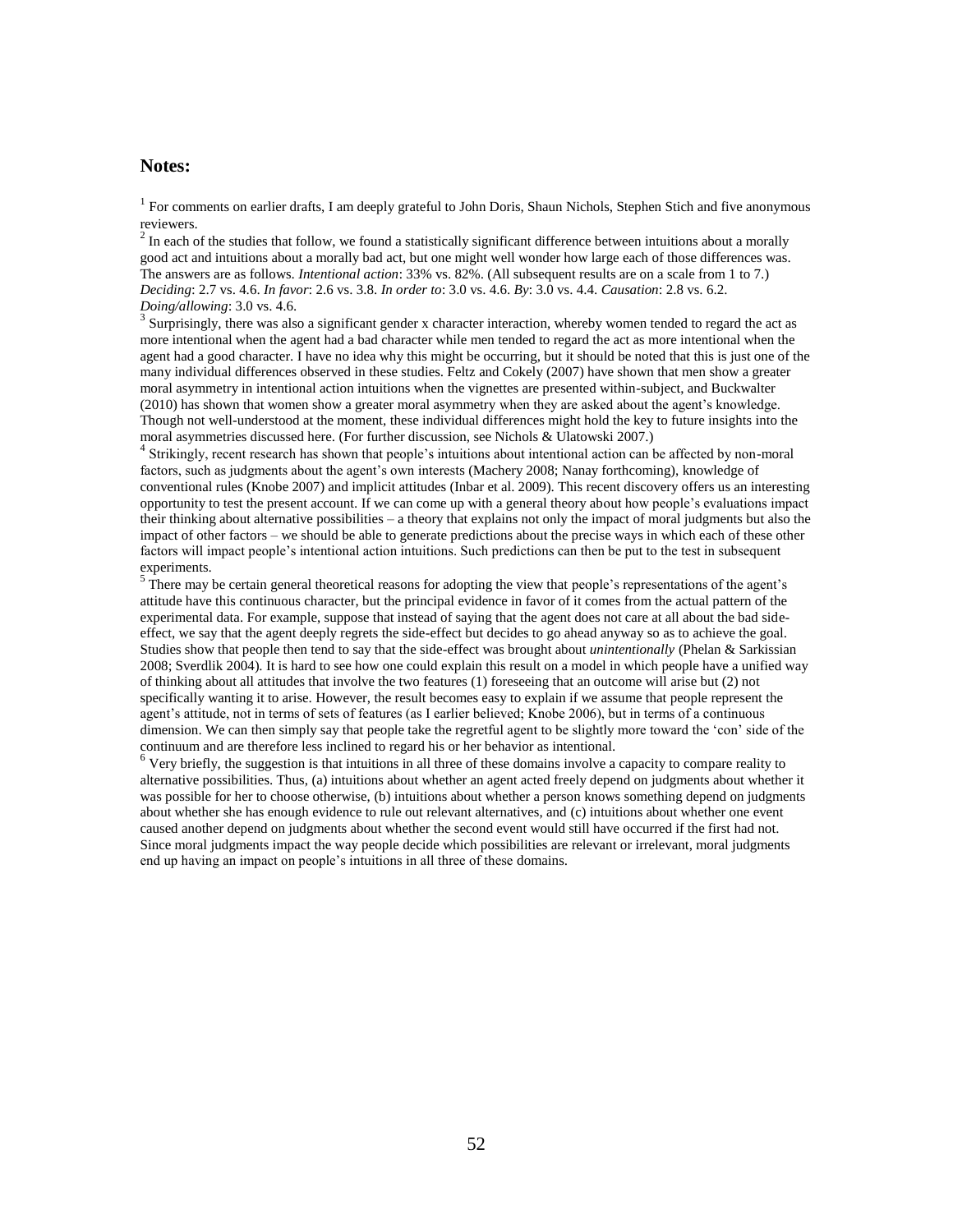#### **Notes:**

<sup>1</sup> For comments on earlier drafts, I am deeply grateful to John Doris, Shaun Nichols, Stephen Stich and five anonymous reviewers.

 $2<sup>2</sup>$  In each of the studies that follow, we found a statistically significant difference between intuitions about a morally good act and intuitions about a morally bad act, but one might well wonder how large each of those differences was. The answers are as follows. *Intentional action*: 33% vs. 82%. (All subsequent results are on a scale from 1 to 7.) *Deciding*: 2.7 vs. 4.6. *In favor*: 2.6 vs. 3.8. *In order to*: 3.0 vs. 4.6. *By*: 3.0 vs. 4.4. *Causation*: 2.8 vs. 6.2. *Doing/allowing*: 3.0 vs. 4.6.

 $3$  Surprisingly, there was also a significant gender x character interaction, whereby women tended to regard the act as more intentional when the agent had a bad character while men tended to regard the act as more intentional when the agent had a good character. I have no idea why this might be occurring, but it should be noted that this is just one of the many individual differences observed in these studies. Feltz and Cokely (2007) have shown that men show a greater moral asymmetry in intentional action intuitions when the vignettes are presented within-subject, and Buckwalter (2010) has shown that women show a greater moral asymmetry when they are asked about the agent's knowledge. Though not well-understood at the moment, these individual differences might hold the key to future insights into the moral asymmetries discussed here. (For further discussion, see Nichols & Ulatowski 2007.)

<sup>4</sup> Strikingly, recent research has shown that people's intuitions about intentional action can be affected by non-moral factors, such as judgments about the agent's own interests (Machery 2008; Nanay forthcoming), knowledge of conventional rules (Knobe 2007) and implicit attitudes (Inbar et al. 2009). This recent discovery offers us an interesting opportunity to test the present account. If we can come up with a general theory about how people's evaluations impact their thinking about alternative possibilities – a theory that explains not only the impact of moral judgments but also the impact of other factors – we should be able to generate predictions about the precise ways in which each of these other factors will impact people's intentional action intuitions. Such predictions can then be put to the test in subsequent experiments.

<sup>5</sup>There may be certain general theoretical reasons for adopting the view that people's representations of the agent's attitude have this continuous character, but the principal evidence in favor of it comes from the actual pattern of the experimental data. For example, suppose that instead of saying that the agent does not care at all about the bad sideeffect, we say that the agent deeply regrets the side-effect but decides to go ahead anyway so as to achieve the goal. Studies show that people then tend to say that the side-effect was brought about *unintentionally* (Phelan & Sarkissian 2008; Sverdlik 2004). It is hard to see how one could explain this result on a model in which people have a unified way of thinking about all attitudes that involve the two features (1) foreseeing that an outcome will arise but (2) not specifically wanting it to arise. However, the result becomes easy to explain if we assume that people represent the agent's attitude, not in terms of sets of features (as I earlier believed; Knobe 2006), but in terms of a continuous dimension. We can then simply say that people take the regretful agent to be slightly more toward the 'con' side of the continuum and are therefore less inclined to regard his or her behavior as intentional.

 $<sup>6</sup>$  Very briefly, the suggestion is that intuitions in all three of these domains involve a capacity to compare reality to</sup> alternative possibilities. Thus, (a) intuitions about whether an agent acted freely depend on judgments about whether it was possible for her to choose otherwise, (b) intuitions about whether a person knows something depend on judgments about whether she has enough evidence to rule out relevant alternatives, and (c) intuitions about whether one event caused another depend on judgments about whether the second event would still have occurred if the first had not. Since moral judgments impact the way people decide which possibilities are relevant or irrelevant, moral judgments end up having an impact on people's intuitions in all three of these domains.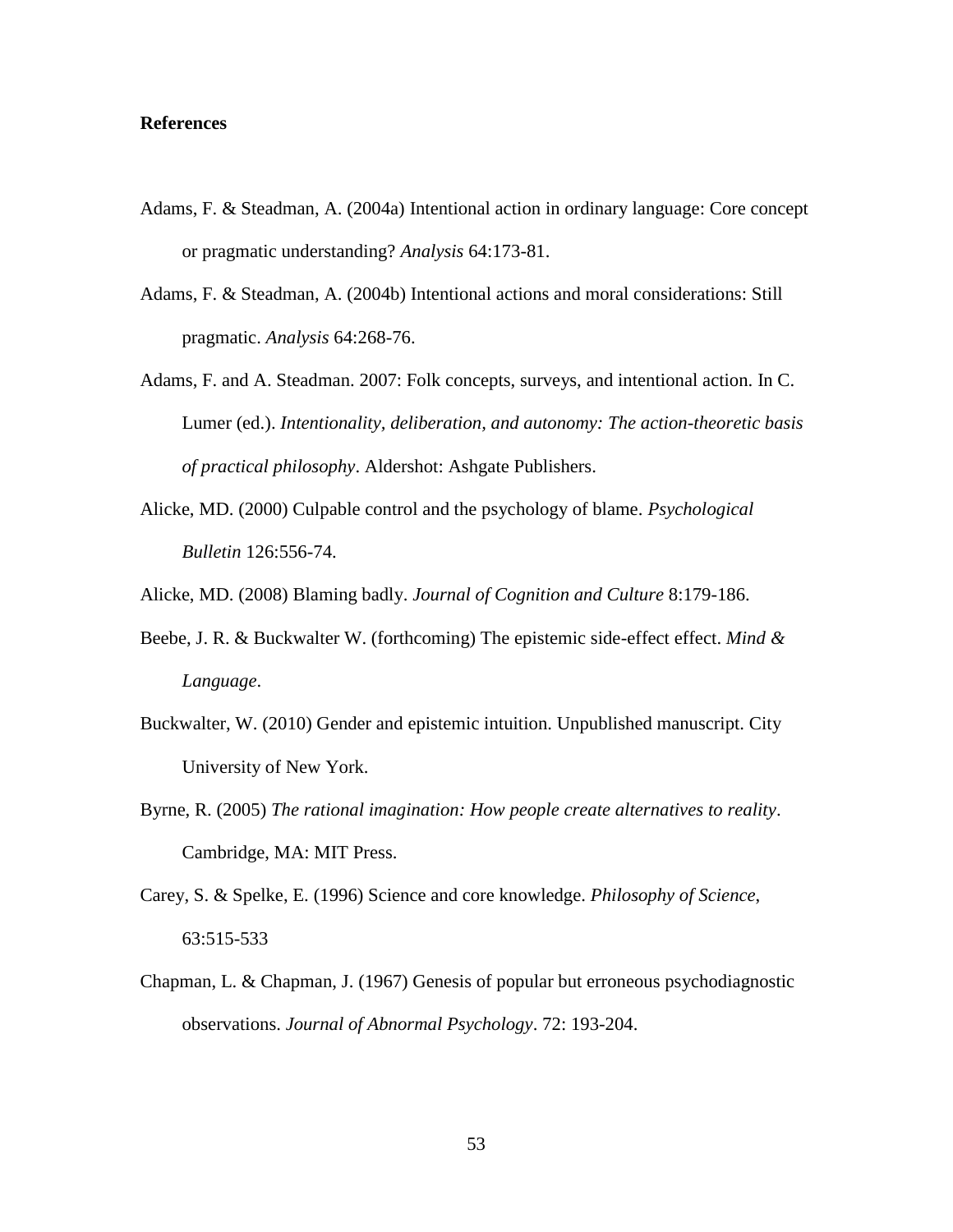### **References**

- Adams, F. & Steadman, A. (2004a) Intentional action in ordinary language: Core concept or pragmatic understanding? *Analysis* 64:173-81.
- Adams, F. & Steadman, A. (2004b) Intentional actions and moral considerations: Still pragmatic. *Analysis* 64:268-76.
- Adams, F. and A. Steadman. 2007: Folk concepts, surveys, and intentional action. In C. Lumer (ed.). *Intentionality, deliberation, and autonomy: The action-theoretic basis of practical philosophy*. Aldershot: Ashgate Publishers.
- Alicke, MD. (2000) Culpable control and the psychology of blame. *Psychological Bulletin* 126:556-74.
- Alicke, MD. (2008) Blaming badly. *Journal of Cognition and Culture* 8:179-186.
- Beebe, J. R. & Buckwalter W. (forthcoming) The epistemic side-effect effect. *Mind & Language*.
- Buckwalter, W. (2010) Gender and epistemic intuition. Unpublished manuscript. City University of New York.
- Byrne, R. (2005) *The rational imagination: How people create alternatives to reality*. Cambridge, MA: MIT Press.
- Carey, S. & Spelke, E. (1996) Science and core knowledge. *Philosophy of Science*, 63:515-533
- Chapman, L. & Chapman, J. (1967) Genesis of popular but erroneous psychodiagnostic observations. *Journal of Abnormal Psychology*. 72: 193-204.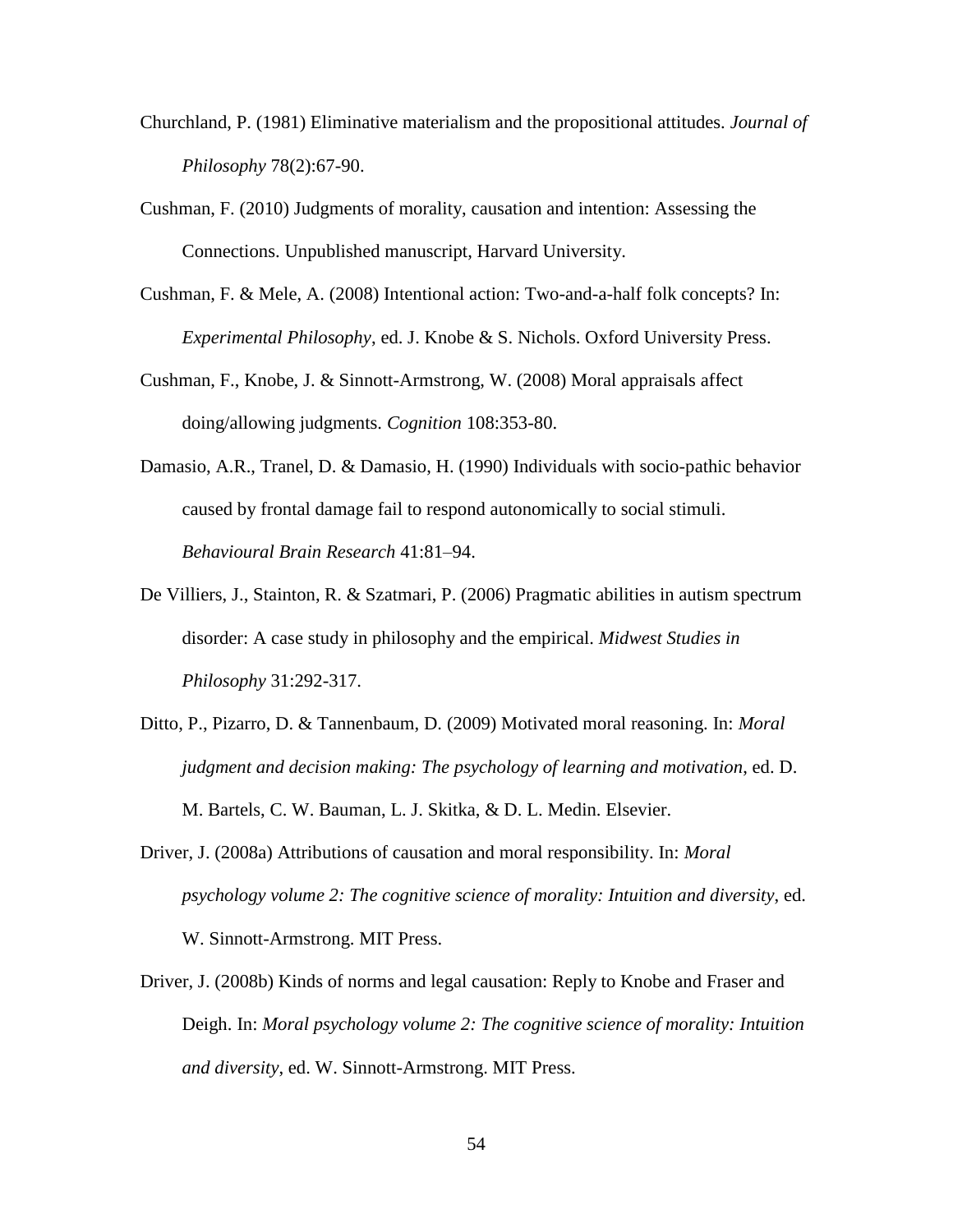- Churchland, P. (1981) Eliminative materialism and the propositional attitudes. *Journal of Philosophy* 78(2):67-90.
- Cushman, F. (2010) Judgments of morality, causation and intention: Assessing the Connections. Unpublished manuscript, Harvard University.
- Cushman, F. & Mele, A. (2008) Intentional action: Two-and-a-half folk concepts? In: *Experimental Philosophy*, ed. J. Knobe & S. Nichols. Oxford University Press.
- Cushman, F., Knobe, J. & Sinnott-Armstrong, W. (2008) Moral appraisals affect doing/allowing judgments. *Cognition* 108:353-80.
- Damasio, A.R., Tranel, D. & Damasio, H. (1990) Individuals with socio-pathic behavior caused by frontal damage fail to respond autonomically to social stimuli. *Behavioural Brain Research* 41:81–94.
- De Villiers, J., Stainton, R. & Szatmari, P. (2006) Pragmatic abilities in autism spectrum disorder: A case study in philosophy and the empirical. *Midwest Studies in Philosophy* 31:292-317.
- Ditto, P., Pizarro, D. & Tannenbaum, D. (2009) Motivated moral reasoning. In: *Moral judgment and decision making: The psychology of learning and motivation*, ed. D. M. Bartels, C. W. Bauman, L. J. Skitka, & D. L. Medin. Elsevier.
- Driver, J. (2008a) Attributions of causation and moral responsibility. In: *Moral psychology volume 2: The cognitive science of morality: Intuition and diversity*, ed. W. Sinnott-Armstrong. MIT Press.
- Driver, J. (2008b) Kinds of norms and legal causation: Reply to Knobe and Fraser and Deigh. In: *Moral psychology volume 2: The cognitive science of morality: Intuition and diversity*, ed. W. Sinnott-Armstrong. MIT Press.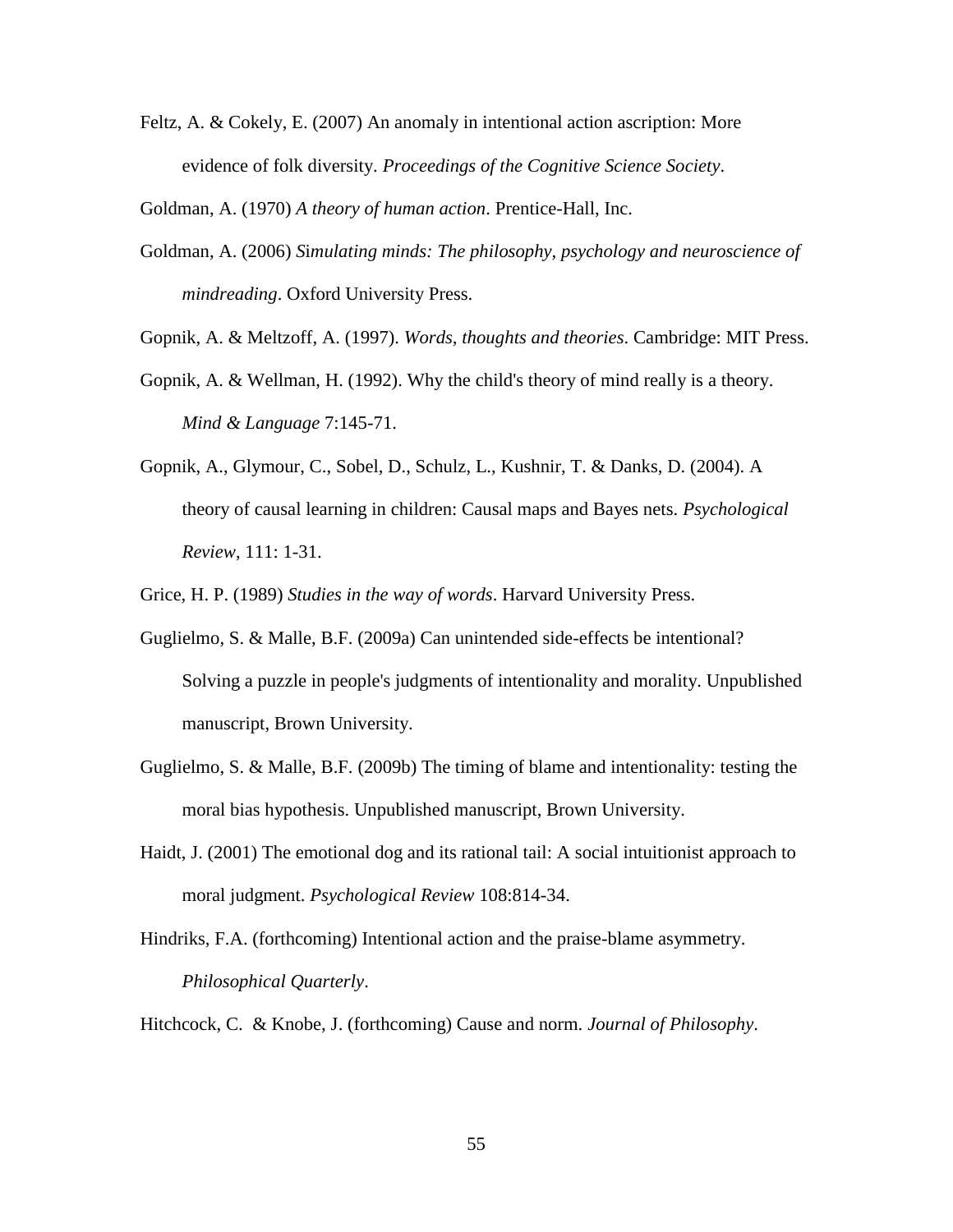Feltz, A. & Cokely, E. (2007) An anomaly in intentional action ascription: More evidence of folk diversity. *Proceedings of the Cognitive Science Society*.

Goldman, A. (1970) *A theory of human action*. Prentice-Hall, Inc.

- Goldman, A. (2006) *S*i*mulating minds: The philosophy, psychology and neuroscience of mindreading*. Oxford University Press.
- Gopnik, A. & Meltzoff, A. (1997). *Words, thoughts and theories*. Cambridge: MIT Press.
- Gopnik, A. & Wellman, H. (1992). Why the child's theory of mind really is a theory. *Mind & Language* 7:145-71.
- Gopnik, A., Glymour, C., Sobel, D., Schulz, L., Kushnir, T. & Danks, D. (2004). A theory of causal learning in children: Causal maps and Bayes nets. *Psychological Review*, 111: 1-31.

Grice, H. P. (1989) *Studies in the way of words*. Harvard University Press.

- Guglielmo, S. & Malle, B.F. (2009a) Can unintended side-effects be intentional? Solving a puzzle in people's judgments of intentionality and morality. Unpublished manuscript, Brown University.
- Guglielmo, S. & Malle, B.F. (2009b) The timing of blame and intentionality: testing the moral bias hypothesis. Unpublished manuscript, Brown University.
- Haidt, J. (2001) The emotional dog and its rational tail: A social intuitionist approach to moral judgment. *Psychological Review* 108:814-34.
- Hindriks, F.A. (forthcoming) Intentional action and the praise-blame asymmetry. *Philosophical Quarterly*.

Hitchcock, C. & Knobe, J. (forthcoming) Cause and norm. *Journal of Philosophy*.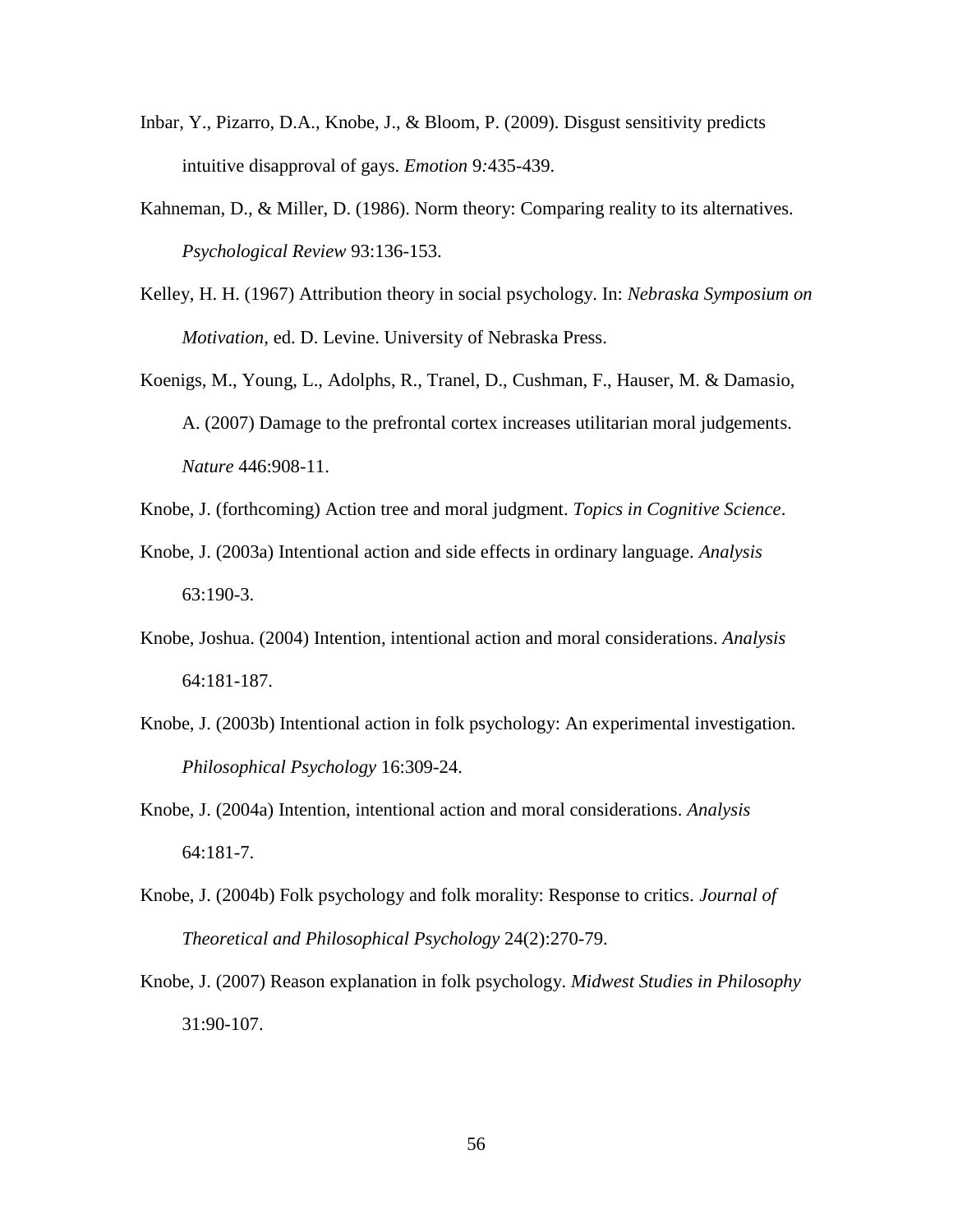- Inbar, Y., Pizarro, D.A., Knobe, J., & Bloom, P. (2009). Disgust sensitivity predicts intuitive disapproval of gays. *Emotion* 9*:*435-439.
- Kahneman, D., & Miller, D. (1986). Norm theory: Comparing reality to its alternatives. *Psychological Review* 93:136-153.
- Kelley, H. H. (1967) Attribution theory in social psychology. In: *Nebraska Symposium on Motivation*, ed. D. Levine. University of Nebraska Press.
- Koenigs, M., Young, L., Adolphs, R., Tranel, D., Cushman, F., Hauser, M. & Damasio, A. (2007) Damage to the prefrontal cortex increases utilitarian moral judgements. *Nature* 446:908-11.
- Knobe, J. (forthcoming) Action tree and moral judgment. *Topics in Cognitive Science*.
- Knobe, J. (2003a) Intentional action and side effects in ordinary language. *Analysis* 63:190-3.
- Knobe, Joshua. (2004) Intention, intentional action and moral considerations. *Analysis* 64:181-187.
- Knobe, J. (2003b) Intentional action in folk psychology: An experimental investigation. *Philosophical Psychology* 16:309-24.
- Knobe, J. (2004a) [Intention, intentional action and moral considerations.](http://www.unc.edu/~knobe/AdamsSteadmanReply.html) *Analysis* 64:181-7.
- Knobe, J. (2004b) Folk psychology and folk morality: Response to critics. *Journal of Theoretical and Philosophical Psychology* 24(2):270-79.
- Knobe, J. (2007) Reason explanation in folk psychology. *Midwest Studies in Philosophy* 31:90-107.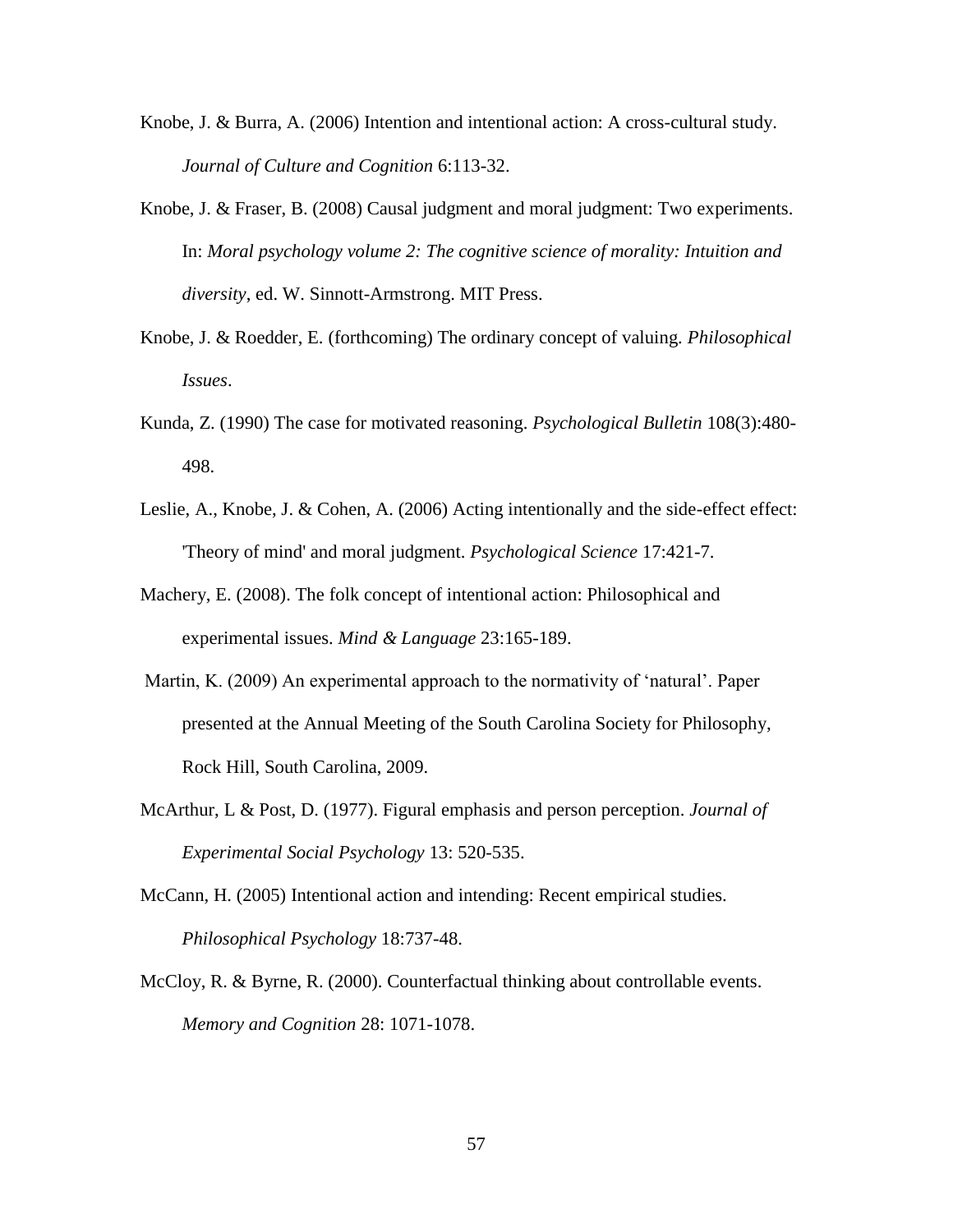- Knobe, J. & Burra, A. (2006) Intention and intentional action: A cross-cultural study. *Journal of Culture and Cognition* 6:113-32.
- Knobe, J. & Fraser, B. (2008) Causal judgment and moral judgment: Two experiments. In: *Moral psychology volume 2: The cognitive science of morality: Intuition and diversity*, ed. W. Sinnott-Armstrong. MIT Press.
- Knobe, J. & Roedder, E. (forthcoming) The ordinary concept of valuing. *Philosophical Issues*.
- Kunda, Z. (1990) The case for motivated reasoning. *Psychological Bulletin* 108(3):480- 498.
- Leslie, A., Knobe, J. & Cohen, A. (2006) Acting intentionally and the side-effect effect: 'Theory of mind' and moral judgment. *Psychological Science* 17:421-7.
- Machery, E. (2008). The folk concept of intentional action: Philosophical and experimental issues. *Mind & Language* 23:165-189.
- Martin, K. (2009) An experimental approach to the normativity of 'natural'. Paper presented at the Annual Meeting of the South Carolina Society for Philosophy, Rock Hill, South Carolina, 2009.
- McArthur, L & Post, D. (1977). Figural emphasis and person perception. *Journal of Experimental Social Psychology* 13: 520-535.
- McCann, H. (2005) Intentional action and intending: Recent empirical studies. *Philosophical Psychology* 18:737-48.
- McCloy, R. & Byrne, R. (2000). Counterfactual thinking about controllable events. *Memory and Cognition* 28: 1071-1078.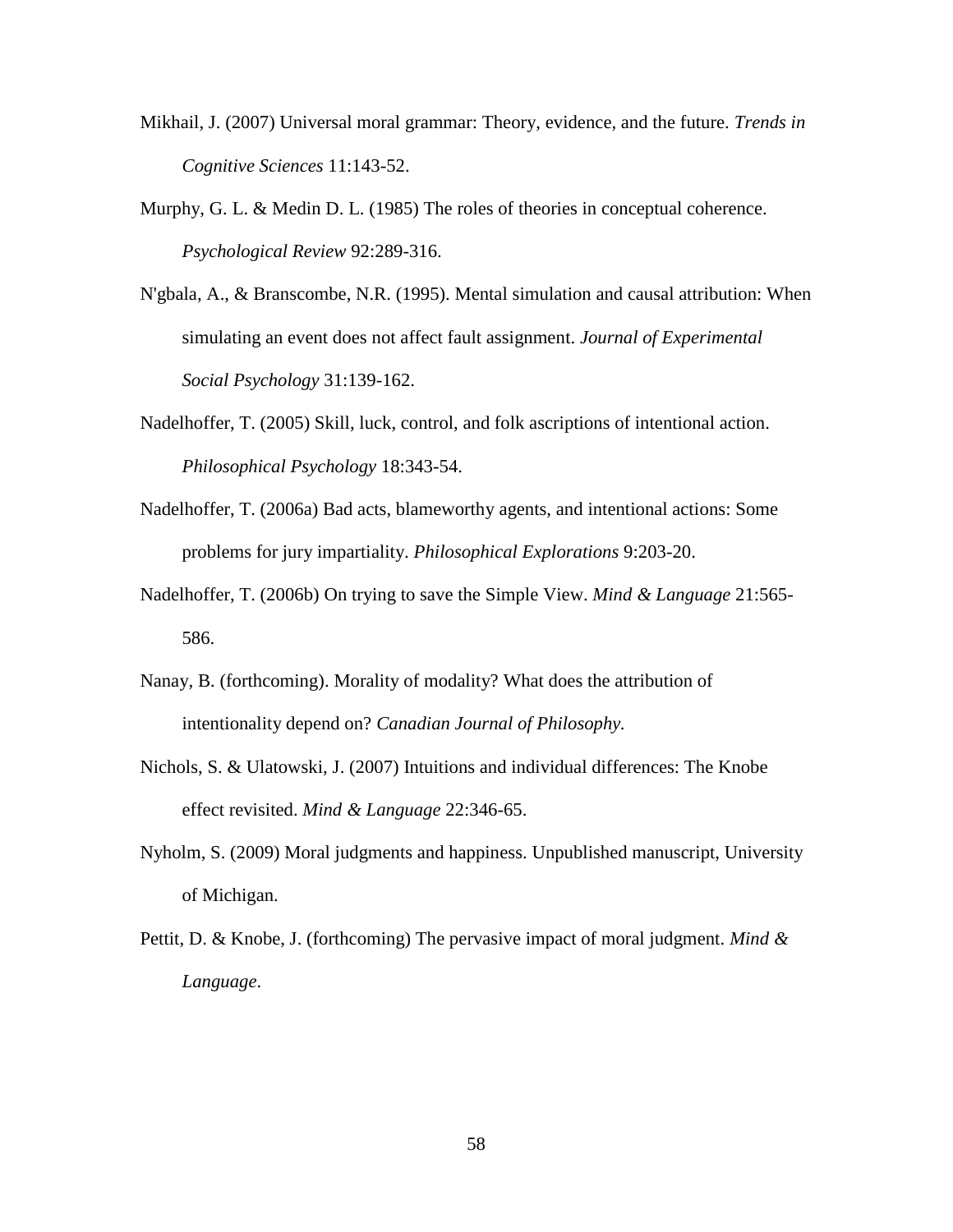- Mikhail, J. (2007) Universal moral grammar: Theory, evidence, and the future. *Trends in Cognitive Sciences* 11:143-52.
- Murphy, G. L. & Medin D. L. (1985) The roles of theories in conceptual coherence. *Psychological Review* 92:289-316.
- N'gbala, A., & Branscombe, N.R. (1995). Mental simulation and causal attribution: When simulating an event does not affect fault assignment. *Journal of Experimental Social Psychology* 31:139-162.
- Nadelhoffer, T. (2005) Skill, luck, control, and folk ascriptions of intentional action. *Philosophical Psychology* 18:343-54.
- Nadelhoffer, T. (2006a) Bad acts, blameworthy agents, and intentional actions: Some problems for jury impartiality. *Philosophical Explorations* 9:203-20.
- Nadelhoffer, T. (2006b) [On trying to save the Simple View.](http://users.dickinson.edu/~nadelhth/Online%20Papers/Simple%20View%20Revise%20and%20Resubmit.pdf) *Mind & Language* 21:565- 586.
- Nanay, B. (forthcoming). Morality of modality? What does the attribution of intentionality depend on? *Canadian Journal of Philosophy.*
- Nichols, S. & Ulatowski, J. (2007) Intuitions and individual differences: The Knobe effect revisited. *Mind & Language* 22:346-65.
- Nyholm, S. (2009) Moral judgments and happiness. Unpublished manuscript, University of Michigan.
- Pettit, D. & Knobe, J. (forthcoming) The pervasive impact of moral judgment. *Mind & Language*.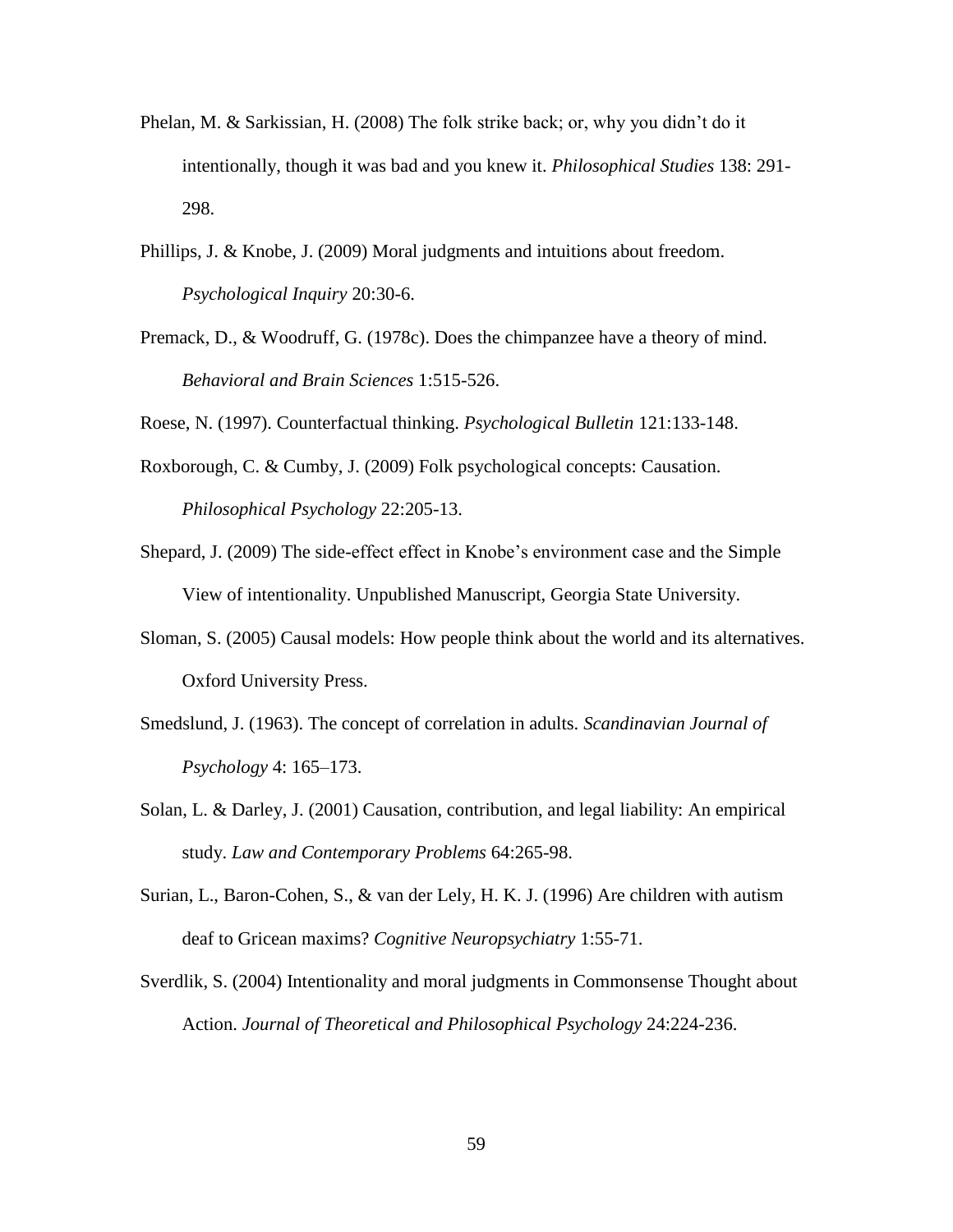- Phelan, M. & Sarkissian, H. (2008) The folk strike back; or, why you didn't do it intentionally, though it was bad and you knew it. *Philosophical Studies* 138: 291- 298.
- Phillips, J. & Knobe, J. (2009) Moral judgments and intuitions about freedom. *Psychological Inquiry* 20:30-6.
- Premack, D., & Woodruff, G. (1978c). Does the chimpanzee have a theory of mind. *Behavioral and Brain Sciences* 1:515-526.

Roese, N. (1997). Counterfactual thinking. *Psychological Bulletin* 121:133-148.

- Roxborough, C. & Cumby, J. (2009) Folk psychological concepts: Causation. *Philosophical Psychology* 22:205-13.
- Shepard, J. (2009) The side-effect effect in Knobe's environment case and the Simple View of intentionality. Unpublished Manuscript, Georgia State University.
- Sloman, S. (2005) Causal models: How people think about the world and its alternatives. Oxford University Press.
- Smedslund, J. (1963). The concept of correlation in adults. *Scandinavian Journal of Psychology* 4: 165–173.
- Solan, L. & Darley, J. (2001) Causation, contribution, and legal liability: An empirical study. *Law and Contemporary Problems* 64:265-98.
- Surian, L., Baron-Cohen, S., & van der Lely, H. K. J. (1996) Are children with autism deaf to Gricean maxims? *Cognitive Neuropsychiatry* 1:55-71.
- Sverdlik, S. (2004) Intentionality and moral judgments in Commonsense Thought about Action. *Journal of Theoretical and Philosophical Psychology* 24:224-236.